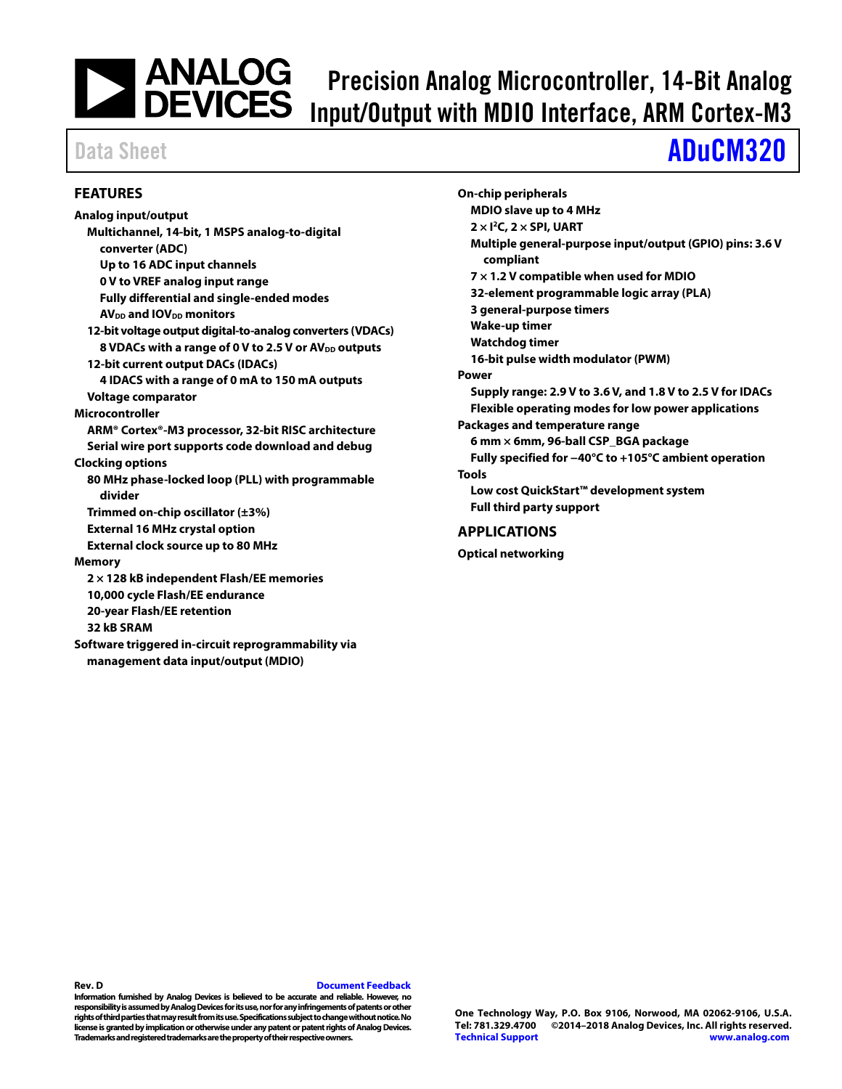# Precision Analog Microcontroller, 14-Bit Analog Input/Output with MDIO Interface, ARM Cortex-M3

# Data Sheet **[ADuCM320](http://www.analog.com/ADuCM320?doc=ADuCM320.pdf)**

#### <span id="page-0-0"></span>**FEATURES**

**Analog input/output Multichannel, 14-bit, 1 MSPS analog-to-digital converter (ADC) Up to 16 ADC input channels 0 V to VREF analog input range Fully differential and single-ended modes AV**<sub>DD</sub> **and IOV**<sub>DD</sub> **monitors 12-bit voltage output digital-to-analog converters (VDACs)** 8 VDACs with a range of 0 V to 2.5 V or AV<sub>DD</sub> outputs **12-bit current output DACs (IDACs) 4 IDACS with a range of 0 mA to 150 mA outputs Voltage comparator Microcontroller ARM® Cortex®-M3 processor, 32-bit RISC architecture Serial wire port supports code download and debug Clocking options 80 MHz phase-locked loop (PLL) with programmable divider Trimmed on-chip oscillator (±3%) External 16 MHz crystal option External clock source up to 80 MHz Memory 2 × 128 kB independent Flash/EE memories 10,000 cycle Flash/EE endurance 20-year Flash/EE retention 32 kB SRAM Software triggered in-circuit reprogrammability via management data input/output (MDIO)** 

| ANALOG<br>| DEVICES

**On-chip peripherals MDIO slave up to 4 MHz 2 × I2C, 2 × SPI, UART Multiple general-purpose input/output (GPIO) pins: 3.6 V compliant 7 × 1.2 V compatible when used for MDIO 32-element programmable logic array (PLA) 3 general-purpose timers Wake-up timer Watchdog timer 16-bit pulse width modulator (PWM) Power Supply range: 2.9 V to 3.6 V, and 1.8 V to 2.5 V for IDACs Flexible operating modes for low power applications Packages and temperature range 6 mm × 6mm, 96-ball CSP\_BGA package Fully specified for −40°C to +105°C ambient operation Tools Low cost QuickStart™ development system Full third party support APPLICATIONS**

<span id="page-0-1"></span>**Optical networking**

#### **Rev. D [Document Feedback](https://form.analog.com/Form_Pages/feedback/documentfeedback.aspx?doc=ADuCM320.pdf&product=ADuCM320&rev=D)**

**Information furnished by Analog Devices is believed to be accurate and reliable. However, no responsibility is assumed by Analog Devices for its use, nor for any infringements of patents or other rights of third parties that may result from its use. Specifications subject to change without notice. No license is granted by implication or otherwise under any patent or patent rights of Analog Devices. Trademarks and registered trademarks are the property of their respective owners.**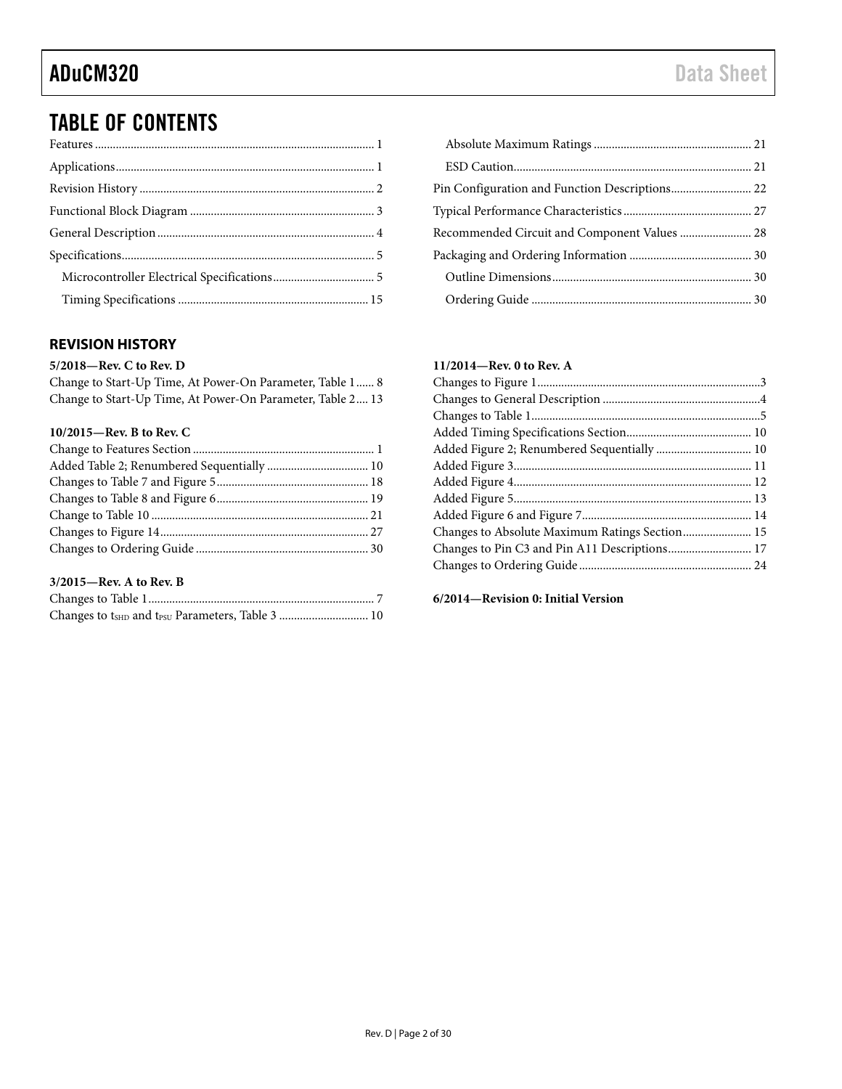### TABLE OF CONTENTS

### <span id="page-1-0"></span>**REVISION HISTORY**

#### **5/2018—Rev. C to Rev. D**

Change to Start-Up Time, At Power-On Parameter, Table 1...... 8 Change to Start-Up Time, At Power-On Parameter, Table 2.... 13

#### **10/2015—Rev. B to Rev. C**

### **3/2015—Rev. A to Rev. B**

| Changes to t <sub>SHD</sub> and t <sub>PSU</sub> Parameters, Table 3  10 |  |
|--------------------------------------------------------------------------|--|

| Recommended Circuit and Component Values  28 |  |
|----------------------------------------------|--|
|                                              |  |
|                                              |  |
|                                              |  |

#### **11/2014—Rev. 0 to Rev. A**

| Changes to Absolute Maximum Ratings Section 15 |  |
|------------------------------------------------|--|
| Changes to Pin C3 and Pin A11 Descriptions 17  |  |
|                                                |  |
|                                                |  |

**6/2014—Revision 0: Initial Version**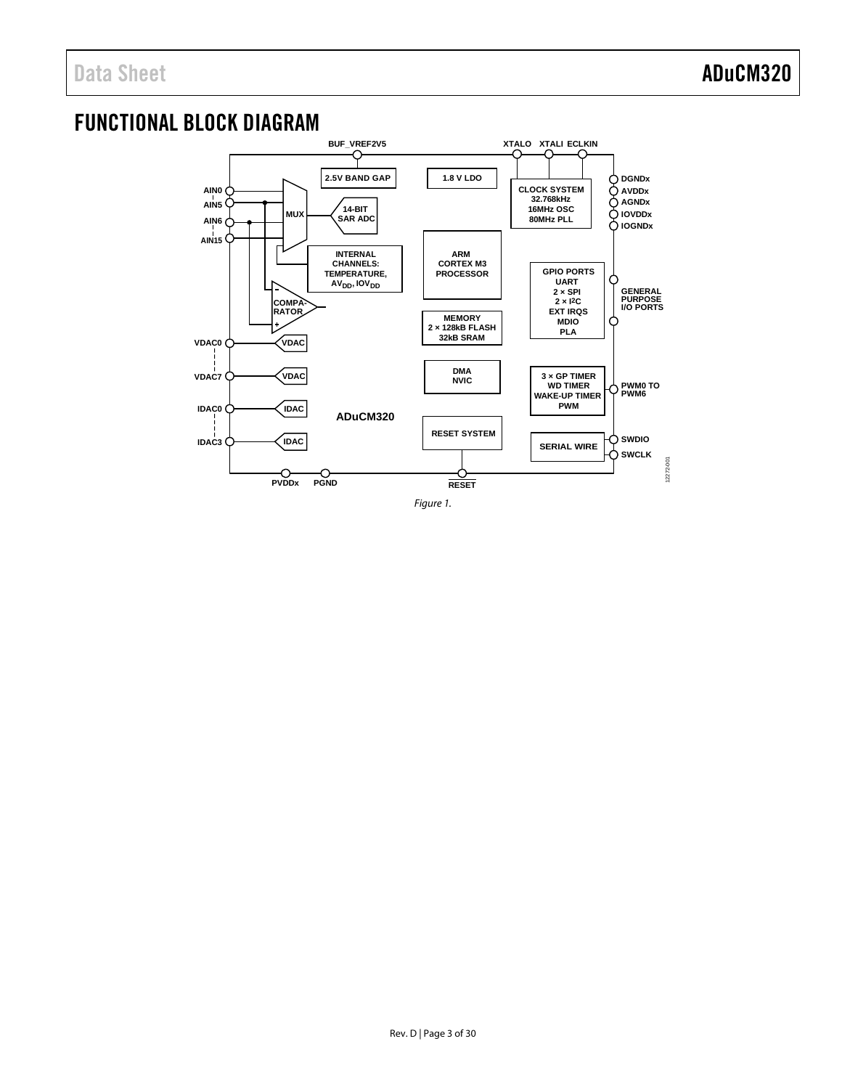### <span id="page-2-0"></span>FUNCTIONAL BLOCK DIAGRAM



*Figure 1.*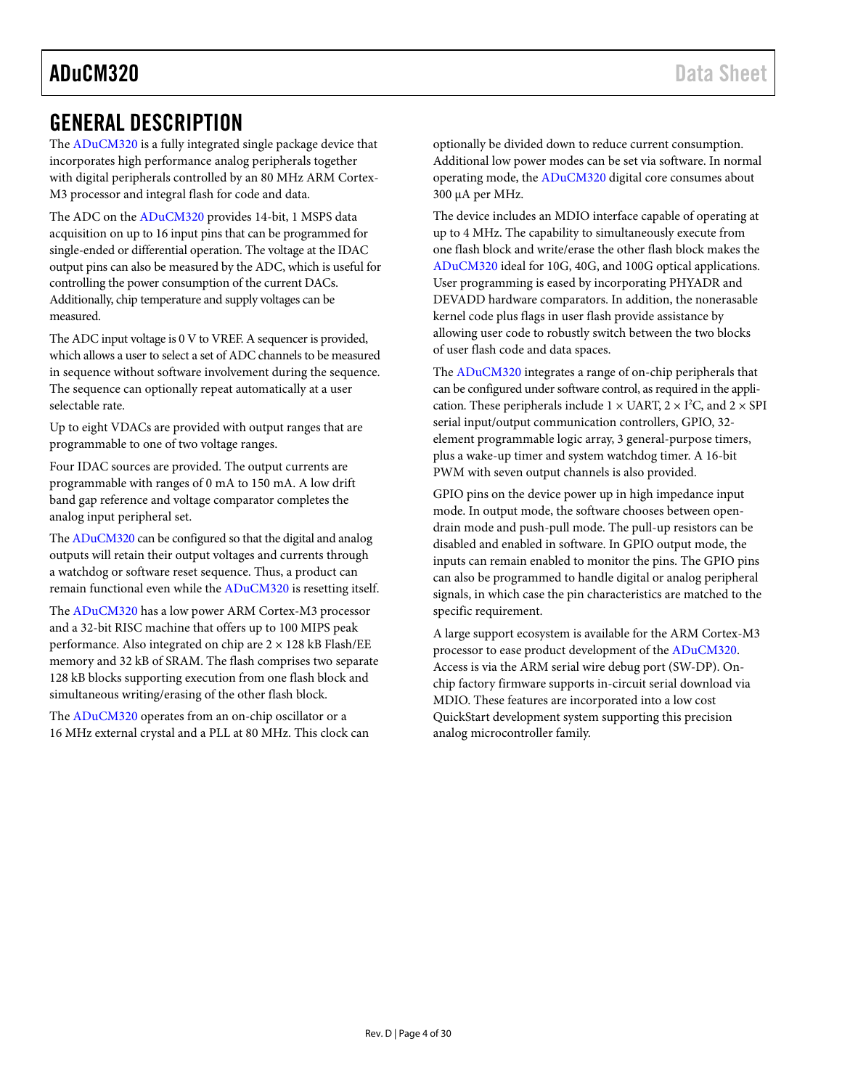### <span id="page-3-0"></span>GENERAL DESCRIPTION

The [ADuCM320](http://www.analog.com/ADuCM320?doc=ADuCM320.pdf) is a fully integrated single package device that incorporates high performance analog peripherals together with digital peripherals controlled by an 80 MHz ARM Cortex-M3 processor and integral flash for code and data.

The ADC on th[e ADuCM320](http://www.analog.com/ADuCM320?doc=ADuCM320.pdf) provides 14-bit, 1 MSPS data acquisition on up to 16 input pins that can be programmed for single-ended or differential operation. The voltage at the IDAC output pins can also be measured by the ADC, which is useful for controlling the power consumption of the current DACs. Additionally, chip temperature and supply voltages can be measured.

The ADC input voltage is 0 V to VREF. A sequencer is provided, which allows a user to select a set of ADC channels to be measured in sequence without software involvement during the sequence. The sequence can optionally repeat automatically at a user selectable rate.

Up to eight VDACs are provided with output ranges that are programmable to one of two voltage ranges.

Four IDAC sources are provided. The output currents are programmable with ranges of 0 mA to 150 mA. A low drift band gap reference and voltage comparator completes the analog input peripheral set.

Th[e ADuCM320](http://www.analog.com/ADuCM320?doc=ADuCM320.pdf) can be configured so that the digital and analog outputs will retain their output voltages and currents through a watchdog or software reset sequence. Thus, a product can remain functional even while th[e ADuCM320](http://www.analog.com/ADuCM320?doc=ADuCM320.pdf) is resetting itself.

The [ADuCM320](http://www.analog.com/ADuCM320?doc=ADuCM320.pdf) has a low power ARM Cortex-M3 processor and a 32-bit RISC machine that offers up to 100 MIPS peak performance. Also integrated on chip are  $2 \times 128$  kB Flash/EE memory and 32 kB of SRAM. The flash comprises two separate 128 kB blocks supporting execution from one flash block and simultaneous writing/erasing of the other flash block.

The [ADuCM320](http://www.analog.com/ADuCM320?doc=ADuCM320.pdf) operates from an on-chip oscillator or a 16 MHz external crystal and a PLL at 80 MHz. This clock can optionally be divided down to reduce current consumption. Additional low power modes can be set via software. In normal operating mode, th[e ADuCM320](http://www.analog.com/ADuCM320?doc=ADuCM320.pdf) digital core consumes about 300 µA per MHz.

The device includes an MDIO interface capable of operating at up to 4 MHz. The capability to simultaneously execute from one flash block and write/erase the other flash block makes the [ADuCM320](http://www.analog.com/ADuCM320?doc=ADuCM320.pdf) ideal for 10G, 40G, and 100G optical applications. User programming is eased by incorporating PHYADR and DEVADD hardware comparators. In addition, the nonerasable kernel code plus flags in user flash provide assistance by allowing user code to robustly switch between the two blocks of user flash code and data spaces.

The [ADuCM320](http://www.analog.com/ADuCM320?doc=ADuCM320.pdf) integrates a range of on-chip peripherals that can be configured under software control, as required in the application. These peripherals include  $1 \times \text{UART}, 2 \times \text{I}^2\text{C},$  and  $2 \times \text{SPI}$ serial input/output communication controllers, GPIO, 32 element programmable logic array, 3 general-purpose timers, plus a wake-up timer and system watchdog timer. A 16-bit PWM with seven output channels is also provided.

GPIO pins on the device power up in high impedance input mode. In output mode, the software chooses between opendrain mode and push-pull mode. The pull-up resistors can be disabled and enabled in software. In GPIO output mode, the inputs can remain enabled to monitor the pins. The GPIO pins can also be programmed to handle digital or analog peripheral signals, in which case the pin characteristics are matched to the specific requirement.

A large support ecosystem is available for the ARM Cortex-M3 processor to ease product development of the [ADuCM320.](http://www.analog.com/ADuCM320?doc=ADuCM320.pdf) Access is via the ARM serial wire debug port (SW-DP). Onchip factory firmware supports in-circuit serial download via MDIO. These features are incorporated into a low cost QuickStart development system supporting this precision analog microcontroller family.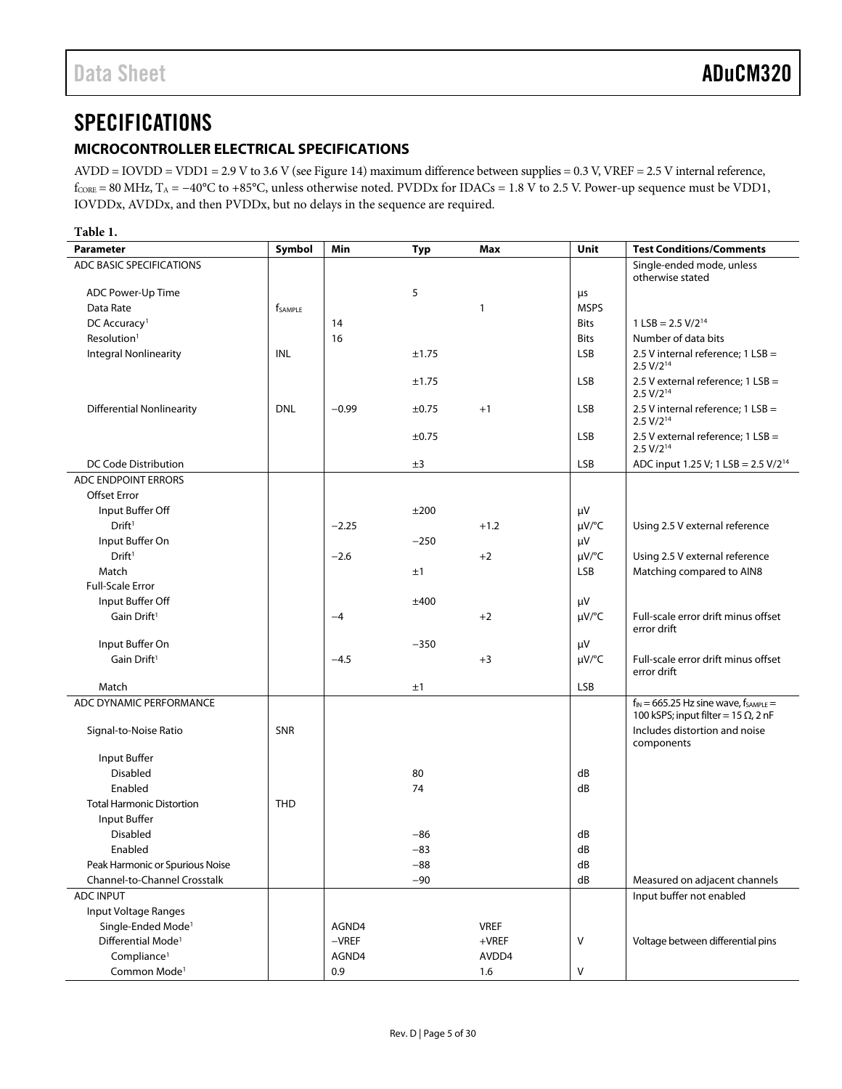### <span id="page-4-0"></span>**SPECIFICATIONS**

#### <span id="page-4-1"></span>**MICROCONTROLLER ELECTRICAL SPECIFICATIONS**

AVDD = IOVDD = VDD1 = 2.9 V to 3.6 V (se[e Figure 14\)](#page-26-1) maximum difference between supplies = 0.3 V, VREF = 2.5 V internal reference,  $f_{\text{CORE}} = 80 \text{ MHz}, T_A = -40^{\circ}\text{C}$  to +85°C, unless otherwise noted. PVDDx for IDACs = 1.8 V to 2.5 V. Power-up sequence must be VDD1, IOVDDx, AVDDx, and then PVDDx, but no delays in the sequence are required.

<span id="page-4-2"></span>

| н<br>×<br>۹<br>۰.<br>٠<br>v |  |
|-----------------------------|--|
|-----------------------------|--|

| <b>Parameter</b>                 | Symbol                     | Min     | <b>Typ</b> | Max          | Unit        | <b>Test Conditions/Comments</b>                                                               |
|----------------------------------|----------------------------|---------|------------|--------------|-------------|-----------------------------------------------------------------------------------------------|
| ADC BASIC SPECIFICATIONS         |                            |         |            |              |             | Single-ended mode, unless<br>otherwise stated                                                 |
| ADC Power-Up Time                |                            |         | 5          |              | μs          |                                                                                               |
| Data Rate                        | <b>f</b> <sub>SAMPLE</sub> |         |            | $\mathbf{1}$ | <b>MSPS</b> |                                                                                               |
| DC Accuracy <sup>1</sup>         |                            | 14      |            |              | <b>Bits</b> | $1$ LSB = 2.5 V/2 <sup>14</sup>                                                               |
| Resolution <sup>1</sup>          |                            | 16      |            |              | <b>Bits</b> | Number of data bits                                                                           |
| Integral Nonlinearity            | INL                        |         | ±1.75      |              | LSB         | 2.5 V internal reference; $1$ LSB =<br>2.5 V/2 <sup>14</sup>                                  |
|                                  |                            |         | ±1.75      |              | <b>LSB</b>  | 2.5 V external reference; 1 LSB =<br>2.5 V/2 <sup>14</sup>                                    |
| <b>Differential Nonlinearity</b> | <b>DNL</b>                 | $-0.99$ | ±0.75      | $+1$         | <b>LSB</b>  | 2.5 V internal reference: $1$ LSB =<br>$2.5 V/2^{14}$                                         |
|                                  |                            |         | ±0.75      |              | <b>LSB</b>  | 2.5 V external reference; $1$ LSB =<br>2.5 V/2 <sup>14</sup>                                  |
| DC Code Distribution             |                            |         | ±3         |              | <b>LSB</b>  | ADC input 1.25 V; 1 LSB = $2.5$ V/ $2^{14}$                                                   |
| ADC ENDPOINT ERRORS              |                            |         |            |              |             |                                                                                               |
| <b>Offset Error</b>              |                            |         |            |              |             |                                                                                               |
| Input Buffer Off                 |                            |         | ±200       |              | μV          |                                                                                               |
| Drift <sup>1</sup>               |                            | $-2.25$ |            | $+1.2$       | $\mu V$ /°C | Using 2.5 V external reference                                                                |
| Input Buffer On                  |                            |         | $-250$     |              | μV          |                                                                                               |
| Drift <sup>1</sup>               |                            | $-2.6$  |            | $+2$         | $\mu V$ /°C | Using 2.5 V external reference                                                                |
| Match                            |                            |         | ±1         |              | <b>LSB</b>  | Matching compared to AIN8                                                                     |
| <b>Full-Scale Error</b>          |                            |         |            |              |             |                                                                                               |
| Input Buffer Off                 |                            |         | ±400       |              | μV          |                                                                                               |
| Gain Drift <sup>1</sup>          |                            | $-4$    |            | $+2$         | $\mu V$ /°C | Full-scale error drift minus offset<br>error drift                                            |
| Input Buffer On                  |                            |         | $-350$     |              | μV          |                                                                                               |
| Gain Drift <sup>1</sup>          |                            | $-4.5$  |            | $+3$         | $\mu V$ /°C | Full-scale error drift minus offset<br>error drift                                            |
| Match                            |                            |         | ±1         |              | <b>LSB</b>  |                                                                                               |
| ADC DYNAMIC PERFORMANCE          |                            |         |            |              |             | $f_{IN} = 665.25$ Hz sine wave, $f_{SAMPLE} =$<br>100 kSPS; input filter = 15 $\Omega$ , 2 nF |
| Signal-to-Noise Ratio            | SNR                        |         |            |              |             | Includes distortion and noise<br>components                                                   |
| Input Buffer                     |                            |         |            |              |             |                                                                                               |
| Disabled                         |                            |         | 80         |              | dB          |                                                                                               |
| Enabled                          |                            |         | 74         |              | dB          |                                                                                               |
| <b>Total Harmonic Distortion</b> | <b>THD</b>                 |         |            |              |             |                                                                                               |
| Input Buffer                     |                            |         |            |              |             |                                                                                               |
| <b>Disabled</b>                  |                            |         | $-86$      |              | dB          |                                                                                               |
| Enabled                          |                            |         | $-83$      |              | dB          |                                                                                               |
| Peak Harmonic or Spurious Noise  |                            |         | $-88$      |              | dB          |                                                                                               |
| Channel-to-Channel Crosstalk     |                            |         | $-90$      |              | dB          | Measured on adjacent channels                                                                 |
| <b>ADC INPUT</b>                 |                            |         |            |              |             | Input buffer not enabled                                                                      |
| Input Voltage Ranges             |                            |         |            |              |             |                                                                                               |
| Single-Ended Mode <sup>1</sup>   |                            | AGND4   |            | <b>VREF</b>  |             |                                                                                               |
| Differential Mode <sup>1</sup>   |                            | $-VREF$ |            | $+$ VREF     | V           | Voltage between differential pins                                                             |
| Compliance <sup>1</sup>          |                            | AGND4   |            | AVDD4        |             |                                                                                               |
| Common Mode <sup>1</sup>         |                            | 0.9     |            | 1.6          | V           |                                                                                               |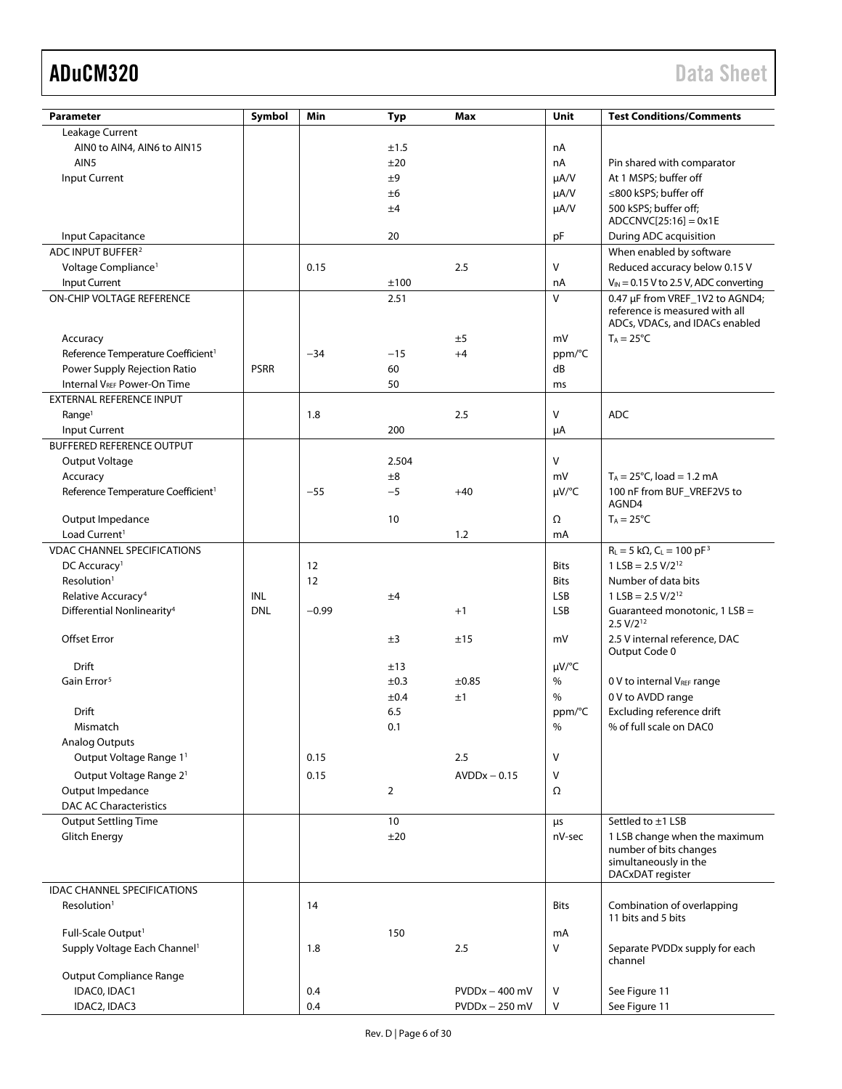| <b>Parameter</b>                               | Symbol      | Min     | <b>Typ</b>      | Max              | Unit         | <b>Test Conditions/Comments</b>                                                                     |
|------------------------------------------------|-------------|---------|-----------------|------------------|--------------|-----------------------------------------------------------------------------------------------------|
| Leakage Current                                |             |         |                 |                  |              |                                                                                                     |
| AINO to AIN4, AIN6 to AIN15                    |             |         | ±1.5            |                  | nA           |                                                                                                     |
| AIN <sub>5</sub>                               |             |         | ±20             |                  | nA           | Pin shared with comparator                                                                          |
| Input Current                                  |             |         | ±9              |                  | $\mu A/V$    | At 1 MSPS; buffer off                                                                               |
|                                                |             |         | ±6              |                  | $\mu A/V$    | ≤800 kSPS; buffer off                                                                               |
|                                                |             |         | ±4              |                  | $\mu A/V$    | 500 kSPS; buffer off;                                                                               |
|                                                |             |         |                 |                  |              | $ADCCNVC[25:16] = 0x1E$                                                                             |
| Input Capacitance                              |             |         | 20              |                  | pF           | During ADC acquisition                                                                              |
| ADC INPUT BUFFER <sup>2</sup>                  |             |         |                 |                  |              | When enabled by software                                                                            |
|                                                |             |         |                 |                  | $\vee$       |                                                                                                     |
| Voltage Compliance <sup>1</sup>                |             | 0.15    |                 | 2.5              |              | Reduced accuracy below 0.15 V                                                                       |
| <b>Input Current</b>                           |             |         | ±100            |                  | nA           | $V_{IN} = 0.15$ V to 2.5 V, ADC converting                                                          |
| <b>ON-CHIP VOLTAGE REFERENCE</b>               |             |         | 2.51            |                  | $\vee$       | 0.47 µF from VREF_1V2 to AGND4;<br>reference is measured with all<br>ADCs, VDACs, and IDACs enabled |
| Accuracy                                       |             |         |                 | ±5               | mV           | $T_A = 25^{\circ}C$                                                                                 |
| Reference Temperature Coefficient <sup>1</sup> |             | $-34$   | $-15$           | $+4$             | ppm/°C       |                                                                                                     |
| Power Supply Rejection Ratio                   | <b>PSRR</b> |         | 60              |                  | dB           |                                                                                                     |
| <b>Internal VREF Power-On Time</b>             |             |         | 50              |                  | ms           |                                                                                                     |
| EXTERNAL REFERENCE INPUT                       |             |         |                 |                  |              |                                                                                                     |
| Range <sup>1</sup>                             |             | 1.8     |                 | 2.5              | $\vee$       | <b>ADC</b>                                                                                          |
| Input Current                                  |             |         | 200             |                  | μA           |                                                                                                     |
| <b>BUFFERED REFERENCE OUTPUT</b>               |             |         |                 |                  |              |                                                                                                     |
|                                                |             |         |                 |                  |              |                                                                                                     |
| Output Voltage                                 |             |         | 2.504           |                  | $\mathsf{V}$ |                                                                                                     |
| Accuracy                                       |             |         | ±8              |                  | mV           | $T_A = 25^{\circ}C$ , load = 1.2 mA                                                                 |
| Reference Temperature Coefficient <sup>1</sup> |             | $-55$   | $-5$            | $+40$            | $\mu V$ /°C  | 100 nF from BUF VREF2V5 to<br>AGND4                                                                 |
|                                                |             |         |                 |                  |              |                                                                                                     |
| Output Impedance                               |             |         | 10              |                  | Ω            | $T_A = 25^{\circ}C$                                                                                 |
| Load Current <sup>1</sup>                      |             |         |                 | 1.2              | mA           |                                                                                                     |
| <b>VDAC CHANNEL SPECIFICATIONS</b>             |             |         |                 |                  |              | $R_L = 5 k\Omega$ , $C_L = 100 pF^3$                                                                |
| DC Accuracy <sup>1</sup>                       |             | 12      |                 |                  | <b>Bits</b>  | $1$ LSB = 2.5 V/2 <sup>12</sup>                                                                     |
| Resolution <sup>1</sup>                        |             | 12      |                 |                  | <b>Bits</b>  | Number of data bits                                                                                 |
| Relative Accuracy <sup>4</sup>                 | INL         |         | ±4              |                  | <b>LSB</b>   | $1$ LSB = 2.5 V/2 <sup>12</sup>                                                                     |
| Differential Nonlinearity <sup>4</sup>         | <b>DNL</b>  | $-0.99$ |                 | $+1$             | <b>LSB</b>   | Guaranteed monotonic, 1 LSB =                                                                       |
| Offset Error                                   |             |         | ±3              | ±15              | mV           | $2.5 V/2^{12}$<br>2.5 V internal reference, DAC<br>Output Code 0                                    |
| Drift                                          |             |         | ±13             |                  | µV/°C        |                                                                                                     |
| Gain Error <sup>5</sup>                        |             |         | ±0.3            | $\pm 0.85$       | $\%$         | 0 V to internal VREF range                                                                          |
|                                                |             |         |                 |                  | %            |                                                                                                     |
|                                                |             |         | ±0.4            | ±1               |              | 0 V to AVDD range                                                                                   |
| Drift                                          |             |         | 6.5             |                  | ppm/°C       | Excluding reference drift                                                                           |
| Mismatch                                       |             |         | 0.1             |                  | $\%$         | % of full scale on DAC0                                                                             |
| <b>Analog Outputs</b>                          |             |         |                 |                  |              |                                                                                                     |
| Output Voltage Range 11                        |             | 0.15    |                 | 2.5              | $\vee$       |                                                                                                     |
| Output Voltage Range 2 <sup>1</sup>            |             | 0.15    |                 | $AVDDx - 0.15$   | V            |                                                                                                     |
| Output Impedance                               |             |         | $\overline{2}$  |                  | Ω            |                                                                                                     |
| <b>DAC AC Characteristics</b>                  |             |         |                 |                  |              |                                                                                                     |
| <b>Output Settling Time</b>                    |             |         | 10 <sup>°</sup> |                  | μs           | Settled to ±1 LSB                                                                                   |
| <b>Glitch Energy</b>                           |             |         | ±20             |                  | nV-sec       | 1 LSB change when the maximum                                                                       |
|                                                |             |         |                 |                  |              | number of bits changes<br>simultaneously in the<br>DACxDAT register                                 |
| <b>IDAC CHANNEL SPECIFICATIONS</b>             |             |         |                 |                  |              |                                                                                                     |
| Resolution <sup>1</sup>                        |             | 14      |                 |                  | <b>Bits</b>  | Combination of overlapping<br>11 bits and 5 bits                                                    |
| Full-Scale Output <sup>1</sup>                 |             |         | 150             |                  | mA           |                                                                                                     |
| Supply Voltage Each Channel <sup>1</sup>       |             | 1.8     |                 | 2.5              | V            | Separate PVDDx supply for each                                                                      |
|                                                |             |         |                 |                  |              | channel                                                                                             |
| <b>Output Compliance Range</b>                 |             |         |                 |                  |              |                                                                                                     |
| IDACO, IDAC1                                   |             | 0.4     |                 | $PVDDx - 400$ mV | V            | See Figure 11                                                                                       |
| IDAC2, IDAC3                                   |             | 0.4     |                 | $PVDDx - 250$ mV | V            | See Figure 11                                                                                       |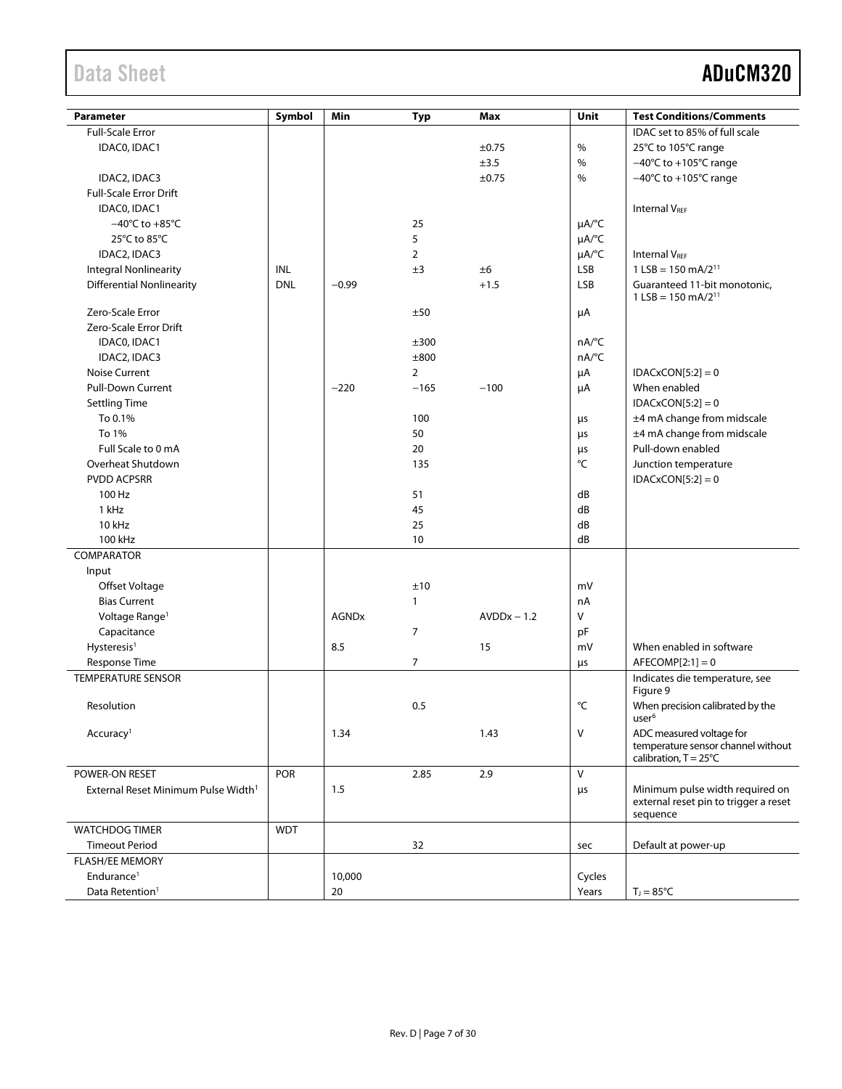| <b>Parameter</b>                                | Symbol     | Min          | <b>Typ</b>     | Max           | Unit                   | <b>Test Conditions/Comments</b>                                                         |
|-------------------------------------------------|------------|--------------|----------------|---------------|------------------------|-----------------------------------------------------------------------------------------|
| <b>Full-Scale Error</b>                         |            |              |                |               |                        | IDAC set to 85% of full scale                                                           |
| IDACO, IDAC1                                    |            |              |                | ±0.75         | $\%$                   | 25°C to 105°C range                                                                     |
|                                                 |            |              |                | ±3.5          | $\%$                   | $-40^{\circ}$ C to $+105^{\circ}$ C range                                               |
| IDAC2, IDAC3                                    |            |              |                | ±0.75         | %                      | $-40^{\circ}$ C to $+105^{\circ}$ C range                                               |
| <b>Full-Scale Error Drift</b>                   |            |              |                |               |                        |                                                                                         |
| IDACO, IDAC1                                    |            |              |                |               |                        | <b>Internal VREF</b>                                                                    |
| $-40^{\circ}$ C to $+85^{\circ}$ C              |            |              | 25             |               | $\mu A$ <sup>o</sup> C |                                                                                         |
| 25°C to 85°C                                    |            |              | 5              |               | $\mu A$ <sup>o</sup> C |                                                                                         |
| IDAC2, IDAC3                                    |            |              | $\overline{2}$ |               | $\mu A$ <sup>o</sup> C | <b>Internal VRFF</b>                                                                    |
| <b>Integral Nonlinearity</b>                    | INL        |              | ±3             | ±6            | <b>LSB</b>             | $1$ LSB = 150 mA/2 <sup>11</sup>                                                        |
| <b>Differential Nonlinearity</b>                | <b>DNL</b> | $-0.99$      |                | $+1.5$        | LSB                    | Guaranteed 11-bit monotonic,<br>$1$ LSB = 150 mA/2 <sup>11</sup>                        |
| Zero-Scale Error                                |            |              | ±50            |               | μA                     |                                                                                         |
| Zero-Scale Error Drift                          |            |              |                |               |                        |                                                                                         |
| IDACO, IDAC1                                    |            |              | ±300           |               | nA/°C                  |                                                                                         |
| IDAC2, IDAC3                                    |            |              | ±800           |               | nA/°C                  |                                                                                         |
| <b>Noise Current</b>                            |            |              | $\overline{2}$ |               | μA                     | $IDACKCON[5:2] = 0$                                                                     |
| <b>Pull-Down Current</b>                        |            | $-220$       | $-165$         | $-100$        | μA                     | When enabled                                                                            |
| <b>Settling Time</b>                            |            |              |                |               |                        | $IDACKCON[5:2] = 0$                                                                     |
| To 0.1%                                         |            |              | 100            |               | μs                     | ±4 mA change from midscale                                                              |
| To 1%                                           |            |              | 50             |               | μs                     | ±4 mA change from midscale                                                              |
| Full Scale to 0 mA                              |            |              | 20             |               | μs                     | Pull-down enabled                                                                       |
| Overheat Shutdown                               |            |              | 135            |               | $^{\circ}{\sf C}$      | Junction temperature                                                                    |
| <b>PVDD ACPSRR</b>                              |            |              |                |               |                        | $IDACKCON[5:2] = 0$                                                                     |
| 100 Hz                                          |            |              | 51             |               | dB                     |                                                                                         |
| 1 kHz                                           |            |              | 45             |               | dB                     |                                                                                         |
| 10 kHz                                          |            |              | 25             |               | dB                     |                                                                                         |
| 100 kHz                                         |            |              | 10             |               | dB                     |                                                                                         |
| COMPARATOR                                      |            |              |                |               |                        |                                                                                         |
| Input                                           |            |              |                |               |                        |                                                                                         |
| Offset Voltage                                  |            |              | ±10            |               | mV                     |                                                                                         |
| <b>Bias Current</b>                             |            |              | 1              |               | nA                     |                                                                                         |
| Voltage Range <sup>1</sup>                      |            | <b>AGNDx</b> |                | $AVDDx - 1.2$ | V                      |                                                                                         |
| Capacitance                                     |            |              | 7              |               | pF                     |                                                                                         |
| Hysteresis <sup>1</sup>                         |            | 8.5          |                | 15            | mV                     | When enabled in software                                                                |
| Response Time                                   |            |              | 7              |               | μs                     | $AFECOMP[2:1]=0$                                                                        |
| <b>TEMPERATURE SENSOR</b>                       |            |              |                |               |                        | Indicates die temperature, see<br>Figure 9                                              |
| Resolution                                      |            |              | 0.5            |               | °C                     | When precision calibrated by the<br>user <sup>6</sup>                                   |
| Accuracy <sup>1</sup>                           |            | 1.34         |                | 1.43          | V                      | ADC measured voltage for<br>temperature sensor channel without<br>calibration, T = 25°C |
| POWER-ON RESET                                  | <b>POR</b> |              | 2.85           | 2.9           | V                      |                                                                                         |
| External Reset Minimum Pulse Width <sup>1</sup> |            | 1.5          |                |               | μs                     | Minimum pulse width required on<br>external reset pin to trigger a reset<br>sequence    |
| <b>WATCHDOG TIMER</b>                           | <b>WDT</b> |              |                |               |                        |                                                                                         |
| <b>Timeout Period</b>                           |            |              | 32             |               | sec                    | Default at power-up                                                                     |
| <b>FLASH/EE MEMORY</b>                          |            |              |                |               |                        |                                                                                         |
| Endurance <sup>1</sup>                          |            | 10,000       |                |               | Cycles                 |                                                                                         |
| Data Retention <sup>1</sup>                     |            | 20           |                |               | Years                  | $T_{\text{J}} = 85^{\circ}C$                                                            |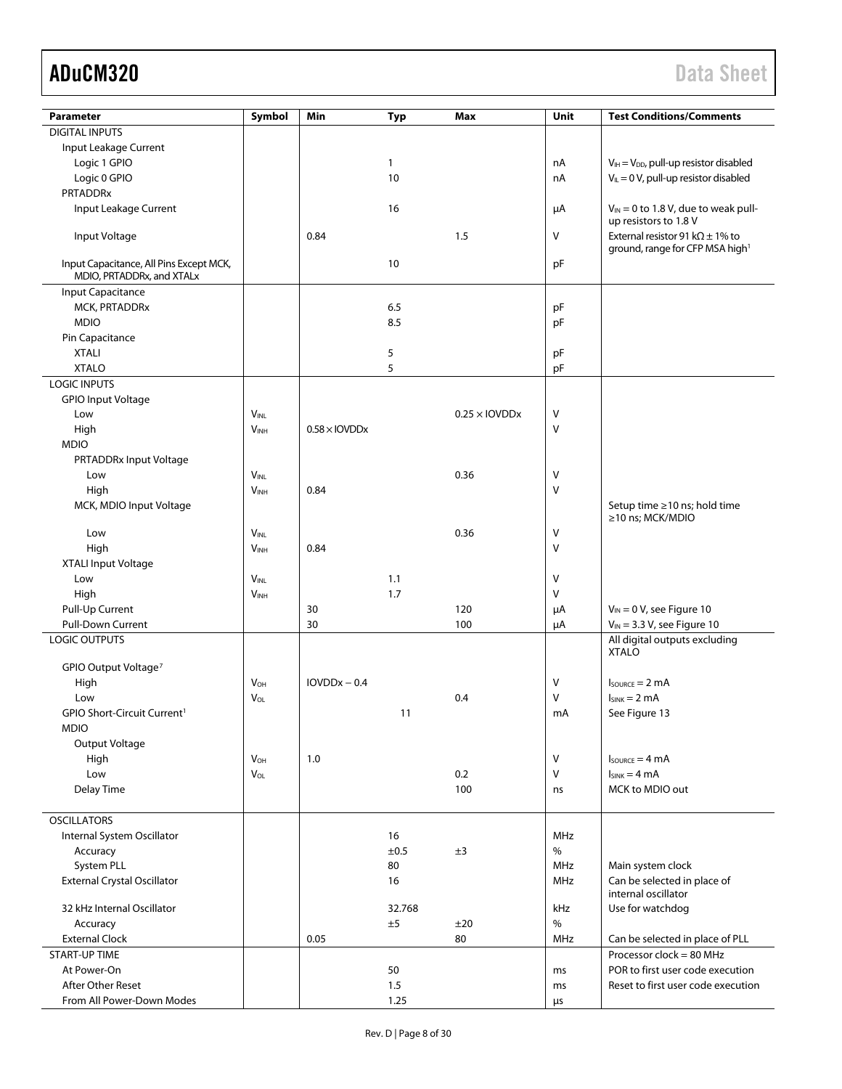| Parameter                                                            | Symbol                | Min                              | <b>Typ</b>   | Max                  | Unit       | <b>Test Conditions/Comments</b>                                                        |
|----------------------------------------------------------------------|-----------------------|----------------------------------|--------------|----------------------|------------|----------------------------------------------------------------------------------------|
| <b>DIGITAL INPUTS</b>                                                |                       |                                  |              |                      |            |                                                                                        |
|                                                                      |                       |                                  |              |                      |            |                                                                                        |
| Input Leakage Current                                                |                       |                                  |              |                      |            |                                                                                        |
| Logic 1 GPIO                                                         |                       |                                  | $\mathbf{1}$ |                      | nA         | $V_{IH} = V_{DD}$ , pull-up resistor disabled                                          |
| Logic 0 GPIO                                                         |                       |                                  | 10           |                      | nA         | $V_{IL} = 0 V$ , pull-up resistor disabled                                             |
| <b>PRTADDRx</b>                                                      |                       |                                  |              |                      |            |                                                                                        |
| Input Leakage Current                                                |                       |                                  | 16           |                      | μA         | $V_{IN}$ = 0 to 1.8 V, due to weak pull-                                               |
|                                                                      |                       |                                  |              |                      |            | up resistors to 1.8 V                                                                  |
| Input Voltage                                                        |                       | 0.84                             |              | 1.5                  | V          | External resistor 91 k $\Omega$ ± 1% to<br>ground, range for CFP MSA high <sup>1</sup> |
|                                                                      |                       |                                  |              |                      |            |                                                                                        |
| Input Capacitance, All Pins Except MCK,<br>MDIO, PRTADDRx, and XTALx |                       |                                  | 10           |                      | pF         |                                                                                        |
| Input Capacitance                                                    |                       |                                  |              |                      |            |                                                                                        |
| MCK, PRTADDRx                                                        |                       |                                  | 6.5          |                      | pF         |                                                                                        |
| <b>MDIO</b>                                                          |                       |                                  |              |                      |            |                                                                                        |
|                                                                      |                       |                                  | 8.5          |                      | pF         |                                                                                        |
| Pin Capacitance                                                      |                       |                                  |              |                      |            |                                                                                        |
| <b>XTALI</b>                                                         |                       |                                  | 5            |                      | pF         |                                                                                        |
| <b>XTALO</b>                                                         |                       |                                  | 5            |                      | pF         |                                                                                        |
| <b>LOGIC INPUTS</b>                                                  |                       |                                  |              |                      |            |                                                                                        |
| <b>GPIO Input Voltage</b>                                            |                       |                                  |              |                      |            |                                                                                        |
| Low                                                                  | VINL                  |                                  |              | $0.25 \times$ IOVDDx | V          |                                                                                        |
| High                                                                 | V <sub>INH</sub>      | $0.58 \times$ IOVDD <sub>x</sub> |              |                      | Λ          |                                                                                        |
| <b>MDIO</b>                                                          |                       |                                  |              |                      |            |                                                                                        |
| PRTADDRx Input Voltage                                               |                       |                                  |              |                      |            |                                                                                        |
| Low                                                                  | <b>VINL</b>           |                                  |              | 0.36                 | ٧          |                                                                                        |
| High                                                                 | V <sub>INH</sub>      | 0.84                             |              |                      | Λ          |                                                                                        |
| MCK, MDIO Input Voltage                                              |                       |                                  |              |                      |            | Setup time ≥10 ns; hold time                                                           |
|                                                                      |                       |                                  |              |                      |            | ≥10 ns; MCK/MDIO                                                                       |
| Low                                                                  | $V_{INL}$             |                                  |              | 0.36                 | V          |                                                                                        |
| High                                                                 | <b>VINH</b>           | 0.84                             |              |                      | V          |                                                                                        |
| XTALI Input Voltage                                                  |                       |                                  |              |                      |            |                                                                                        |
| Low                                                                  | <b>VINL</b>           |                                  | 1.1          |                      | Λ          |                                                                                        |
| High                                                                 | <b>VINH</b>           |                                  | 1.7          |                      | v          |                                                                                        |
| Pull-Up Current                                                      |                       | 30                               |              | 120                  | μA         | $V_{IN} = 0 V$ , see Figure 10                                                         |
| <b>Pull-Down Current</b>                                             |                       | 30                               |              | 100                  | μA         | $V_{IN}$ = 3.3 V, see Figure 10                                                        |
| <b>LOGIC OUTPUTS</b>                                                 |                       |                                  |              |                      |            | All digital outputs excluding                                                          |
|                                                                      |                       |                                  |              |                      |            | <b>XTALO</b>                                                                           |
| GPIO Output Voltage <sup>7</sup>                                     |                       |                                  |              |                      |            |                                                                                        |
| High                                                                 | <b>V<sub>OH</sub></b> | $IOVDDx - 0.4$                   |              |                      | ٧          | $I_{\text{SOWRCE}} = 2 \text{ mA}$                                                     |
| Low                                                                  | $V_{OL}$              |                                  |              | 0.4                  | V          | $I_{SINK} = 2 mA$                                                                      |
| GPIO Short-Circuit Current <sup>1</sup>                              |                       |                                  | 11           |                      | mA         | See Figure 13                                                                          |
| <b>MDIO</b>                                                          |                       |                                  |              |                      |            |                                                                                        |
| Output Voltage                                                       |                       |                                  |              |                      |            |                                                                                        |
| High                                                                 | $V_{OH}$              | 1.0                              |              |                      | V          | $I_{\text{SOWRCE}} = 4 \text{ mA}$                                                     |
| Low                                                                  | VOL                   |                                  |              | 0.2                  | v          | $I_{SINK} = 4 mA$                                                                      |
| Delay Time                                                           |                       |                                  |              | 100                  | ns         | MCK to MDIO out                                                                        |
|                                                                      |                       |                                  |              |                      |            |                                                                                        |
| <b>OSCILLATORS</b>                                                   |                       |                                  |              |                      |            |                                                                                        |
|                                                                      |                       |                                  |              |                      |            |                                                                                        |
| Internal System Oscillator                                           |                       |                                  | 16           |                      | <b>MHz</b> |                                                                                        |
| Accuracy                                                             |                       |                                  | ±0.5         | ±3                   | $\%$       |                                                                                        |
| System PLL                                                           |                       |                                  | 80           |                      | <b>MHz</b> | Main system clock                                                                      |
| <b>External Crystal Oscillator</b>                                   |                       |                                  | 16           |                      | <b>MHz</b> | Can be selected in place of                                                            |
|                                                                      |                       |                                  |              |                      |            | internal oscillator                                                                    |
| 32 kHz Internal Oscillator                                           |                       |                                  | 32.768       |                      | kHz        | Use for watchdog                                                                       |
| Accuracy                                                             |                       |                                  | ±5           | ±20                  | $\%$       |                                                                                        |
| <b>External Clock</b>                                                |                       | 0.05                             |              | 80                   | <b>MHz</b> | Can be selected in place of PLL                                                        |
| <b>START-UP TIME</b>                                                 |                       |                                  |              |                      |            | Processor clock = $80$ MHz                                                             |
| At Power-On                                                          |                       |                                  | 50           |                      | ms         | POR to first user code execution                                                       |
| <b>After Other Reset</b>                                             |                       |                                  | 1.5          |                      | ms         | Reset to first user code execution                                                     |
| From All Power-Down Modes                                            |                       |                                  | 1.25         |                      | μs         |                                                                                        |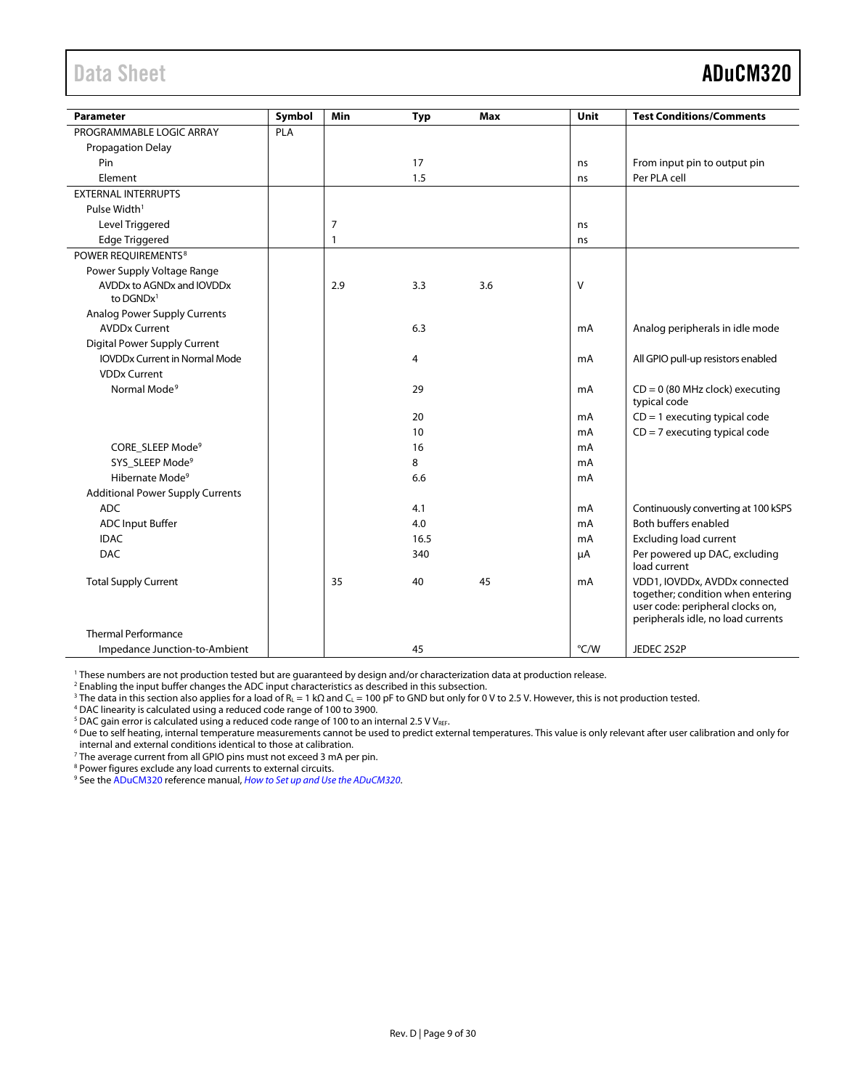<span id="page-8-0"></span>

| <b>Parameter</b>                         | Symbol | Min          | <b>Typ</b> | Max | Unit   | <b>Test Conditions/Comments</b>                                                                                                              |
|------------------------------------------|--------|--------------|------------|-----|--------|----------------------------------------------------------------------------------------------------------------------------------------------|
| PROGRAMMABLE LOGIC ARRAY                 | PLA    |              |            |     |        |                                                                                                                                              |
| <b>Propagation Delay</b>                 |        |              |            |     |        |                                                                                                                                              |
| Pin                                      |        |              | 17         |     | ns     | From input pin to output pin                                                                                                                 |
| Element                                  |        |              | 1.5        |     | ns     | Per PLA cell                                                                                                                                 |
| <b>EXTERNAL INTERRUPTS</b>               |        |              |            |     |        |                                                                                                                                              |
| Pulse Width <sup>1</sup>                 |        |              |            |     |        |                                                                                                                                              |
| Level Triggered                          |        | 7            |            |     | ns     |                                                                                                                                              |
| <b>Edge Triggered</b>                    |        | $\mathbf{1}$ |            |     | ns     |                                                                                                                                              |
| POWER REOUIREMENTS <sup>8</sup>          |        |              |            |     |        |                                                                                                                                              |
| Power Supply Voltage Range               |        |              |            |     |        |                                                                                                                                              |
| AVDDx to AGNDx and IOVDDx<br>to $DGNDx1$ |        | 2.9          | 3.3        | 3.6 | $\vee$ |                                                                                                                                              |
| <b>Analog Power Supply Currents</b>      |        |              |            |     |        |                                                                                                                                              |
| <b>AVDDx Current</b>                     |        |              | 6.3        |     | mA     | Analog peripherals in idle mode                                                                                                              |
| Digital Power Supply Current             |        |              |            |     |        |                                                                                                                                              |
| <b>IOVDDx Current in Normal Mode</b>     |        |              | 4          |     | mA     | All GPIO pull-up resistors enabled                                                                                                           |
| <b>VDDx Current</b>                      |        |              |            |     |        |                                                                                                                                              |
| Normal Mode <sup>9</sup>                 |        |              | 29         |     | mA     | $CD = 0$ (80 MHz clock) executing<br>typical code                                                                                            |
|                                          |        |              | 20         |     | mA     | $CD = 1$ executing typical code                                                                                                              |
|                                          |        |              | 10         |     | mA     | $CD = 7$ executing typical code                                                                                                              |
| CORE_SLEEP Mode <sup>9</sup>             |        |              | 16         |     | mA     |                                                                                                                                              |
| SYS SLEEP Mode <sup>9</sup>              |        |              | 8          |     | mA     |                                                                                                                                              |
| Hibernate Mode <sup>9</sup>              |        |              | 6.6        |     | mA     |                                                                                                                                              |
| <b>Additional Power Supply Currents</b>  |        |              |            |     |        |                                                                                                                                              |
| <b>ADC</b>                               |        |              | 4.1        |     | mA     | Continuously converting at 100 kSPS                                                                                                          |
| <b>ADC Input Buffer</b>                  |        |              | 4.0        |     | mA     | Both buffers enabled                                                                                                                         |
| <b>IDAC</b>                              |        |              | 16.5       |     | mA     | <b>Excluding load current</b>                                                                                                                |
| <b>DAC</b>                               |        |              | 340        |     | μA     | Per powered up DAC, excluding<br>load current                                                                                                |
| <b>Total Supply Current</b>              |        | 35           | 40         | 45  | mA     | VDD1, IOVDDx, AVDDx connected<br>together; condition when entering<br>user code: peripheral clocks on,<br>peripherals idle, no load currents |
| Thermal Performance                      |        |              |            |     |        |                                                                                                                                              |
| Impedance Junction-to-Ambient            |        |              | 45         |     | °C/W   | JEDEC 2S2P                                                                                                                                   |

<sup>1</sup> These numbers are not production tested but are guaranteed by design and/or characterization data at production release.

<sup>2</sup> Enabling the input buffer changes the ADC input characteristics as described in this subsection.

<sup>3</sup> The data in this section also applies for a load of R<sub>L</sub> = 1 kΩ and C<sub>L</sub> = 100 pF to GND but only for 0 V to 2.5 V. However, this is not production tested.

<sup>4</sup> DAC linearity is calculated using a reduced code range of 100 to 3900.

<sup>5</sup> DAC gain error is calculated using a reduced code range of 100 to an internal 2.5 V VREF.

<sup>6</sup> Due to self heating, internal temperature measurements cannot be used to predict external temperatures. This value is only relevant after user calibration and only for internal and external conditions identical to those at calibration.

<sup>7</sup> The average current from all GPIO pins must not exceed 3 mA per pin.

<sup>8</sup> Power figures exclude any load currents to external circuits.

<sup>9</sup> See th[e ADuCM320](http://www.analog.com/ADuCM320?doc=ADuCM320.pdf) reference manual, *[How to Set up and Use the ADuCM320](http://www.analog.com/UG-498?doc=ADuCM320.pdf)*.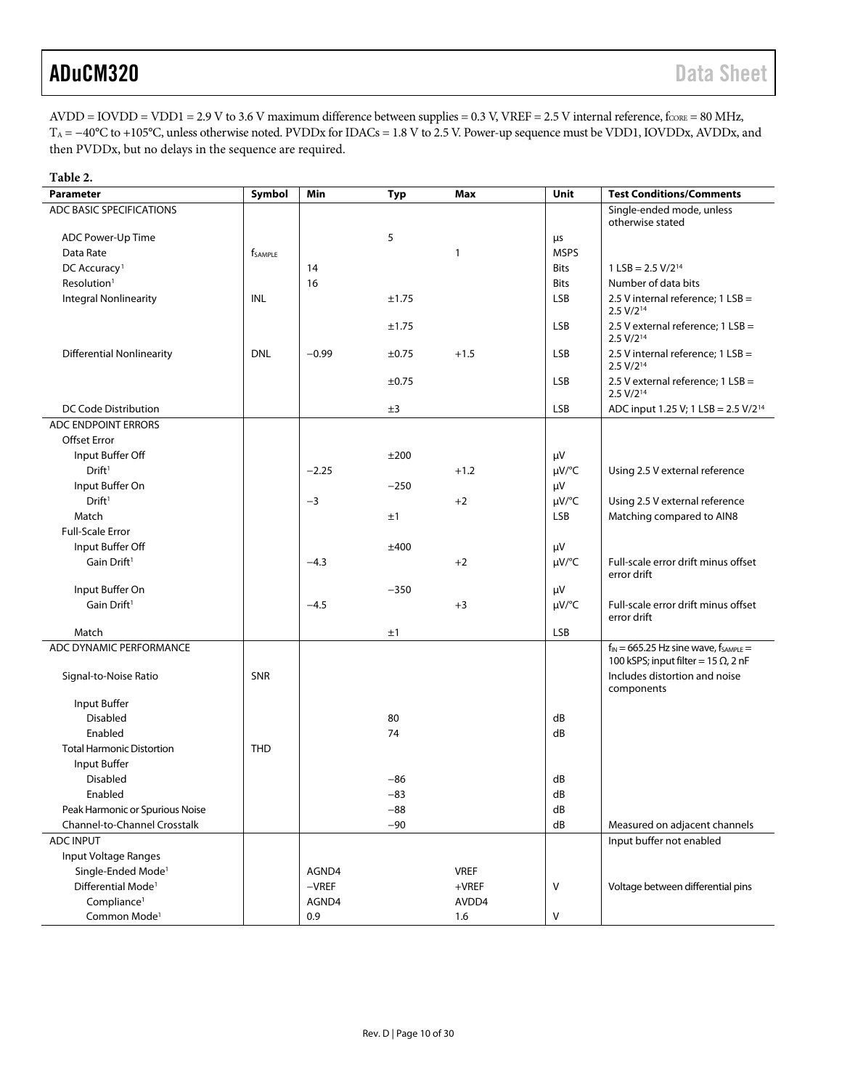$AVDD = IOVDD = VDD1 = 2.9 V to 3.6 V maximum difference between supplies = 0.3 V, VREF = 2.5 V internal reference, f<sub>CORE</sub> = 80 MHz,$ T<sub>A</sub> = −40°C to +105°C, unless otherwise noted. PVDDx for IDACs = 1.8 V to 2.5 V. Power-up sequence must be VDD1, IOVDDx, AVDDx, and then PVDDx, but no delays in the sequence are required.

| Table 2.                         |                            |         |            |              |             |                                                                                               |
|----------------------------------|----------------------------|---------|------------|--------------|-------------|-----------------------------------------------------------------------------------------------|
| <b>Parameter</b>                 | Symbol                     | Min     | <b>Typ</b> | Max          | Unit        | <b>Test Conditions/Comments</b>                                                               |
| ADC BASIC SPECIFICATIONS         |                            |         |            |              |             | Single-ended mode, unless<br>otherwise stated                                                 |
| ADC Power-Up Time                |                            |         | 5          |              | μs          |                                                                                               |
| Data Rate                        | <b>f</b> <sub>SAMPLE</sub> |         |            | $\mathbf{1}$ | <b>MSPS</b> |                                                                                               |
| DC Accuracy <sup>1</sup>         |                            | 14      |            |              | <b>Bits</b> | $1$ LSB = 2.5 V/2 <sup>14</sup>                                                               |
| Resolution <sup>1</sup>          |                            | 16      |            |              | <b>Bits</b> | Number of data bits                                                                           |
| <b>Integral Nonlinearity</b>     | INL                        |         | ±1.75      |              | <b>LSB</b>  | 2.5 V internal reference; $1$ LSB =<br>$2.5 V/2^{14}$                                         |
|                                  |                            |         | ±1.75      |              | <b>LSB</b>  | 2.5 V external reference; 1 LSB =<br>2.5 V/2 <sup>14</sup>                                    |
| Differential Nonlinearity        | <b>DNL</b>                 | $-0.99$ | ±0.75      | $+1.5$       | <b>LSB</b>  | 2.5 V internal reference; 1 LSB =<br>$2.5 V/2^{14}$                                           |
|                                  |                            |         | ±0.75      |              | <b>LSB</b>  | 2.5 V external reference; 1 LSB =<br>$2.5 V/2^{14}$                                           |
| DC Code Distribution             |                            |         | ±3         |              | <b>LSB</b>  | ADC input 1.25 V; 1 LSB = $2.5$ V/ $2^{14}$                                                   |
| ADC ENDPOINT ERRORS              |                            |         |            |              |             |                                                                                               |
| <b>Offset Error</b>              |                            |         |            |              |             |                                                                                               |
| Input Buffer Off                 |                            |         | ±200       |              | μV          |                                                                                               |
| Drift <sup>1</sup>               |                            | $-2.25$ |            | $+1.2$       | $\mu V$ /°C | Using 2.5 V external reference                                                                |
| Input Buffer On                  |                            |         | $-250$     |              | μV          |                                                                                               |
| Drift <sup>1</sup>               |                            | $-3$    |            | $+2$         | $\mu V$ /°C | Using 2.5 V external reference                                                                |
| Match                            |                            |         | ±1         |              | <b>LSB</b>  | Matching compared to AIN8                                                                     |
| <b>Full-Scale Error</b>          |                            |         |            |              |             |                                                                                               |
| Input Buffer Off                 |                            |         | ±400       |              | μV          |                                                                                               |
| Gain Drift <sup>1</sup>          |                            | $-4.3$  |            | $+2$         | $\mu V$ /°C | Full-scale error drift minus offset<br>error drift                                            |
| Input Buffer On                  |                            |         | $-350$     |              | μV          |                                                                                               |
| Gain Drift <sup>1</sup>          |                            | $-4.5$  |            | $+3$         | $\mu V$ /°C | Full-scale error drift minus offset<br>error drift                                            |
| Match                            |                            |         | ±1         |              | LSB         |                                                                                               |
| ADC DYNAMIC PERFORMANCE          |                            |         |            |              |             | $f_{IN} = 665.25$ Hz sine wave, $f_{SAMPLE} =$<br>100 kSPS; input filter = 15 $\Omega$ , 2 nF |
| Signal-to-Noise Ratio            | SNR                        |         |            |              |             | Includes distortion and noise<br>components                                                   |
| Input Buffer                     |                            |         |            |              |             |                                                                                               |
| Disabled                         |                            |         | 80         |              | dB          |                                                                                               |
| Enabled                          |                            |         | 74         |              | dB          |                                                                                               |
| <b>Total Harmonic Distortion</b> | <b>THD</b>                 |         |            |              |             |                                                                                               |
| Input Buffer                     |                            |         |            |              |             |                                                                                               |
| Disabled                         |                            |         | $-86$      |              | dB          |                                                                                               |
| Enabled                          |                            |         | $-83$      |              | dB          |                                                                                               |
| Peak Harmonic or Spurious Noise  |                            |         | $-88$      |              | dB          |                                                                                               |
| Channel-to-Channel Crosstalk     |                            |         | $-90$      |              | dB          | Measured on adjacent channels                                                                 |
| <b>ADC INPUT</b>                 |                            |         |            |              |             | Input buffer not enabled                                                                      |
| Input Voltage Ranges             |                            |         |            |              |             |                                                                                               |
| Single-Ended Mode <sup>1</sup>   |                            | AGND4   |            | <b>VREF</b>  |             |                                                                                               |
| Differential Mode <sup>1</sup>   |                            | $-VREF$ |            | $+$ VREF     | V           | Voltage between differential pins                                                             |
| Compliance <sup>1</sup>          |                            | AGND4   |            | AVDD4        |             |                                                                                               |
| Common Mode <sup>1</sup>         |                            | 0.9     |            | 1.6          | V           |                                                                                               |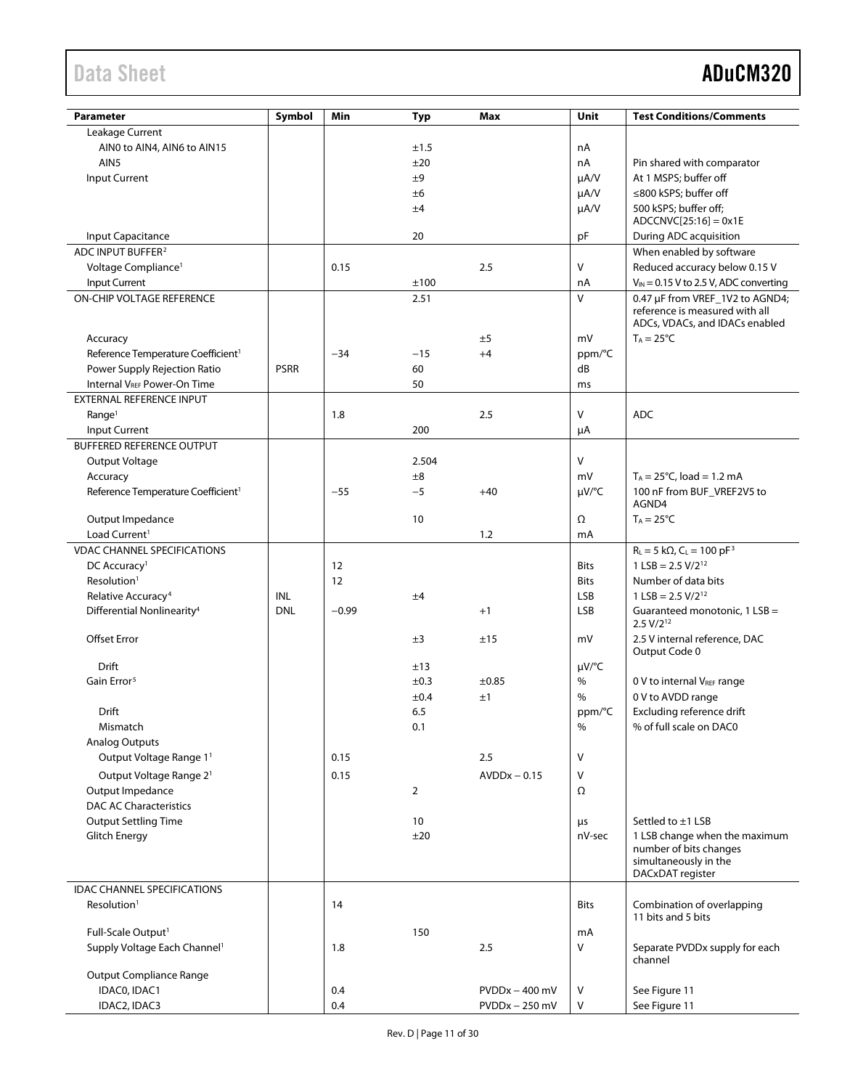| <b>Parameter</b>                               | Symbol      | Min     | <b>Typ</b>     | Max              | Unit         | <b>Test Conditions/Comments</b>                                                                      |
|------------------------------------------------|-------------|---------|----------------|------------------|--------------|------------------------------------------------------------------------------------------------------|
| Leakage Current                                |             |         |                |                  |              |                                                                                                      |
| AIN0 to AIN4, AIN6 to AIN15                    |             |         | ±1.5           |                  | nA           |                                                                                                      |
| AIN <sub>5</sub>                               |             |         | ±20            |                  | nA           | Pin shared with comparator                                                                           |
| <b>Input Current</b>                           |             |         | ±9             |                  | $\mu A/V$    | At 1 MSPS; buffer off                                                                                |
|                                                |             |         | ±6             |                  | $\mu A/V$    | ≤800 kSPS; buffer off                                                                                |
|                                                |             |         |                |                  |              |                                                                                                      |
|                                                |             |         | ±4             |                  | $\mu A/V$    | 500 kSPS; buffer off;<br>$ADCCNVC[25:16] = 0x1E$                                                     |
| Input Capacitance                              |             |         | 20             |                  | pF           | During ADC acquisition                                                                               |
| ADC INPUT BUFFER <sup>2</sup>                  |             |         |                |                  |              | When enabled by software                                                                             |
|                                                |             |         |                |                  |              |                                                                                                      |
| Voltage Compliance <sup>1</sup>                |             | 0.15    |                | 2.5              | V            | Reduced accuracy below 0.15 V                                                                        |
| Input Current                                  |             |         | ±100           |                  | nA           | $V_{IN}$ = 0.15 V to 2.5 V, ADC converting                                                           |
| <b>ON-CHIP VOLTAGE REFERENCE</b>               |             |         | 2.51           |                  | $\mathsf{V}$ | 0.47 µF from VREF_1V2 to AGND4;<br>reference is measured with all<br>ADCs, VDACs, and IDACs enabled  |
| Accuracy                                       |             |         |                | ±5               | mV           | $T_A = 25^{\circ}C$                                                                                  |
| Reference Temperature Coefficient <sup>1</sup> |             | $-34$   | $-15$          | $+4$             | ppm/°C       |                                                                                                      |
| Power Supply Rejection Ratio                   | <b>PSRR</b> |         | 60             |                  | dB           |                                                                                                      |
| Internal V <sub>REF</sub> Power-On Time        |             |         | 50             |                  | ms           |                                                                                                      |
| EXTERNAL REFERENCE INPUT                       |             |         |                |                  |              |                                                                                                      |
| Range <sup>1</sup>                             |             | 1.8     |                | 2.5              | V            | <b>ADC</b>                                                                                           |
| Input Current                                  |             |         | 200            |                  | μA           |                                                                                                      |
| <b>BUFFERED REFERENCE OUTPUT</b>               |             |         |                |                  |              |                                                                                                      |
|                                                |             |         |                |                  |              |                                                                                                      |
| Output Voltage                                 |             |         | 2.504          |                  | $\vee$       |                                                                                                      |
| Accuracy                                       |             |         | ±8             |                  | mV           | $T_A = 25^{\circ}C$ , load = 1.2 mA                                                                  |
| Reference Temperature Coefficient <sup>1</sup> |             | $-55$   | $-5$           | $+40$            | µV/°C        | 100 nF from BUF_VREF2V5 to                                                                           |
|                                                |             |         |                |                  |              | AGND4                                                                                                |
| Output Impedance                               |             |         | 10             |                  | Ω            | $T_A = 25^{\circ}C$                                                                                  |
| Load Current <sup>1</sup>                      |             |         |                | 1.2              | mA           |                                                                                                      |
| <b>VDAC CHANNEL SPECIFICATIONS</b>             |             |         |                |                  |              | $R_L = 5 k\Omega$ , $C_L = 100 pF^3$                                                                 |
| DC Accuracy <sup>1</sup>                       |             | 12      |                |                  | <b>Bits</b>  | $1$ LSB = 2.5 V/2 <sup>12</sup>                                                                      |
| Resolution <sup>1</sup>                        |             | 12      |                |                  | <b>Bits</b>  | Number of data bits                                                                                  |
| Relative Accuracy <sup>4</sup>                 | INL         |         | ±4             |                  | LSB          | $1$ LSB = 2.5 V/2 <sup>12</sup>                                                                      |
| Differential Nonlinearity <sup>4</sup>         | <b>DNL</b>  | $-0.99$ |                | $+1$             | <b>LSB</b>   | Guaranteed monotonic, 1 LSB =<br>$2.5 V/2^{12}$                                                      |
| <b>Offset Error</b>                            |             |         | ±3             | ±15              | mV           | 2.5 V internal reference, DAC<br>Output Code 0                                                       |
| Drift                                          |             |         | ±13            |                  | µV/°C        |                                                                                                      |
| Gain Error <sup>5</sup>                        |             |         | ±0.3           | ±0.85            | %            | 0 V to internal VREF range                                                                           |
|                                                |             |         | ±0.4           | ±1               | %            | 0 V to AVDD range                                                                                    |
| Drift                                          |             |         | 6.5            |                  | ppm/°C       | Excluding reference drift                                                                            |
| Mismatch                                       |             |         | 0.1            |                  | $\%$         | % of full scale on DAC0                                                                              |
| <b>Analog Outputs</b>                          |             |         |                |                  |              |                                                                                                      |
| Output Voltage Range 11                        |             | 0.15    |                | 2.5              | V            |                                                                                                      |
| Output Voltage Range 2 <sup>1</sup>            |             | 0.15    |                | $AVDDx - 0.15$   | V            |                                                                                                      |
| Output Impedance                               |             |         | $\overline{2}$ |                  | Ω            |                                                                                                      |
| <b>DAC AC Characteristics</b>                  |             |         |                |                  |              |                                                                                                      |
|                                                |             |         |                |                  |              |                                                                                                      |
| <b>Output Settling Time</b>                    |             |         | 10             |                  | μs           | Settled to ±1 LSB                                                                                    |
| <b>Glitch Energy</b>                           |             |         | ±20            |                  | nV-sec       | 1 LSB change when the maximum<br>number of bits changes<br>simultaneously in the<br>DACxDAT register |
| <b>IDAC CHANNEL SPECIFICATIONS</b>             |             |         |                |                  |              |                                                                                                      |
| Resolution <sup>1</sup>                        |             | 14      |                |                  | <b>Bits</b>  | Combination of overlapping<br>11 bits and 5 bits                                                     |
| Full-Scale Output <sup>1</sup>                 |             |         | 150            |                  | mA           |                                                                                                      |
| Supply Voltage Each Channel <sup>1</sup>       |             | 1.8     |                | 2.5              | $\vee$       | Separate PVDDx supply for each                                                                       |
| <b>Output Compliance Range</b>                 |             |         |                |                  |              | channel                                                                                              |
| IDACO, IDAC1                                   |             | 0.4     |                | $PVDDx - 400$ mV | V            | See Figure 11                                                                                        |
| IDAC2, IDAC3                                   |             | 0.4     |                | $PVDDx - 250$ mV | V            | See Figure 11                                                                                        |
|                                                |             |         |                |                  |              |                                                                                                      |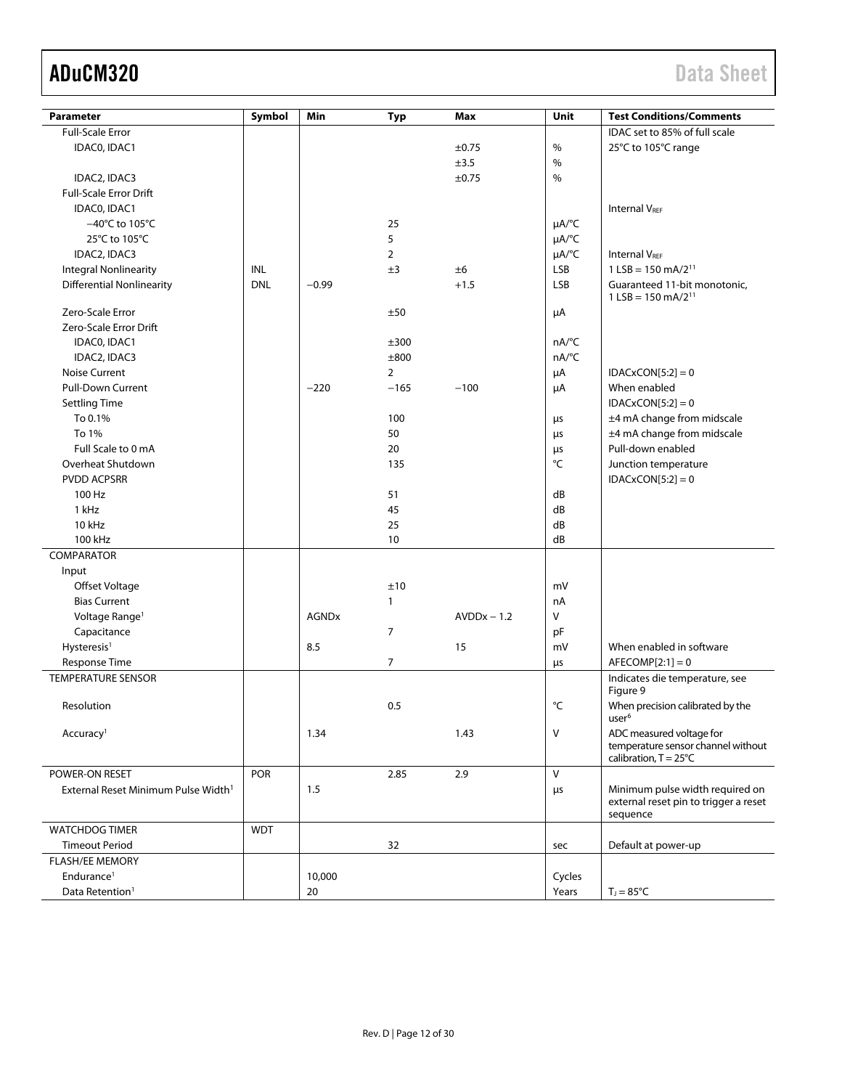| <b>Parameter</b>                                | Symbol     | Min          | <b>Typ</b>     | Max           | Unit                   | <b>Test Conditions/Comments</b>                                      |
|-------------------------------------------------|------------|--------------|----------------|---------------|------------------------|----------------------------------------------------------------------|
| <b>Full-Scale Error</b>                         |            |              |                |               |                        | IDAC set to 85% of full scale                                        |
| IDAC0, IDAC1                                    |            |              |                | ±0.75         | %                      | 25°C to 105°C range                                                  |
|                                                 |            |              |                | ±3.5          | %                      |                                                                      |
| IDAC2, IDAC3                                    |            |              |                | ±0.75         | $\%$                   |                                                                      |
| <b>Full-Scale Error Drift</b>                   |            |              |                |               |                        |                                                                      |
| IDACO, IDAC1                                    |            |              |                |               |                        | <b>Internal VREF</b>                                                 |
| $-40^{\circ}$ C to 105 $^{\circ}$ C             |            |              | 25             |               | $\mu A$ <sup>o</sup> C |                                                                      |
| 25°C to 105°C                                   |            |              | 5              |               | µA/°C                  |                                                                      |
| IDAC2, IDAC3                                    |            |              | $\overline{2}$ |               | µA/°C                  | <b>Internal VRFF</b>                                                 |
| <b>Integral Nonlinearity</b>                    | INL        |              | ±3             | ±6            | LSB                    | $1$ LSB = 150 mA/2 <sup>11</sup>                                     |
| <b>Differential Nonlinearity</b>                | <b>DNL</b> | $-0.99$      |                | $+1.5$        | LSB                    | Guaranteed 11-bit monotonic,                                         |
|                                                 |            |              |                |               |                        | $1$ LSB = 150 mA/2 <sup>11</sup>                                     |
| Zero-Scale Error                                |            |              | ±50            |               | μA                     |                                                                      |
| Zero-Scale Error Drift                          |            |              |                |               |                        |                                                                      |
| IDAC0, IDAC1                                    |            |              | ±300           |               | nA/°C                  |                                                                      |
| IDAC2, IDAC3                                    |            |              | ±800           |               | nA/°C                  |                                                                      |
| Noise Current                                   |            |              | $\overline{2}$ |               | μA                     | $IDACKCON[5:2] = 0$                                                  |
| <b>Pull-Down Current</b>                        |            | $-220$       | $-165$         | $-100$        | μA                     | When enabled                                                         |
| <b>Settling Time</b>                            |            |              |                |               |                        | $IDACKCON[5:2] = 0$                                                  |
| To 0.1%                                         |            |              | 100            |               | μs                     | ±4 mA change from midscale                                           |
| To 1%                                           |            |              | 50             |               | μs                     | ±4 mA change from midscale                                           |
| Full Scale to 0 mA                              |            |              | 20             |               | μs                     | Pull-down enabled                                                    |
| Overheat Shutdown                               |            |              | 135            |               | °C                     | Junction temperature                                                 |
| <b>PVDD ACPSRR</b>                              |            |              |                |               |                        | $IDACKCON[5:2] = 0$                                                  |
| 100 Hz                                          |            |              | 51             |               | dB                     |                                                                      |
| 1 kHz                                           |            |              | 45             |               | dB                     |                                                                      |
| 10 kHz                                          |            |              | 25             |               | dB                     |                                                                      |
| 100 kHz                                         |            |              | 10             |               | dB                     |                                                                      |
| COMPARATOR                                      |            |              |                |               |                        |                                                                      |
| Input                                           |            |              |                |               |                        |                                                                      |
| Offset Voltage                                  |            |              | ±10            |               | mV                     |                                                                      |
| <b>Bias Current</b>                             |            |              | $\mathbf{1}$   |               | nA                     |                                                                      |
| Voltage Range <sup>1</sup>                      |            | <b>AGNDx</b> |                | $AVDDx - 1.2$ | V                      |                                                                      |
| Capacitance                                     |            |              | $\overline{7}$ |               | pF                     |                                                                      |
| Hysteresis <sup>1</sup>                         |            | 8.5          |                | 15            | mV                     | When enabled in software                                             |
| <b>Response Time</b>                            |            |              | $\overline{7}$ |               | μs                     | $AFECOMP[2:1]=0$                                                     |
| <b>TEMPERATURE SENSOR</b>                       |            |              |                |               |                        | Indicates die temperature, see                                       |
|                                                 |            |              |                |               |                        | Figure 9                                                             |
| Resolution                                      |            |              | 0.5            |               | °C                     | When precision calibrated by the                                     |
|                                                 |            |              |                |               |                        | user <sup>6</sup>                                                    |
| Accuracy <sup>1</sup>                           |            | 1.34         |                | 1.43          | V                      | ADC measured voltage for                                             |
|                                                 |            |              |                |               |                        | temperature sensor channel without<br>calibration, $T = 25^{\circ}C$ |
| POWER-ON RESET                                  | <b>POR</b> |              | 2.85           | 2.9           | $\vee$                 |                                                                      |
|                                                 |            | 1.5          |                |               |                        | Minimum pulse width required on                                      |
| External Reset Minimum Pulse Width <sup>1</sup> |            |              |                |               | $\mu$ s                | external reset pin to trigger a reset                                |
|                                                 |            |              |                |               |                        | sequence                                                             |
| <b>WATCHDOG TIMER</b>                           | <b>WDT</b> |              |                |               |                        |                                                                      |
| <b>Timeout Period</b>                           |            |              | 32             |               | sec                    | Default at power-up                                                  |
| <b>FLASH/EE MEMORY</b>                          |            |              |                |               |                        |                                                                      |
| Endurance <sup>1</sup>                          |            | 10,000       |                |               | Cycles                 |                                                                      |
| Data Retention <sup>1</sup>                     |            | 20           |                |               | Years                  | $T_J = 85^{\circ}C$                                                  |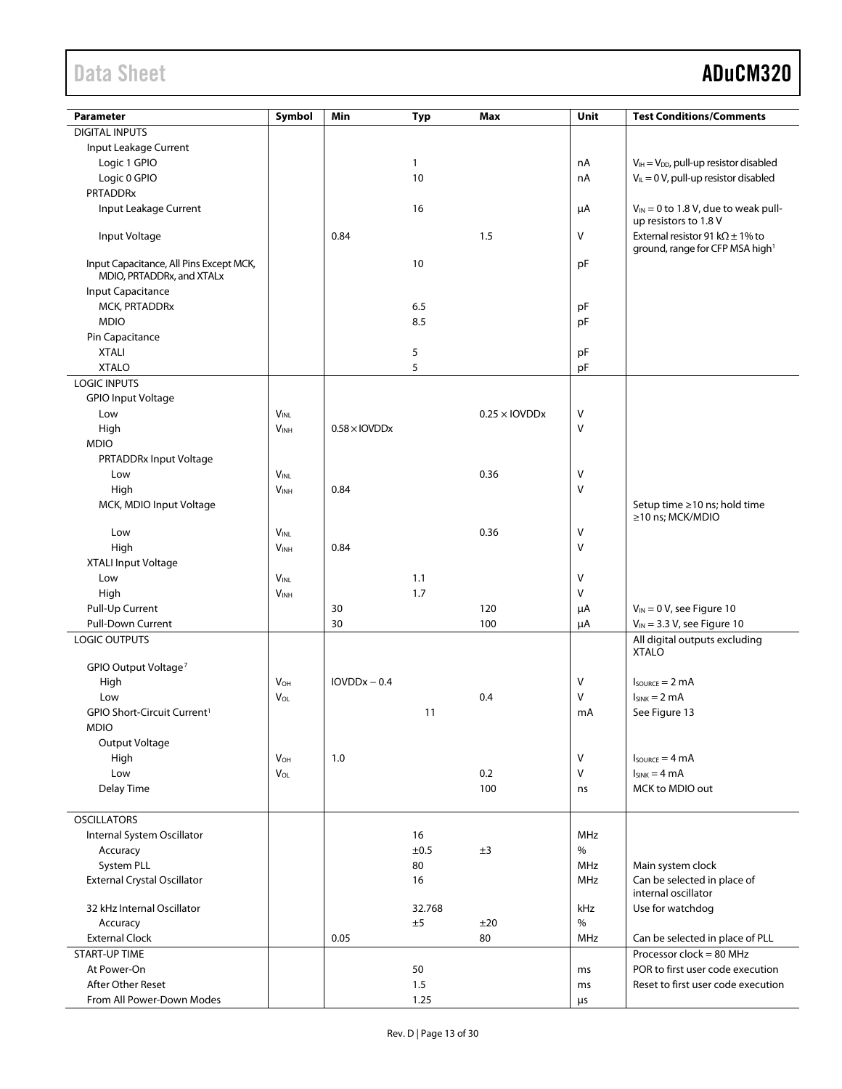| Parameter                               | Symbol                 | Min                              | <b>Typ</b> | Max                  | Unit       | <b>Test Conditions/Comments</b>                    |
|-----------------------------------------|------------------------|----------------------------------|------------|----------------------|------------|----------------------------------------------------|
| <b>DIGITAL INPUTS</b>                   |                        |                                  |            |                      |            |                                                    |
| Input Leakage Current                   |                        |                                  |            |                      |            |                                                    |
| Logic 1 GPIO                            |                        |                                  | 1          |                      | nA         | $V_{IH} = V_{DD}$ , pull-up resistor disabled      |
| Logic 0 GPIO                            |                        |                                  | 10         |                      | nA         | $V_{IL} = 0 V$ , pull-up resistor disabled         |
| PRTADDRx                                |                        |                                  |            |                      |            |                                                    |
| Input Leakage Current                   |                        |                                  | 16         |                      | μA         | $V_{IN}$ = 0 to 1.8 V, due to weak pull-           |
|                                         |                        |                                  |            |                      |            | up resistors to 1.8 V                              |
| Input Voltage                           |                        | 0.84                             |            | 1.5                  | V          | External resistor 91 k $\Omega$ ± 1% to            |
|                                         |                        |                                  |            |                      |            | ground, range for CFP MSA high <sup>1</sup>        |
| Input Capacitance, All Pins Except MCK, |                        |                                  | 10         |                      | pF         |                                                    |
| MDIO, PRTADDRx, and XTALx               |                        |                                  |            |                      |            |                                                    |
| Input Capacitance                       |                        |                                  |            |                      |            |                                                    |
| MCK, PRTADDRx                           |                        |                                  | 6.5        |                      | pF         |                                                    |
| <b>MDIO</b>                             |                        |                                  | 8.5        |                      | pF         |                                                    |
| Pin Capacitance                         |                        |                                  |            |                      |            |                                                    |
| <b>XTALI</b>                            |                        |                                  | 5          |                      | рF         |                                                    |
| <b>XTALO</b>                            |                        |                                  | 5          |                      | pF         |                                                    |
| <b>LOGIC INPUTS</b>                     |                        |                                  |            |                      |            |                                                    |
| <b>GPIO Input Voltage</b>               |                        |                                  |            |                      |            |                                                    |
| Low                                     | <b>VINL</b>            |                                  |            | $0.25 \times$ IOVDDx | ٧          |                                                    |
| High                                    | V <sub>INH</sub>       | $0.58 \times$ IOVDD <sub>x</sub> |            |                      | V          |                                                    |
| <b>MDIO</b>                             |                        |                                  |            |                      |            |                                                    |
| PRTADDRx Input Voltage                  |                        |                                  |            |                      |            |                                                    |
| Low                                     | $V_{INL}$              |                                  |            | 0.36                 | ٧          |                                                    |
| High                                    | V <sub>INH</sub>       | 0.84                             |            |                      | V          |                                                    |
| MCK, MDIO Input Voltage                 |                        |                                  |            |                      |            | Setup time ≥10 ns; hold time<br>≥10 ns; MCK/MDIO   |
| Low                                     | <b>V<sub>INL</sub></b> |                                  |            | 0.36                 | ٧          |                                                    |
| High                                    | V <sub>INH</sub>       | 0.84                             |            |                      | V          |                                                    |
| <b>XTALI Input Voltage</b>              |                        |                                  |            |                      |            |                                                    |
| Low                                     | $V_{INL}$              |                                  | 1.1        |                      | V          |                                                    |
| High                                    | $V_{INH}$              |                                  | 1.7        |                      | V          |                                                    |
| Pull-Up Current                         |                        | 30                               |            | 120                  | μA         | $V_{IN} = 0 V$ , see Figure 10                     |
| Pull-Down Current                       |                        | 30                               |            | 100                  | μA         | $V_{IN}$ = 3.3 V, see Figure 10                    |
| <b>LOGIC OUTPUTS</b>                    |                        |                                  |            |                      |            | All digital outputs excluding                      |
|                                         |                        |                                  |            |                      |            | <b>XTALO</b>                                       |
| GPIO Output Voltage <sup>7</sup>        |                        |                                  |            |                      |            |                                                    |
| High                                    | <b>V</b> <sub>OH</sub> | $IOVDDx - 0.4$                   |            |                      | V          | $I_{\text{SOWRCE}} = 2 \text{ mA}$                 |
| Low                                     | VOL                    |                                  |            | 0.4                  | ٧          | $I_{SINK} = 2 mA$                                  |
| GPIO Short-Circuit Current <sup>1</sup> |                        |                                  | 11         |                      | mA         | See Figure 13                                      |
| <b>MDIO</b>                             |                        |                                  |            |                      |            |                                                    |
| Output Voltage                          |                        |                                  |            |                      |            |                                                    |
| High                                    | <b>V</b> <sub>OH</sub> | 1.0                              |            |                      | V          | $I_{\text{SOWRCE}} = 4 \text{ mA}$                 |
| Low                                     | $V_{OL}$               |                                  |            | 0.2                  | V          | $I_{SINK} = 4 mA$                                  |
| Delay Time                              |                        |                                  |            | 100                  | ns         | MCK to MDIO out                                    |
|                                         |                        |                                  |            |                      |            |                                                    |
| <b>OSCILLATORS</b>                      |                        |                                  |            |                      |            |                                                    |
| Internal System Oscillator              |                        |                                  | 16         |                      | <b>MHz</b> |                                                    |
| Accuracy                                |                        |                                  | ±0.5       | ±3                   | $\%$       |                                                    |
| System PLL                              |                        |                                  | 80         |                      | <b>MHz</b> | Main system clock                                  |
| <b>External Crystal Oscillator</b>      |                        |                                  | 16         |                      | MHz        | Can be selected in place of<br>internal oscillator |
| 32 kHz Internal Oscillator              |                        |                                  | 32.768     |                      | kHz        | Use for watchdog                                   |
| Accuracy                                |                        |                                  | ±5         | ±20                  | $\%$       |                                                    |
| <b>External Clock</b>                   |                        | 0.05                             |            | 80                   | MHz        | Can be selected in place of PLL                    |
| <b>START-UP TIME</b>                    |                        |                                  |            |                      |            | Processor clock = 80 MHz                           |
| At Power-On                             |                        |                                  | 50         |                      | ms         | POR to first user code execution                   |
| <b>After Other Reset</b>                |                        |                                  | 1.5        |                      | ms         | Reset to first user code execution                 |
| From All Power-Down Modes               |                        |                                  | 1.25       |                      | μs         |                                                    |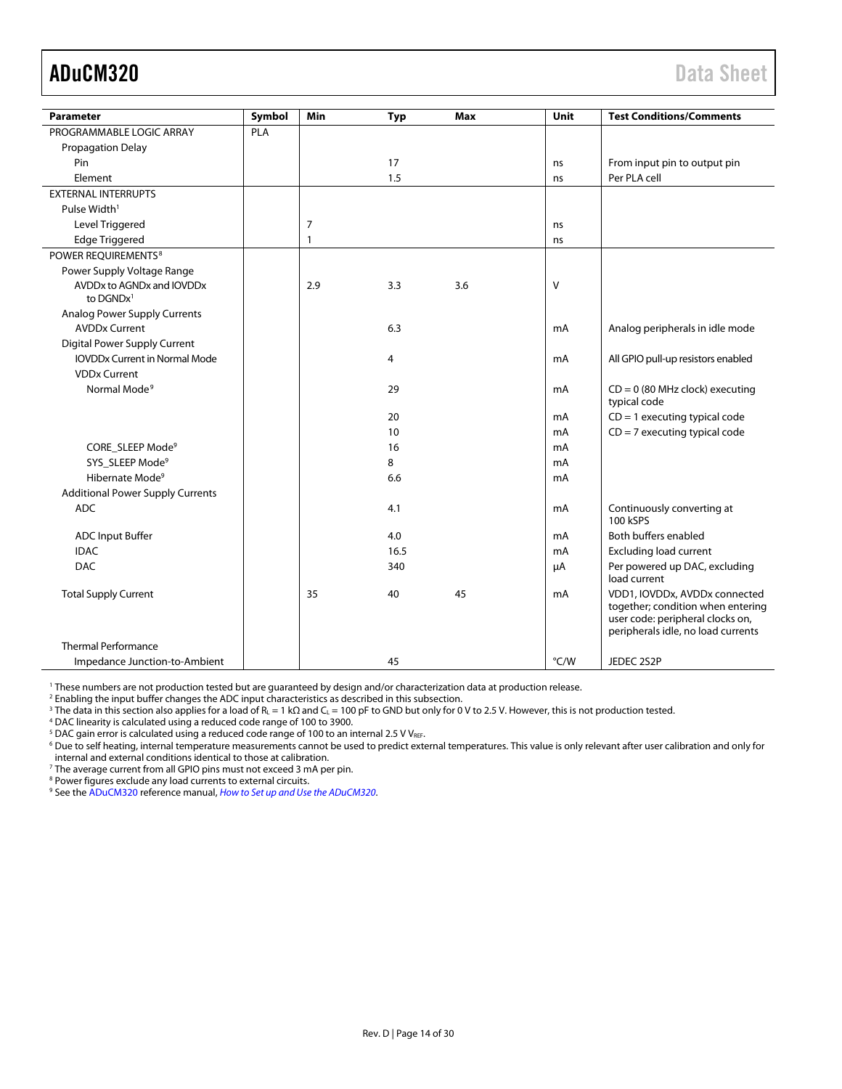<span id="page-13-0"></span>

| <b>Parameter</b>                        | Symbol | Min | <b>Typ</b> | <b>Max</b> | Unit | <b>Test Conditions/Comments</b>                                                                                                              |
|-----------------------------------------|--------|-----|------------|------------|------|----------------------------------------------------------------------------------------------------------------------------------------------|
| PROGRAMMABLE LOGIC ARRAY                | PLA    |     |            |            |      |                                                                                                                                              |
| <b>Propagation Delay</b>                |        |     |            |            |      |                                                                                                                                              |
| Pin                                     |        |     | 17         |            | ns   | From input pin to output pin                                                                                                                 |
| Element                                 |        |     | 1.5        |            | ns   | Per PLA cell                                                                                                                                 |
| <b>EXTERNAL INTERRUPTS</b>              |        |     |            |            |      |                                                                                                                                              |
| Pulse Width <sup>1</sup>                |        |     |            |            |      |                                                                                                                                              |
| Level Triggered                         |        | 7   |            |            | ns   |                                                                                                                                              |
| <b>Edge Triggered</b>                   |        | 1   |            |            | ns   |                                                                                                                                              |
| POWER REOUIREMENTS <sup>8</sup>         |        |     |            |            |      |                                                                                                                                              |
| Power Supply Voltage Range              |        |     |            |            |      |                                                                                                                                              |
| AVDDx to AGNDx and IOVDDx               |        | 2.9 | 3.3        | 3.6        | V    |                                                                                                                                              |
| to $DGNDx1$                             |        |     |            |            |      |                                                                                                                                              |
| <b>Analog Power Supply Currents</b>     |        |     |            |            |      |                                                                                                                                              |
| <b>AVDDx Current</b>                    |        |     | 6.3        |            | mA   | Analog peripherals in idle mode                                                                                                              |
| Digital Power Supply Current            |        |     |            |            |      |                                                                                                                                              |
| <b>IOVDDx Current in Normal Mode</b>    |        |     | 4          |            | mA   | All GPIO pull-up resistors enabled                                                                                                           |
| <b>VDDx Current</b>                     |        |     |            |            |      |                                                                                                                                              |
| Normal Mode <sup>9</sup>                |        |     | 29         |            | mA   | $CD = 0$ (80 MHz clock) executing<br>typical code                                                                                            |
|                                         |        |     | 20         |            | mA   | $CD = 1$ executing typical code                                                                                                              |
|                                         |        |     | 10         |            | mA   | $CD = 7$ executing typical code                                                                                                              |
| CORE SLEEP Mode <sup>9</sup>            |        |     | 16         |            | mA   |                                                                                                                                              |
| SYS SLEEP Mode <sup>9</sup>             |        |     | 8          |            | mA   |                                                                                                                                              |
| Hibernate Mode <sup>9</sup>             |        |     | 6.6        |            | mA   |                                                                                                                                              |
| <b>Additional Power Supply Currents</b> |        |     |            |            |      |                                                                                                                                              |
| <b>ADC</b>                              |        |     | 4.1        |            | mA   | Continuously converting at<br>100 kSPS                                                                                                       |
| <b>ADC Input Buffer</b>                 |        |     | 4.0        |            | mA   | Both buffers enabled                                                                                                                         |
| <b>IDAC</b>                             |        |     | 16.5       |            | mA   | <b>Excluding load current</b>                                                                                                                |
| <b>DAC</b>                              |        |     | 340        |            | μA   | Per powered up DAC, excluding<br>load current                                                                                                |
| <b>Total Supply Current</b>             |        | 35  | 40         | 45         | mA   | VDD1, IOVDDx, AVDDx connected<br>together; condition when entering<br>user code: peripheral clocks on,<br>peripherals idle, no load currents |
| <b>Thermal Performance</b>              |        |     |            |            |      |                                                                                                                                              |
| Impedance Junction-to-Ambient           |        |     | 45         |            | °C/W | JEDEC 2S2P                                                                                                                                   |

<sup>1</sup> These numbers are not production tested but are guaranteed by design and/or characterization data at production release.

<sup>2</sup> Enabling the input buffer changes the ADC input characteristics as described in this subsection.

<sup>3</sup> The data in this section also applies for a load of R<sub>L</sub> = 1 kΩ and C<sub>L</sub> = 100 pF to GND but only for 0 V to 2.5 V. However, this is not production tested.

<sup>4</sup> DAC linearity is calculated using a reduced code range of 100 to 3900.

<sup>5</sup> DAC gain error is calculated using a reduced code range of 100 to an internal 2.5 V V<sub>REF</sub>.

<sup>6</sup> Due to self heating, internal temperature measurements cannot be used to predict external temperatures. This value is only relevant after user calibration and only for internal and external conditions identical to those at calibration.

<sup>7</sup> The average current from all GPIO pins must not exceed 3 mA per pin.

<sup>8</sup> Power figures exclude any load currents to external circuits.

<sup>9</sup> See th[e ADuCM320](http://www.analog.com/ADuCM320?doc=ADuCM320.pdf) reference manual, *[How to Set up and Use the ADuCM320](http://www.analog.com/UG-498?doc=ADuCM320.pdf)*.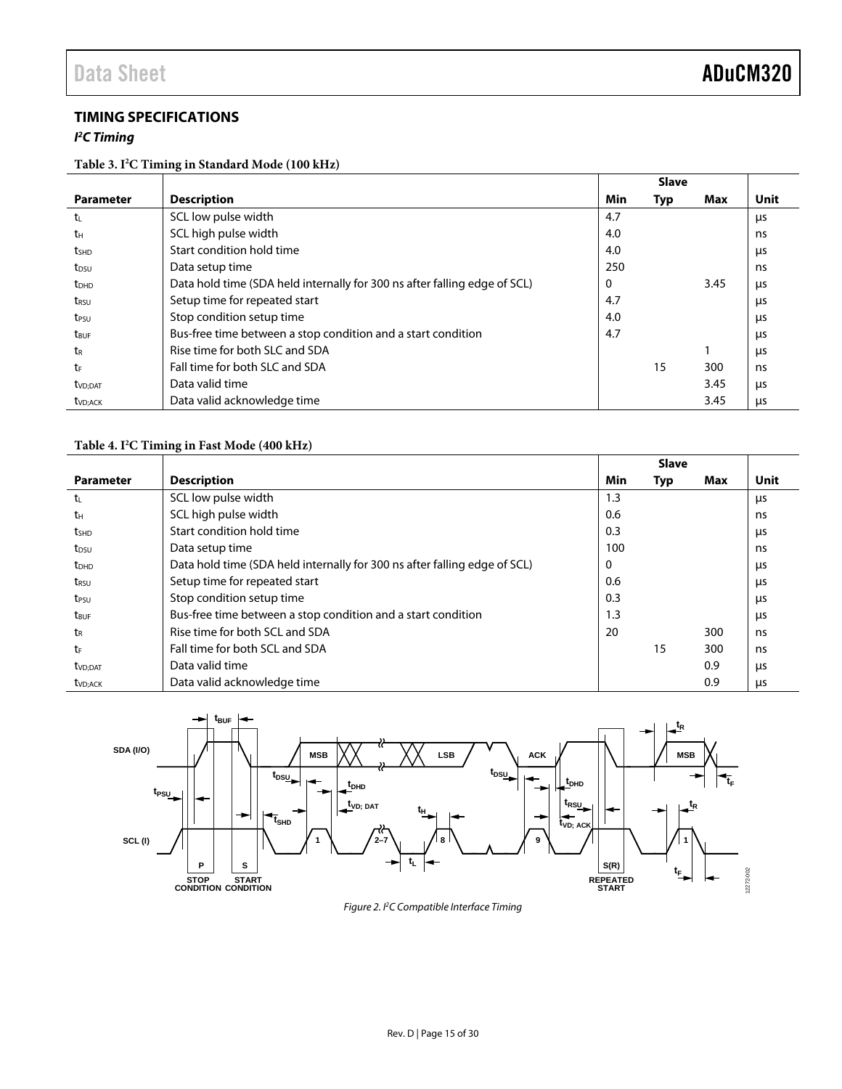### <span id="page-14-0"></span>**TIMING SPECIFICATIONS**

#### *I 2 C Timing*

#### **Table 3. I2 C Timing in Standard Mode (100 kHz)**

|                         |                                                                           |     | <b>Slave</b> |      |             |
|-------------------------|---------------------------------------------------------------------------|-----|--------------|------|-------------|
| <b>Parameter</b>        | <b>Description</b>                                                        | Min | Typ          | Max  | <b>Unit</b> |
| t                       | SCL low pulse width                                                       | 4.7 |              |      | μs          |
| tн                      | SCL high pulse width                                                      | 4.0 |              |      | ns          |
| <b>t</b> shp            | Start condition hold time                                                 | 4.0 |              |      | μs          |
| t <sub>DSU</sub>        | Data setup time                                                           | 250 |              |      | ns          |
| <b>t</b> <sub>DHD</sub> | Data hold time (SDA held internally for 300 ns after falling edge of SCL) | 0   |              | 3.45 | μs          |
| t <sub>rsu</sub>        | Setup time for repeated start                                             | 4.7 |              |      | μs          |
| t <sub>PSU</sub>        | Stop condition setup time                                                 | 4.0 |              |      | μs          |
| t <sub>BUF</sub>        | Bus-free time between a stop condition and a start condition              | 4.7 |              |      | <b>LIS</b>  |
| tr                      | Rise time for both SLC and SDA                                            |     |              |      | μs          |
| tr                      | Fall time for both SLC and SDA                                            |     | 15           | 300  | ns          |
| t <sub>VD</sub> ;DAT    | Data valid time                                                           |     |              | 3.45 | us          |
| t <sub>VD;ACK</sub>     | Data valid acknowledge time                                               |     |              | 3.45 | μs          |

#### **Table 4. I2 C Timing in Fast Mode (400 kHz)**

|                         |                                                                           |     | <b>Slave</b> |     |      |
|-------------------------|---------------------------------------------------------------------------|-----|--------------|-----|------|
| <b>Parameter</b>        | <b>Description</b>                                                        | Min | Typ          | Max | Unit |
| t                       | SCL low pulse width                                                       | 1.3 |              |     | μs   |
| tн                      | SCL high pulse width                                                      | 0.6 |              |     | ns   |
| <b>t</b> <sub>SHD</sub> | Start condition hold time                                                 | 0.3 |              |     | μs   |
| t <sub>DSU</sub>        | Data setup time                                                           | 100 |              |     | ns   |
| <b>t</b> <sub>DHD</sub> | Data hold time (SDA held internally for 300 ns after falling edge of SCL) | 0   |              |     | μs   |
| t <sub>rsu</sub>        | Setup time for repeated start                                             | 0.6 |              |     | μs   |
| t <sub>PSU</sub>        | Stop condition setup time                                                 | 0.3 |              |     | μs   |
| t <sub>BUF</sub>        | Bus-free time between a stop condition and a start condition              | 1.3 |              |     | μs   |
| tr                      | Rise time for both SCL and SDA                                            | 20  |              | 300 | ns   |
| tF                      | Fall time for both SCL and SDA                                            |     | 15           | 300 | ns   |
| t <sub>VD;DAT</sub>     | Data valid time                                                           |     |              | 0.9 | μs   |
| t <sub>VD</sub> ; ACK   | Data valid acknowledge time                                               |     |              | 0.9 | μs   |



*Figure 2. I2 C Compatible Interface Timing*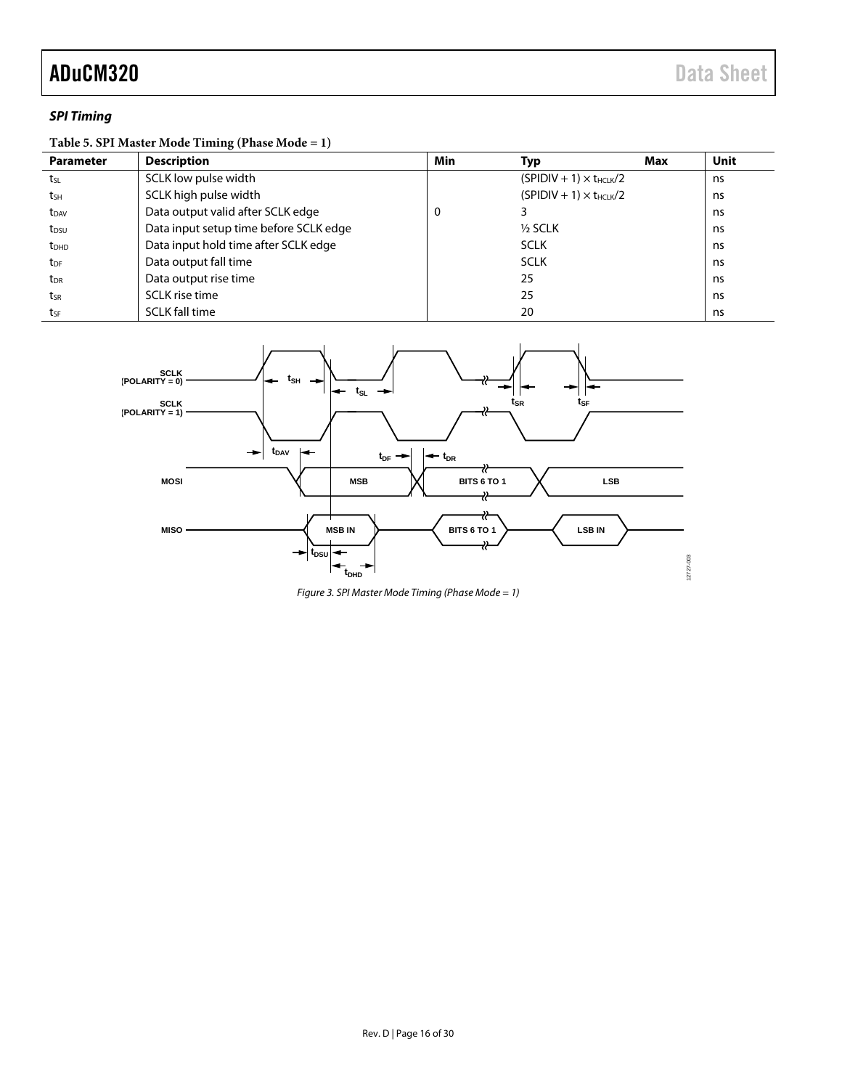#### *SPI Timing*

#### **Table 5. SPI Master Mode Timing (Phase Mode = 1)**

| <b>Parameter</b>        | <b>Description</b>                     | Min | Typ                              | Max | Unit |
|-------------------------|----------------------------------------|-----|----------------------------------|-----|------|
| tsL                     | SCLK low pulse width                   |     | $(SPIDIV + 1) \times t_{HCLK}/2$ |     | ns   |
| tsH                     | SCLK high pulse width                  |     | $(SPIDIV + 1) \times t_{HCLK}/2$ |     | ns   |
| t <sub>DAV</sub>        | Data output valid after SCLK edge      | 0   |                                  |     | ns   |
| t <sub>DSU</sub>        | Data input setup time before SCLK edge |     | $1/2$ SCLK                       |     | ns   |
| <b>t</b> <sub>DHD</sub> | Data input hold time after SCLK edge   |     | <b>SCLK</b>                      |     | ns   |
| t <sub>DF</sub>         | Data output fall time                  |     | <b>SCLK</b>                      |     | ns   |
| t <sub>DR</sub>         | Data output rise time                  |     | 25                               |     | ns   |
| tsr                     | SCLK rise time                         |     | 25                               |     | ns   |
| tsF                     | <b>SCLK</b> fall time                  |     | 20                               |     | ns   |



*Figure 3. SPI Master Mode Timing (Phase Mode = 1)*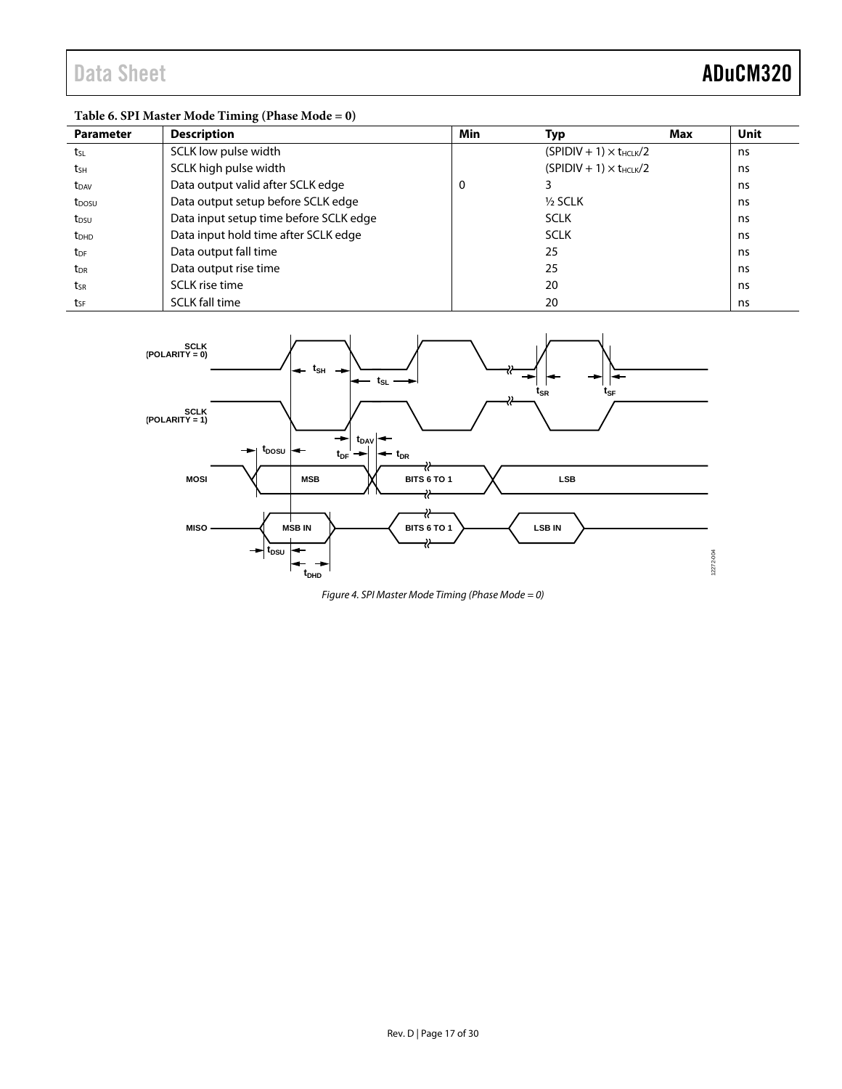### **Table 6. SPI Master Mode Timing (Phase Mode = 0)**

| <b>Parameter</b>  | <b>Description</b>                     | Min | Typ                              | Max | <b>Unit</b> |
|-------------------|----------------------------------------|-----|----------------------------------|-----|-------------|
| tsL               | SCLK low pulse width                   |     | $(SPIDIV + 1) \times t_{HCLK}/2$ |     | ns          |
| tsh               | SCLK high pulse width                  |     | $(SPIDIV + 1) \times t_{HCIK}/2$ |     | ns          |
| t <sub>DAV</sub>  | Data output valid after SCLK edge      | 0   |                                  |     | ns          |
| t <sub>DOSU</sub> | Data output setup before SCLK edge     |     | $1/2$ SCLK                       |     | ns          |
| t <sub>DSU</sub>  | Data input setup time before SCLK edge |     | <b>SCLK</b>                      |     | ns          |
| t <sub>DHD</sub>  | Data input hold time after SCLK edge   |     | <b>SCLK</b>                      |     | ns          |
| t <sub>DF</sub>   | Data output fall time                  |     | 25                               |     | ns          |
| $t_{\sf DR}$      | Data output rise time                  |     | 25                               |     | ns          |
| tsr               | <b>SCLK</b> rise time                  |     | 20                               |     | ns          |
| tsF               | <b>SCLK fall time</b>                  |     | 20                               |     | ns          |



*Figure 4. SPI Master Mode Timing (Phase Mode = 0)*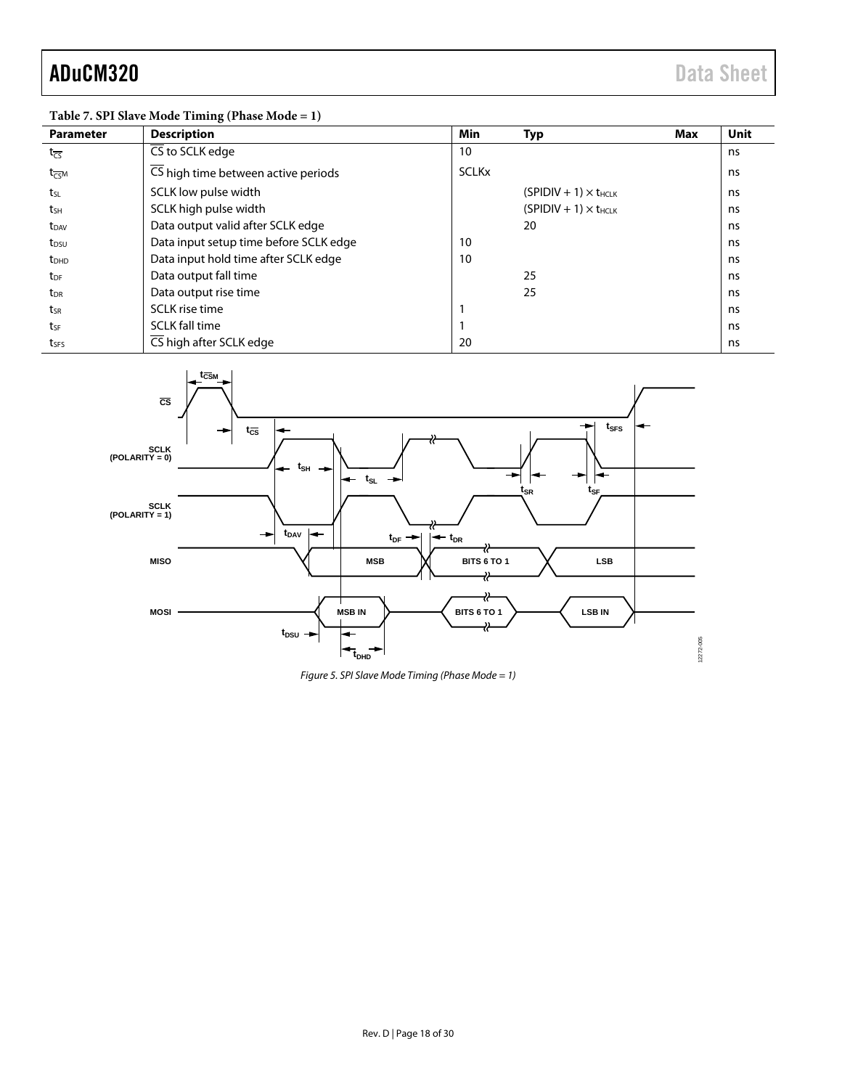### **Table 7. SPI Slave Mode Timing (Phase Mode = 1)**

| <b>Parameter</b>            | <b>Description</b>                     | Min          | <b>Typ</b>                     | Max | <b>Unit</b> |
|-----------------------------|----------------------------------------|--------------|--------------------------------|-----|-------------|
| $t_{\overline{CS}}$         | CS to SCLK edge                        | 10           |                                |     | ns          |
| $t_{\overline{\text{CS}}M}$ | CS high time between active periods    | <b>SCLKx</b> |                                |     | ns          |
| t <sub>sL</sub>             | SCLK low pulse width                   |              | $(SPIDIV + 1) \times t_{HCLK}$ |     | ns          |
| tsh                         | SCLK high pulse width                  |              | $(SPIDIV + 1) \times t_{HCLK}$ |     | ns          |
| $t_{DAV}$                   | Data output valid after SCLK edge      |              | 20                             |     | ns          |
| t <sub>DSU</sub>            | Data input setup time before SCLK edge | 10           |                                |     | ns          |
| t <sub>DHD</sub>            | Data input hold time after SCLK edge   | 10           |                                |     | ns          |
| t <sub>DF</sub>             | Data output fall time                  |              | 25                             |     | ns          |
| t <sub>DR</sub>             | Data output rise time                  |              | 25                             |     | ns          |
| tsr                         | SCLK rise time                         |              |                                |     | ns          |
| tsF                         | <b>SCLK fall time</b>                  |              |                                |     | ns          |
| tses                        | CS high after SCLK edge                | 20           |                                |     | ns          |



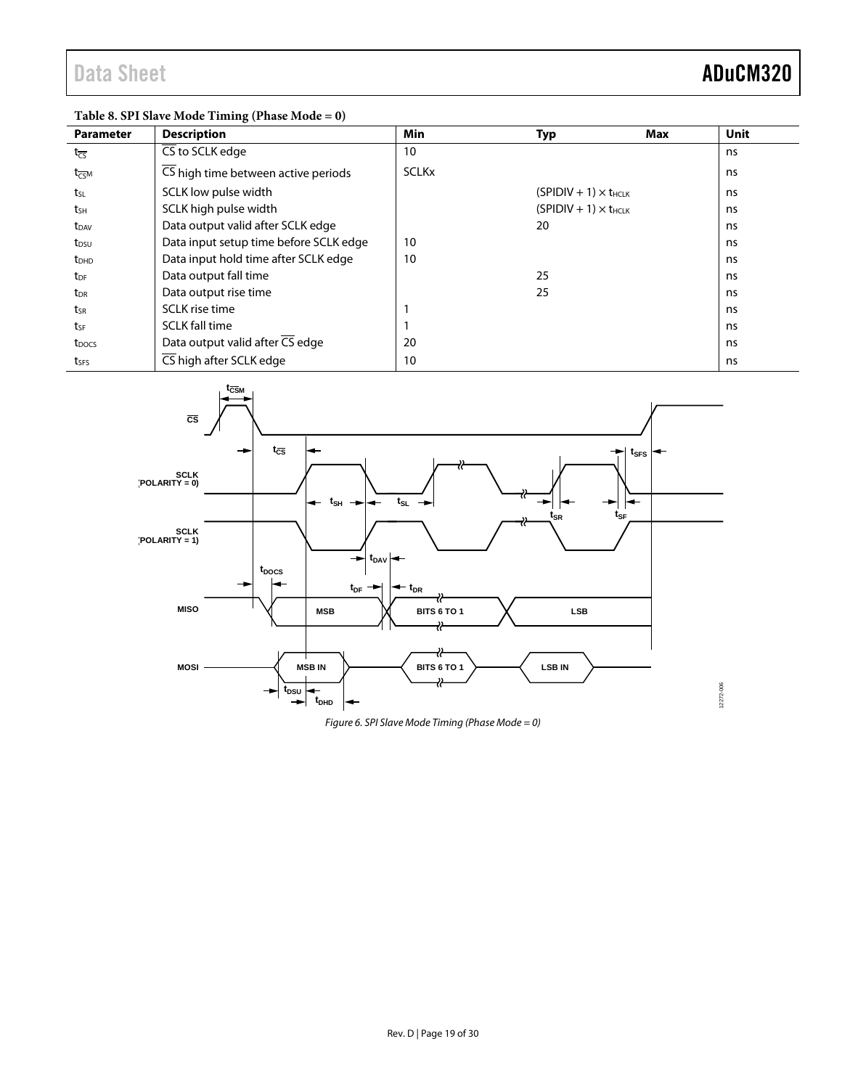### **Table 8. SPI Slave Mode Timing (Phase Mode = 0)**

| <b>Parameter</b>        | <b>Description</b>                     | Min          | Typ                            | Max | <b>Unit</b> |
|-------------------------|----------------------------------------|--------------|--------------------------------|-----|-------------|
| $t_{\overline{CS}}$     | CS to SCLK edge                        | 10           |                                |     | ns          |
| $t_{\overline{CS}}$ M   | CS high time between active periods    | <b>SCLKx</b> |                                |     | ns          |
| t <sub>SL</sub>         | SCLK low pulse width                   |              | $(SPIDIV + 1) \times t_{HCIK}$ |     | ns          |
| tsh                     | SCLK high pulse width                  |              | $(SPIDIV + 1) \times t_{HCLK}$ |     | ns          |
| $t_{DAV}$               | Data output valid after SCLK edge      |              | 20                             |     | ns          |
| t <sub>DSU</sub>        | Data input setup time before SCLK edge | 10           |                                |     | ns          |
| <b>t</b> <sub>DHD</sub> | Data input hold time after SCLK edge   | 10           |                                |     | ns          |
| t <sub>DF</sub>         | Data output fall time                  |              | 25                             |     | ns          |
| t <sub>DR</sub>         | Data output rise time                  |              | 25                             |     | ns          |
| tsr                     | SCLK rise time                         |              |                                |     | ns          |
| tse                     | <b>SCLK fall time</b>                  |              |                                |     | ns          |
| t <sub>DOCS</sub>       | Data output valid after CS edge        | 20           |                                |     | ns          |
| tses                    | CS high after SCLK edge                | 10           |                                |     | ns          |



*Figure 6. SPI Slave Mode Timing (Phase Mode = 0)*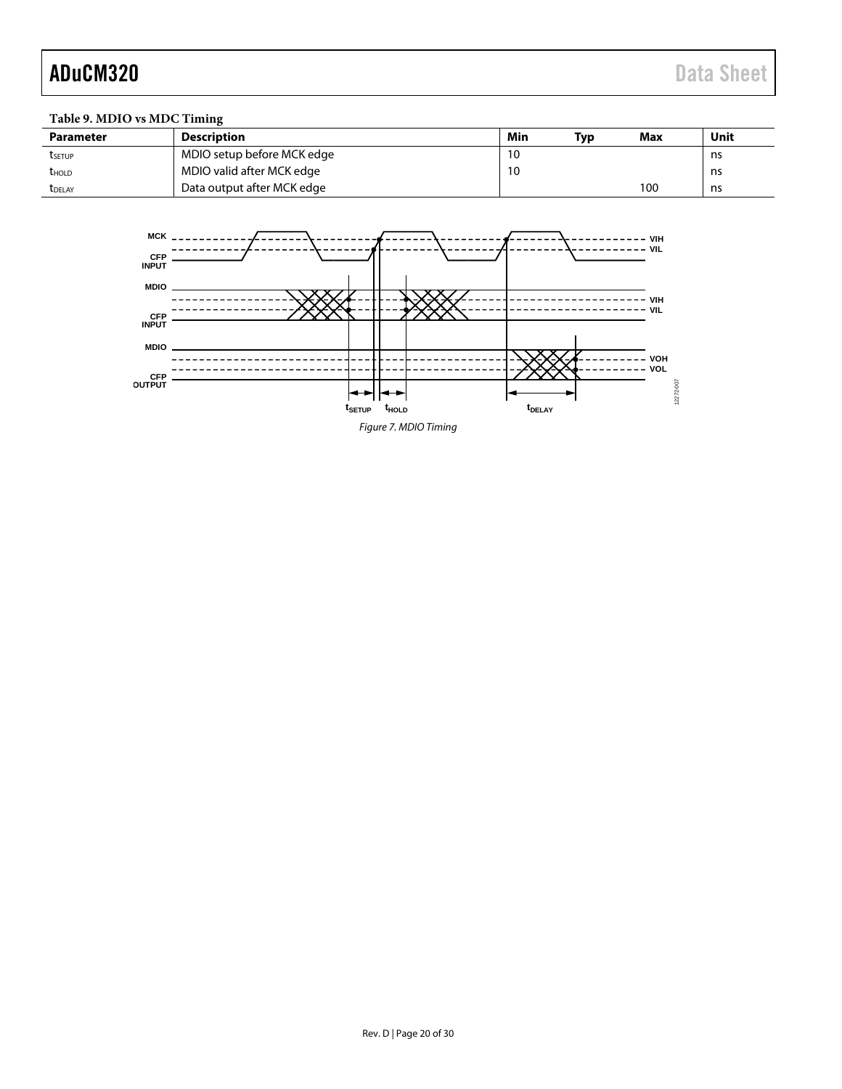### **Table 9. MDIO vs MDC Timing**

| <b>Parameter</b> | <b>Description</b>         | Min | Tvp | <b>Max</b> | Unit |
|------------------|----------------------------|-----|-----|------------|------|
| <b>T</b> setup   | MDIO setup before MCK edge | 10  |     |            | ns   |
| <b>t</b> hold    | MDIO valid after MCK edge  | 10  |     |            | ns   |
| <b>T</b> DELAY   | Data output after MCK edge |     |     | 100        | ns   |

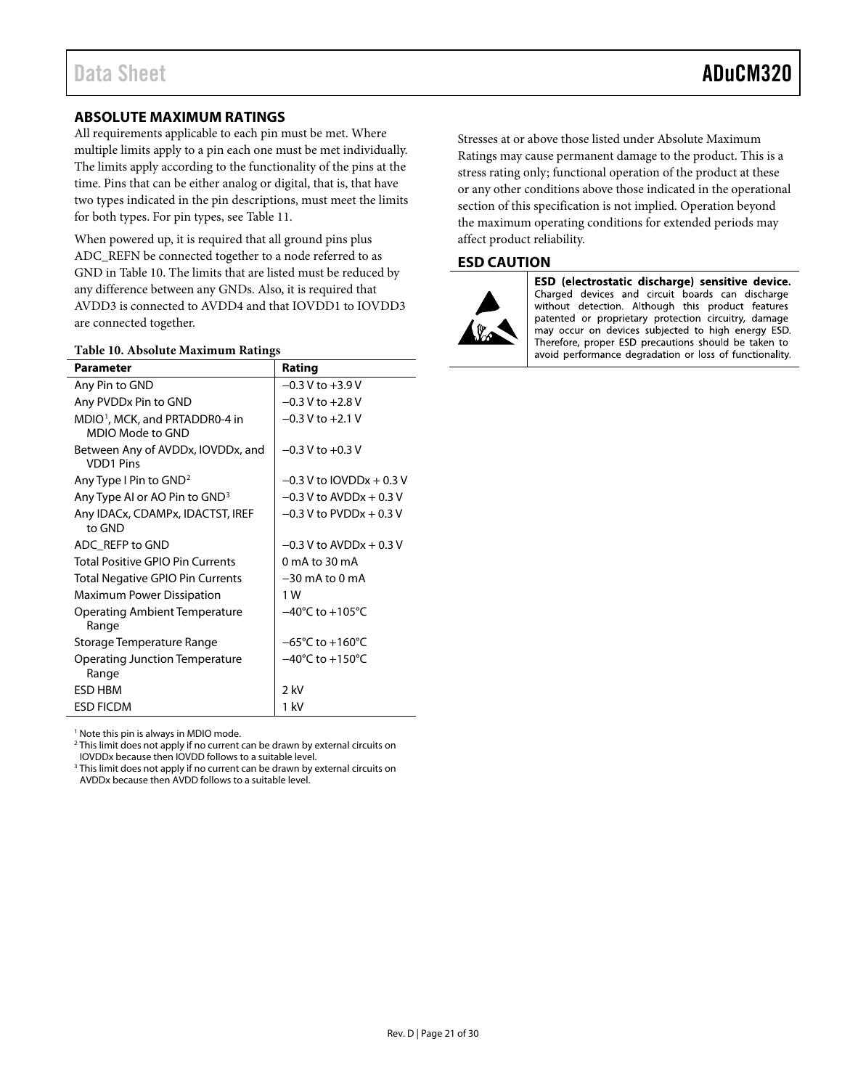#### <span id="page-20-0"></span>**ABSOLUTE MAXIMUM RATINGS**

All requirements applicable to each pin must be met. Where multiple limits apply to a pin each one must be met individually. The limits apply according to the functionality of the pins at the time. Pins that can be either analog or digital, that is, that have two types indicated in the pin descriptions, must meet the limits for both types. For pin types, se[e Table 11.](#page-21-1)

When powered up, it is required that all ground pins plus ADC\_REFN be connected together to a node referred to as GND in [Table 10.](#page-20-2) The limits that are listed must be reduced by any difference between any GNDs. Also, it is required that AVDD3 is connected to AVDD4 and that IOVDD1 to IOVDD3 are connected together.

#### <span id="page-20-2"></span>**Table 10. Absolute Maximum Ratings**

| o                                                              |                                      |
|----------------------------------------------------------------|--------------------------------------|
| <b>Parameter</b>                                               | Rating                               |
| Any Pin to GND                                                 | $-0.3$ V to $+3.9$ V                 |
| Any PVDDx Pin to GND                                           | $-0.3$ V to $+2.8$ V                 |
| MDIO <sup>1</sup> , MCK, and PRTADDR0-4 in<br>MDIO Mode to GND | $-0.3$ V to $+2.1$ V                 |
| Between Any of AVDDx, IOVDDx, and<br><b>VDD1 Pins</b>          | $-0.3$ V to $+0.3$ V                 |
| Any Type I Pin to GND <sup>2</sup>                             | $-0.3$ V to IOVDDx + 0.3 V           |
| Any Type AI or AO Pin to GND <sup>3</sup>                      | $-0.3$ V to AVDDx + 0.3 V            |
| Any IDACx, CDAMPx, IDACTST, IREF<br>to GND                     | $-0.3$ V to PVDDx $+0.3$ V           |
| ADC REFP to GND                                                | $-0.3$ V to AVDDx + 0.3 V            |
| Total Positive GPIO Pin Currents                               | 0 mA to 30 mA                        |
| <b>Total Negative GPIO Pin Currents</b>                        | $-30$ mA to 0 mA                     |
| Maximum Power Dissipation                                      | 1 W                                  |
| <b>Operating Ambient Temperature</b><br>Range                  | $-40^{\circ}$ C to $+105^{\circ}$ C  |
| Storage Temperature Range                                      | $-65^{\circ}$ C to +160 $^{\circ}$ C |
| <b>Operating Junction Temperature</b><br>Range                 | $-40^{\circ}$ C to $+150^{\circ}$ C  |
| <b>ESD HBM</b>                                                 | $2$ kV                               |
| <b>ESD FICDM</b>                                               | 1 kV                                 |

<sup>1</sup> Note this pin is always in MDIO mode.

<sup>2</sup> This limit does not apply if no current can be drawn by external circuits on

IOVDDx because then IOVDD follows to a suitable level.

<sup>3</sup> This limit does not apply if no current can be drawn by external circuits on AVDDx because then AVDD follows to a suitable level.

Stresses at or above those listed under Absolute Maximum Ratings may cause permanent damage to the product. This is a stress rating only; functional operation of the product at these or any other conditions above those indicated in the operational section of this specification is not implied. Operation beyond the maximum operating conditions for extended periods may affect product reliability.

#### <span id="page-20-1"></span>**ESD CAUTION**



ESD (electrostatic discharge) sensitive device. Charged devices and circuit boards can discharge without detection. Although this product features patented or proprietary protection circuitry, damage may occur on devices subjected to high energy ESD. Therefore, proper ESD precautions should be taken to avoid performance degradation or loss of functionality.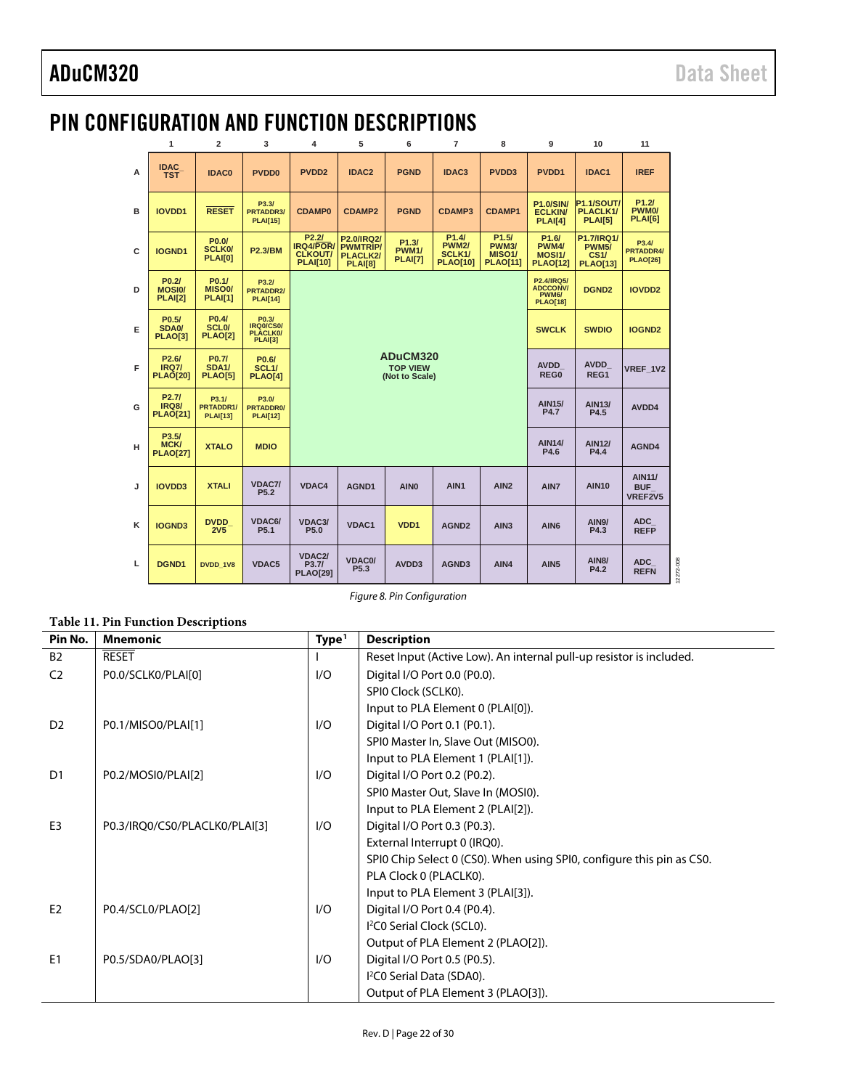### <span id="page-21-0"></span>PIN CONFIGURATION AND FUNCTION DESCRIPTIONS

|   | 1                                                          | $\overline{2}$                                            | 3                                                          | 4                                                                                                                                | 5                                        | 6                                       | $\overline{7}$                                                  | 8                                                                            | 9                                                               | 10                                                           | 11                                            |
|---|------------------------------------------------------------|-----------------------------------------------------------|------------------------------------------------------------|----------------------------------------------------------------------------------------------------------------------------------|------------------------------------------|-----------------------------------------|-----------------------------------------------------------------|------------------------------------------------------------------------------|-----------------------------------------------------------------|--------------------------------------------------------------|-----------------------------------------------|
| A | <b>IDAC</b><br><b>TST</b>                                  | <b>IDAC0</b>                                              | <b>PVDD0</b>                                               | PVDD <sub>2</sub>                                                                                                                | IDAC <sub>2</sub>                        | <b>PGND</b>                             | IDAC <sub>3</sub>                                               | PVDD3                                                                        | PVDD <sub>1</sub>                                               | IDAC1                                                        | <b>IREF</b>                                   |
| B | <b>IOVDD1</b>                                              | <b>RESET</b>                                              | P3.3/<br>PRTADDR3/<br><b>PLAI[15]</b>                      | <b>P1.0/SIN/</b><br><b>CDAMP0</b><br><b>CDAMP2</b><br><b>PGND</b><br><b>CDAMP3</b><br><b>CDAMP1</b><br><b>ECLKIN/</b><br>PLAI[4] |                                          |                                         |                                                                 |                                                                              |                                                                 | <b>P1.1/SOUT/</b><br>PLACLK1/<br><b>PLAI[5]</b>              | P1.2I<br>PWM <sub>0</sub> /<br><b>PLAI[6]</b> |
| C | <b>IOGND1</b>                                              | P0.0/<br><b>SCLK0/</b><br><b>PLAI[0]</b>                  | <b>P2.3/BM</b>                                             | P2.2I<br><b>IRQ4/POR/ PWMTRIP/</b><br><b>CLKOUT/</b><br><b>PLAI[10]</b>                                                          | <b>P2.0/IRQ2/</b><br>PLACLK2/<br>PLAI[8] | P1.3/<br><b>PWM1/</b><br><b>PLAI[7]</b> | P <sub>1.4</sub> /<br><b>PWM2/</b><br>SCLK1/<br><b>PLAO[10]</b> | P <sub>1.5</sub> /<br><b>PWM3/</b><br>MISO <sub>1</sub> /<br><b>PLAO[11]</b> | P <sub>1.6</sub> /<br><b>PWM4/</b><br>MOSI1/<br><b>PLAO[12]</b> | <b>P1.7/IRQ1/</b><br><b>PWM5/</b><br>CS1/<br><b>PLAO[13]</b> | P3.4/<br>PRTADDR4/<br><b>PLAO[26]</b>         |
| D | P <sub>0.2</sub><br><b>MOSIO/</b><br><b>PLAI[2]</b>        | P <sub>0.1</sub><br>MISO <sub>0</sub> /<br><b>PLAI[1]</b> | P3.2I<br>PRTADDR2/<br><b>PLAI[14]</b>                      |                                                                                                                                  |                                          |                                         |                                                                 |                                                                              | P2.4/IRQ5/<br><b>ADCCONV/</b><br>PWM6/<br><b>PLAO[18]</b>       | DGND <sub>2</sub>                                            | <b>IOVDD2</b>                                 |
| Е | P <sub>0.5</sub> /<br>SDA <sub>0</sub> /<br><b>PLAO[3]</b> | P0.4/<br>SCL <sub>0</sub> /<br><b>PLAO[2]</b>             | P0.3/<br><b>IRQ0/CS0/</b><br>PLACLK0/<br><b>PLAI[3]</b>    |                                                                                                                                  |                                          |                                         | <b>SWCLK</b>                                                    | <b>SWDIO</b>                                                                 | <b>IOGND2</b>                                                   |                                                              |                                               |
| F | P <sub>2.6</sub> /<br><b>IRQ7/</b><br><b>PLAO[20]</b>      | P0.7/<br><b>SDA1/</b><br><b>PLAO[5]</b>                   | P <sub>0.6</sub> /<br>SCL <sub>1</sub> /<br><b>PLAO[4]</b> | ADuCM320<br><b>TOP VIEW</b><br>(Not to Scale)                                                                                    |                                          |                                         |                                                                 |                                                                              | <b>AVDD</b><br>REG0                                             | <b>AVDD</b><br>REG1                                          | VREF 1V2                                      |
| G | P <sub>2.7</sub> /<br><b>IRQ8/</b><br><b>PLAO[21]</b>      | P3.1/<br>PRTADDR1/<br><b>PLAI[13]</b>                     | P3.0/<br><b>PRTADDR0/</b><br><b>PLAI[12]</b>               |                                                                                                                                  |                                          |                                         |                                                                 |                                                                              | <b>AIN15/</b><br><b>P4.7</b>                                    | <b>AIN13/</b><br>P4.5                                        | AVDD4                                         |
| н | P3.5/<br><b>MCK/</b><br><b>PLAO[27]</b>                    | <b>XTALO</b>                                              | <b>MDIO</b>                                                |                                                                                                                                  |                                          |                                         |                                                                 |                                                                              | <b>AIN14/</b><br>P4.6                                           | <b>AIN12/</b><br>P4.4                                        | AGND4                                         |
| J | <b>IOVDD3</b>                                              | <b>XTALI</b>                                              | <b>VDAC7/</b><br>P <sub>5.2</sub>                          | VDAC4                                                                                                                            | AGND1                                    | <b>AINO</b>                             | AIN <sub>1</sub>                                                | AIN <sub>2</sub>                                                             | AIN7                                                            | <b>AIN10</b>                                                 | <b>AIN11/</b><br><b>BUF</b><br>VREF2V5        |
| K | <b>IOGND3</b>                                              | <b>DVDD</b><br><b>2V5</b>                                 | VDAC6/<br>P <sub>5.1</sub>                                 | VDAC3/<br>P <sub>5.0</sub>                                                                                                       | VDAC1                                    | VDD <sub>1</sub>                        | AGND <sub>2</sub>                                               | AIN <sub>3</sub>                                                             | AIN <sub>6</sub>                                                | <b>AIN9/</b><br>P4.3                                         | <b>ADC</b><br><b>REFP</b>                     |
| L | DGND1                                                      | DVDD 1V8                                                  | <b>VDAC5</b>                                               | VDAC <sub>2</sub> /<br>P3.7/<br><b>PLAO[29]</b>                                                                                  | VDAC0/<br>P <sub>5.3</sub>               | AVDD3                                   | AGND <sub>3</sub>                                               | AIN4                                                                         | AIN <sub>5</sub>                                                | <b>AIN8/</b><br>P4.2                                         | ADC<br><b>REFN</b>                            |

*Figure 8. Pin Configuration* 

#### <span id="page-21-1"></span>**Table 11. Pin Function Descriptions**

| Pin No.        | <b>Mnemonic</b>               | Type <sup>1</sup> | <b>Description</b>                                                    |
|----------------|-------------------------------|-------------------|-----------------------------------------------------------------------|
| <b>B2</b>      | <b>RESET</b>                  |                   | Reset Input (Active Low). An internal pull-up resistor is included.   |
| C <sub>2</sub> | P0.0/SCLK0/PLAI[0]            | 1/O               | Digital I/O Port 0.0 (P0.0).                                          |
|                |                               |                   | SPIO Clock (SCLKO).                                                   |
|                |                               |                   | Input to PLA Element 0 (PLAI[0]).                                     |
| D <sub>2</sub> | P0.1/MISO0/PLAI[1]            | 1/O               | Digital I/O Port 0.1 (P0.1).                                          |
|                |                               |                   | SPI0 Master In, Slave Out (MISO0).                                    |
|                |                               |                   | Input to PLA Element 1 (PLAI[1]).                                     |
| D <sub>1</sub> | P0.2/MOSI0/PLAI[2]            | 1/O               | Digital I/O Port 0.2 (P0.2).                                          |
|                |                               |                   | SPI0 Master Out, Slave In (MOSI0).                                    |
|                |                               |                   | Input to PLA Element 2 (PLAI[2]).                                     |
| E <sub>3</sub> | P0.3/IRQ0/CS0/PLACLK0/PLAI[3] | 1/O               | Digital I/O Port 0.3 (P0.3).                                          |
|                |                               |                   | External Interrupt 0 (IRQ0).                                          |
|                |                               |                   | SPIO Chip Select 0 (CS0). When using SPIO, configure this pin as CS0. |
|                |                               |                   | PLA Clock 0 (PLACLK0).                                                |
|                |                               |                   | Input to PLA Element 3 (PLAI[3]).                                     |
| E <sub>2</sub> | P0.4/SCL0/PLAO[2]             | 1/O               | Digital I/O Port 0.4 (P0.4).                                          |
|                |                               |                   | I <sup>2</sup> C0 Serial Clock (SCL0).                                |
|                |                               |                   | Output of PLA Element 2 (PLAO[2]).                                    |
| E <sub>1</sub> | P0.5/SDA0/PLAO[3]             | 1/O               | Digital I/O Port 0.5 (P0.5).                                          |
|                |                               |                   | I <sup>2</sup> C0 Serial Data (SDA0).                                 |
|                |                               |                   | Output of PLA Element 3 (PLAO[3]).                                    |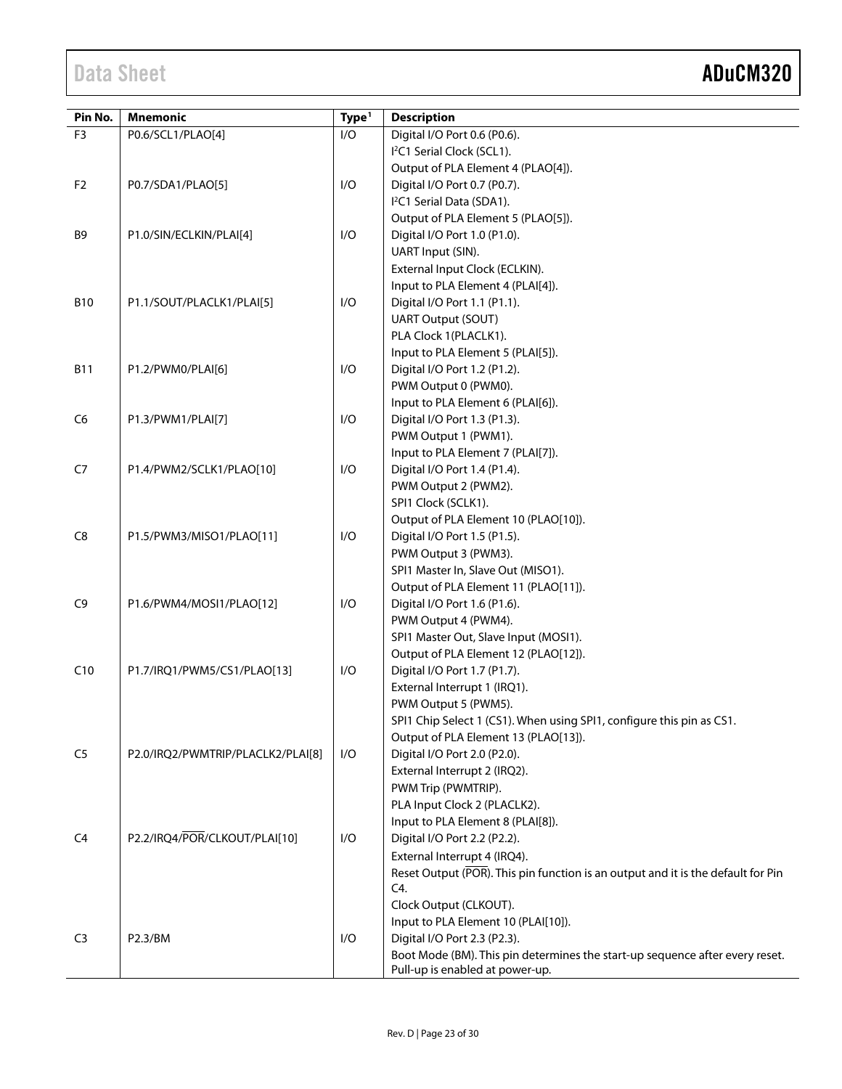| Pin No.        | <b>Mnemonic</b>                   | Type <sup>1</sup> | <b>Description</b>                                                               |
|----------------|-----------------------------------|-------------------|----------------------------------------------------------------------------------|
| F <sub>3</sub> | P0.6/SCL1/PLAO[4]                 | I/O               | Digital I/O Port 0.6 (P0.6).                                                     |
|                |                                   |                   | I <sup>2</sup> C1 Serial Clock (SCL1).                                           |
|                |                                   |                   | Output of PLA Element 4 (PLAO[4]).                                               |
| F <sub>2</sub> | P0.7/SDA1/PLAO[5]                 | I/O               | Digital I/O Port 0.7 (P0.7).                                                     |
|                |                                   |                   | I <sup>2</sup> C1 Serial Data (SDA1).                                            |
|                |                                   |                   | Output of PLA Element 5 (PLAO[5]).                                               |
| B <sub>9</sub> | P1.0/SIN/ECLKIN/PLAI[4]           | I/O               | Digital I/O Port 1.0 (P1.0).                                                     |
|                |                                   |                   | UART Input (SIN).                                                                |
|                |                                   |                   | External Input Clock (ECLKIN).                                                   |
|                |                                   |                   | Input to PLA Element 4 (PLAI[4]).                                                |
| <b>B10</b>     | P1.1/SOUT/PLACLK1/PLAI[5]         | I/O               | Digital I/O Port 1.1 (P1.1).                                                     |
|                |                                   |                   | <b>UART Output (SOUT)</b>                                                        |
|                |                                   |                   | PLA Clock 1(PLACLK1).                                                            |
|                |                                   |                   | Input to PLA Element 5 (PLAI[5]).                                                |
| <b>B11</b>     | P1.2/PWM0/PLAI[6]                 | I/O               | Digital I/O Port 1.2 (P1.2).                                                     |
|                |                                   |                   | PWM Output 0 (PWM0).                                                             |
|                |                                   |                   | Input to PLA Element 6 (PLAI[6]).                                                |
| C <sub>6</sub> | P1.3/PWM1/PLAI[7]                 | I/O               | Digital I/O Port 1.3 (P1.3).                                                     |
|                |                                   |                   | PWM Output 1 (PWM1).                                                             |
|                |                                   |                   | Input to PLA Element 7 (PLAI[7]).                                                |
| C7             | P1.4/PWM2/SCLK1/PLAO[10]          | I/O               | Digital I/O Port 1.4 (P1.4).                                                     |
|                |                                   |                   | PWM Output 2 (PWM2).                                                             |
|                |                                   |                   | SPI1 Clock (SCLK1).                                                              |
|                |                                   |                   | Output of PLA Element 10 (PLAO[10]).                                             |
| C <sub>8</sub> | P1.5/PWM3/MISO1/PLAO[11]          | I/O               | Digital I/O Port 1.5 (P1.5).                                                     |
|                |                                   |                   | PWM Output 3 (PWM3).                                                             |
|                |                                   |                   | SPI1 Master In, Slave Out (MISO1).                                               |
|                |                                   |                   | Output of PLA Element 11 (PLAO[11]).                                             |
| C <sub>9</sub> | P1.6/PWM4/MOSI1/PLAO[12]          | I/O               | Digital I/O Port 1.6 (P1.6).                                                     |
|                |                                   |                   | PWM Output 4 (PWM4).                                                             |
|                |                                   |                   | SPI1 Master Out, Slave Input (MOSI1).                                            |
|                |                                   |                   | Output of PLA Element 12 (PLAO[12]).                                             |
| C10            | P1.7/IRQ1/PWM5/CS1/PLAO[13]       | I/O               | Digital I/O Port 1.7 (P1.7).                                                     |
|                |                                   |                   | External Interrupt 1 (IRQ1).                                                     |
|                |                                   |                   | PWM Output 5 (PWM5).                                                             |
|                |                                   |                   | SPI1 Chip Select 1 (CS1). When using SPI1, configure this pin as CS1.            |
|                |                                   |                   | Output of PLA Element 13 (PLAO[13]).                                             |
| C <sub>5</sub> | P2.0/IRQ2/PWMTRIP/PLACLK2/PLAI[8] | I/O               | Digital I/O Port 2.0 (P2.0).                                                     |
|                |                                   |                   | External Interrupt 2 (IRQ2).                                                     |
|                |                                   |                   | PWM Trip (PWMTRIP).                                                              |
|                |                                   |                   | PLA Input Clock 2 (PLACLK2).                                                     |
|                |                                   |                   | Input to PLA Element 8 (PLAI[8]).                                                |
| C4             | P2.2/IRQ4/POR/CLKOUT/PLAI[10]     | I/O               | Digital I/O Port 2.2 (P2.2).                                                     |
|                |                                   |                   | External Interrupt 4 (IRQ4).                                                     |
|                |                                   |                   | Reset Output (POR). This pin function is an output and it is the default for Pin |
|                |                                   |                   | C4.                                                                              |
|                |                                   |                   | Clock Output (CLKOUT).                                                           |
|                |                                   |                   | Input to PLA Element 10 (PLAI[10]).                                              |
| C <sub>3</sub> | P2.3/BM                           | I/O               | Digital I/O Port 2.3 (P2.3).                                                     |
|                |                                   |                   | Boot Mode (BM). This pin determines the start-up sequence after every reset.     |
|                |                                   |                   | Pull-up is enabled at power-up.                                                  |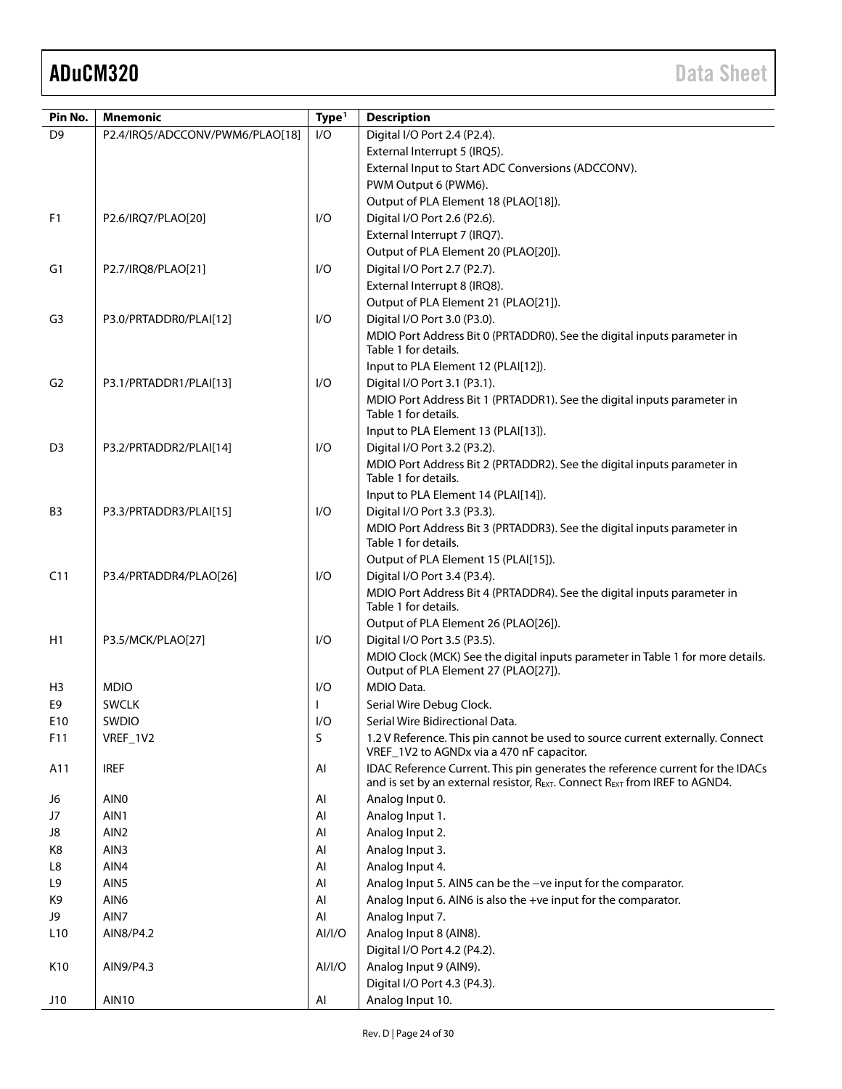| I/O<br>D <sub>9</sub><br>Digital I/O Port 2.4 (P2.4).<br>P2.4/IRQ5/ADCCONV/PWM6/PLAO[18]<br>External Interrupt 5 (IRQ5).<br>External Input to Start ADC Conversions (ADCCONV).<br>PWM Output 6 (PWM6).<br>Output of PLA Element 18 (PLAO[18]).<br>F <sub>1</sub><br>I/O<br>Digital I/O Port 2.6 (P2.6).<br>P2.6/IRQ7/PLAO[20]<br>External Interrupt 7 (IRQ7).<br>Output of PLA Element 20 (PLAO[20]).<br>P2.7/IRQ8/PLAO[21]<br>I/O<br>Digital I/O Port 2.7 (P2.7).<br>G1<br>External Interrupt 8 (IRQ8).<br>Output of PLA Element 21 (PLAO[21]).<br>Digital I/O Port 3.0 (P3.0).<br>G <sub>3</sub><br>I/O<br>P3.0/PRTADDR0/PLAI[12]<br>MDIO Port Address Bit 0 (PRTADDR0). See the digital inputs parameter in<br>Table 1 for details.<br>Input to PLA Element 12 (PLAI[12]).<br>G <sub>2</sub><br>I/O<br>Digital I/O Port 3.1 (P3.1).<br>P3.1/PRTADDR1/PLAI[13]<br>MDIO Port Address Bit 1 (PRTADDR1). See the digital inputs parameter in<br>Table 1 for details.<br>Input to PLA Element 13 (PLAI[13]).<br>D <sub>3</sub><br>I/O<br>Digital I/O Port 3.2 (P3.2).<br>P3.2/PRTADDR2/PLAI[14]<br>MDIO Port Address Bit 2 (PRTADDR2). See the digital inputs parameter in<br>Table 1 for details.<br>Input to PLA Element 14 (PLAI[14]).<br>1/O<br>Digital I/O Port 3.3 (P3.3).<br>B3<br>P3.3/PRTADDR3/PLAI[15]<br>MDIO Port Address Bit 3 (PRTADDR3). See the digital inputs parameter in<br>Table 1 for details.<br>Output of PLA Element 15 (PLAI[15]).<br>C11<br>I/O<br>Digital I/O Port 3.4 (P3.4).<br>P3.4/PRTADDR4/PLAO[26]<br>MDIO Port Address Bit 4 (PRTADDR4). See the digital inputs parameter in<br>Table 1 for details.<br>Output of PLA Element 26 (PLAO[26]).<br>H1<br>P3.5/MCK/PLAO[27]<br>I/O<br>Digital I/O Port 3.5 (P3.5).<br>MDIO Clock (MCK) See the digital inputs parameter in Table 1 for more details.<br>Output of PLA Element 27 (PLAO[27]).<br>MDIO Data.<br>H <sub>3</sub><br><b>MDIO</b><br>I/O<br>E9<br>Serial Wire Debug Clock.<br><b>SWCLK</b><br>SWDIO<br>E10<br>I/O<br>Serial Wire Bidirectional Data.<br>S<br>1.2 V Reference. This pin cannot be used to source current externally. Connect<br>VREF_1V2<br>F11<br>VREF_1V2 to AGNDx via a 470 nF capacitor.<br><b>IREF</b><br>IDAC Reference Current. This pin generates the reference current for the IDACs<br>A11<br>AI<br>and is set by an external resistor, REXT. Connect REXT from IREF to AGND4.<br>AIN <sub>0</sub><br>AI<br>Analog Input 0.<br>J6<br>AIN1<br>J7<br>AI<br>Analog Input 1.<br>AIN <sub>2</sub><br>AI<br>Analog Input 2.<br>J8<br>AIN3<br>Analog Input 3.<br>K8<br>AI<br>AIN4<br>Analog Input 4.<br>AI<br>L8<br>AIN5<br>L <sub>9</sub><br>AI<br>Analog Input 5. AIN5 can be the -ve input for the comparator.<br>Analog Input 6. AIN6 is also the +ve input for the comparator.<br>K9<br>AIN <sub>6</sub><br>AI<br>AIN7<br>Analog Input 7.<br>J9<br>AI<br>Analog Input 8 (AIN8).<br>L <sub>10</sub><br>AIN8/P4.2<br>Al/I/O<br>Digital I/O Port 4.2 (P4.2).<br>K10<br>AI/I/O<br>Analog Input 9 (AIN9).<br>AIN9/P4.3<br>Digital I/O Port 4.3 (P4.3). | Pin No. | <b>Mnemonic</b> | Type <sup>1</sup> | <b>Description</b> |
|----------------------------------------------------------------------------------------------------------------------------------------------------------------------------------------------------------------------------------------------------------------------------------------------------------------------------------------------------------------------------------------------------------------------------------------------------------------------------------------------------------------------------------------------------------------------------------------------------------------------------------------------------------------------------------------------------------------------------------------------------------------------------------------------------------------------------------------------------------------------------------------------------------------------------------------------------------------------------------------------------------------------------------------------------------------------------------------------------------------------------------------------------------------------------------------------------------------------------------------------------------------------------------------------------------------------------------------------------------------------------------------------------------------------------------------------------------------------------------------------------------------------------------------------------------------------------------------------------------------------------------------------------------------------------------------------------------------------------------------------------------------------------------------------------------------------------------------------------------------------------------------------------------------------------------------------------------------------------------------------------------------------------------------------------------------------------------------------------------------------------------------------------------------------------------------------------------------------------------------------------------------------------------------------------------------------------------------------------------------------------------------------------------------------------------------------------------------------------------------------------------------------------------------------------------------------------------------------------------------------------------------------------------------------------------------------------------------------------------------------------------------------------------------------------------------------------------------------------------------------------------------------------------------------------------------------------------------------------------------------------------------------------------------------------------------|---------|-----------------|-------------------|--------------------|
|                                                                                                                                                                                                                                                                                                                                                                                                                                                                                                                                                                                                                                                                                                                                                                                                                                                                                                                                                                                                                                                                                                                                                                                                                                                                                                                                                                                                                                                                                                                                                                                                                                                                                                                                                                                                                                                                                                                                                                                                                                                                                                                                                                                                                                                                                                                                                                                                                                                                                                                                                                                                                                                                                                                                                                                                                                                                                                                                                                                                                                                                |         |                 |                   |                    |
|                                                                                                                                                                                                                                                                                                                                                                                                                                                                                                                                                                                                                                                                                                                                                                                                                                                                                                                                                                                                                                                                                                                                                                                                                                                                                                                                                                                                                                                                                                                                                                                                                                                                                                                                                                                                                                                                                                                                                                                                                                                                                                                                                                                                                                                                                                                                                                                                                                                                                                                                                                                                                                                                                                                                                                                                                                                                                                                                                                                                                                                                |         |                 |                   |                    |
|                                                                                                                                                                                                                                                                                                                                                                                                                                                                                                                                                                                                                                                                                                                                                                                                                                                                                                                                                                                                                                                                                                                                                                                                                                                                                                                                                                                                                                                                                                                                                                                                                                                                                                                                                                                                                                                                                                                                                                                                                                                                                                                                                                                                                                                                                                                                                                                                                                                                                                                                                                                                                                                                                                                                                                                                                                                                                                                                                                                                                                                                |         |                 |                   |                    |
|                                                                                                                                                                                                                                                                                                                                                                                                                                                                                                                                                                                                                                                                                                                                                                                                                                                                                                                                                                                                                                                                                                                                                                                                                                                                                                                                                                                                                                                                                                                                                                                                                                                                                                                                                                                                                                                                                                                                                                                                                                                                                                                                                                                                                                                                                                                                                                                                                                                                                                                                                                                                                                                                                                                                                                                                                                                                                                                                                                                                                                                                |         |                 |                   |                    |
|                                                                                                                                                                                                                                                                                                                                                                                                                                                                                                                                                                                                                                                                                                                                                                                                                                                                                                                                                                                                                                                                                                                                                                                                                                                                                                                                                                                                                                                                                                                                                                                                                                                                                                                                                                                                                                                                                                                                                                                                                                                                                                                                                                                                                                                                                                                                                                                                                                                                                                                                                                                                                                                                                                                                                                                                                                                                                                                                                                                                                                                                |         |                 |                   |                    |
|                                                                                                                                                                                                                                                                                                                                                                                                                                                                                                                                                                                                                                                                                                                                                                                                                                                                                                                                                                                                                                                                                                                                                                                                                                                                                                                                                                                                                                                                                                                                                                                                                                                                                                                                                                                                                                                                                                                                                                                                                                                                                                                                                                                                                                                                                                                                                                                                                                                                                                                                                                                                                                                                                                                                                                                                                                                                                                                                                                                                                                                                |         |                 |                   |                    |
|                                                                                                                                                                                                                                                                                                                                                                                                                                                                                                                                                                                                                                                                                                                                                                                                                                                                                                                                                                                                                                                                                                                                                                                                                                                                                                                                                                                                                                                                                                                                                                                                                                                                                                                                                                                                                                                                                                                                                                                                                                                                                                                                                                                                                                                                                                                                                                                                                                                                                                                                                                                                                                                                                                                                                                                                                                                                                                                                                                                                                                                                |         |                 |                   |                    |
|                                                                                                                                                                                                                                                                                                                                                                                                                                                                                                                                                                                                                                                                                                                                                                                                                                                                                                                                                                                                                                                                                                                                                                                                                                                                                                                                                                                                                                                                                                                                                                                                                                                                                                                                                                                                                                                                                                                                                                                                                                                                                                                                                                                                                                                                                                                                                                                                                                                                                                                                                                                                                                                                                                                                                                                                                                                                                                                                                                                                                                                                |         |                 |                   |                    |
|                                                                                                                                                                                                                                                                                                                                                                                                                                                                                                                                                                                                                                                                                                                                                                                                                                                                                                                                                                                                                                                                                                                                                                                                                                                                                                                                                                                                                                                                                                                                                                                                                                                                                                                                                                                                                                                                                                                                                                                                                                                                                                                                                                                                                                                                                                                                                                                                                                                                                                                                                                                                                                                                                                                                                                                                                                                                                                                                                                                                                                                                |         |                 |                   |                    |
|                                                                                                                                                                                                                                                                                                                                                                                                                                                                                                                                                                                                                                                                                                                                                                                                                                                                                                                                                                                                                                                                                                                                                                                                                                                                                                                                                                                                                                                                                                                                                                                                                                                                                                                                                                                                                                                                                                                                                                                                                                                                                                                                                                                                                                                                                                                                                                                                                                                                                                                                                                                                                                                                                                                                                                                                                                                                                                                                                                                                                                                                |         |                 |                   |                    |
|                                                                                                                                                                                                                                                                                                                                                                                                                                                                                                                                                                                                                                                                                                                                                                                                                                                                                                                                                                                                                                                                                                                                                                                                                                                                                                                                                                                                                                                                                                                                                                                                                                                                                                                                                                                                                                                                                                                                                                                                                                                                                                                                                                                                                                                                                                                                                                                                                                                                                                                                                                                                                                                                                                                                                                                                                                                                                                                                                                                                                                                                |         |                 |                   |                    |
|                                                                                                                                                                                                                                                                                                                                                                                                                                                                                                                                                                                                                                                                                                                                                                                                                                                                                                                                                                                                                                                                                                                                                                                                                                                                                                                                                                                                                                                                                                                                                                                                                                                                                                                                                                                                                                                                                                                                                                                                                                                                                                                                                                                                                                                                                                                                                                                                                                                                                                                                                                                                                                                                                                                                                                                                                                                                                                                                                                                                                                                                |         |                 |                   |                    |
|                                                                                                                                                                                                                                                                                                                                                                                                                                                                                                                                                                                                                                                                                                                                                                                                                                                                                                                                                                                                                                                                                                                                                                                                                                                                                                                                                                                                                                                                                                                                                                                                                                                                                                                                                                                                                                                                                                                                                                                                                                                                                                                                                                                                                                                                                                                                                                                                                                                                                                                                                                                                                                                                                                                                                                                                                                                                                                                                                                                                                                                                |         |                 |                   |                    |
|                                                                                                                                                                                                                                                                                                                                                                                                                                                                                                                                                                                                                                                                                                                                                                                                                                                                                                                                                                                                                                                                                                                                                                                                                                                                                                                                                                                                                                                                                                                                                                                                                                                                                                                                                                                                                                                                                                                                                                                                                                                                                                                                                                                                                                                                                                                                                                                                                                                                                                                                                                                                                                                                                                                                                                                                                                                                                                                                                                                                                                                                |         |                 |                   |                    |
|                                                                                                                                                                                                                                                                                                                                                                                                                                                                                                                                                                                                                                                                                                                                                                                                                                                                                                                                                                                                                                                                                                                                                                                                                                                                                                                                                                                                                                                                                                                                                                                                                                                                                                                                                                                                                                                                                                                                                                                                                                                                                                                                                                                                                                                                                                                                                                                                                                                                                                                                                                                                                                                                                                                                                                                                                                                                                                                                                                                                                                                                |         |                 |                   |                    |
|                                                                                                                                                                                                                                                                                                                                                                                                                                                                                                                                                                                                                                                                                                                                                                                                                                                                                                                                                                                                                                                                                                                                                                                                                                                                                                                                                                                                                                                                                                                                                                                                                                                                                                                                                                                                                                                                                                                                                                                                                                                                                                                                                                                                                                                                                                                                                                                                                                                                                                                                                                                                                                                                                                                                                                                                                                                                                                                                                                                                                                                                |         |                 |                   |                    |
|                                                                                                                                                                                                                                                                                                                                                                                                                                                                                                                                                                                                                                                                                                                                                                                                                                                                                                                                                                                                                                                                                                                                                                                                                                                                                                                                                                                                                                                                                                                                                                                                                                                                                                                                                                                                                                                                                                                                                                                                                                                                                                                                                                                                                                                                                                                                                                                                                                                                                                                                                                                                                                                                                                                                                                                                                                                                                                                                                                                                                                                                |         |                 |                   |                    |
|                                                                                                                                                                                                                                                                                                                                                                                                                                                                                                                                                                                                                                                                                                                                                                                                                                                                                                                                                                                                                                                                                                                                                                                                                                                                                                                                                                                                                                                                                                                                                                                                                                                                                                                                                                                                                                                                                                                                                                                                                                                                                                                                                                                                                                                                                                                                                                                                                                                                                                                                                                                                                                                                                                                                                                                                                                                                                                                                                                                                                                                                |         |                 |                   |                    |
|                                                                                                                                                                                                                                                                                                                                                                                                                                                                                                                                                                                                                                                                                                                                                                                                                                                                                                                                                                                                                                                                                                                                                                                                                                                                                                                                                                                                                                                                                                                                                                                                                                                                                                                                                                                                                                                                                                                                                                                                                                                                                                                                                                                                                                                                                                                                                                                                                                                                                                                                                                                                                                                                                                                                                                                                                                                                                                                                                                                                                                                                |         |                 |                   |                    |
|                                                                                                                                                                                                                                                                                                                                                                                                                                                                                                                                                                                                                                                                                                                                                                                                                                                                                                                                                                                                                                                                                                                                                                                                                                                                                                                                                                                                                                                                                                                                                                                                                                                                                                                                                                                                                                                                                                                                                                                                                                                                                                                                                                                                                                                                                                                                                                                                                                                                                                                                                                                                                                                                                                                                                                                                                                                                                                                                                                                                                                                                |         |                 |                   |                    |
|                                                                                                                                                                                                                                                                                                                                                                                                                                                                                                                                                                                                                                                                                                                                                                                                                                                                                                                                                                                                                                                                                                                                                                                                                                                                                                                                                                                                                                                                                                                                                                                                                                                                                                                                                                                                                                                                                                                                                                                                                                                                                                                                                                                                                                                                                                                                                                                                                                                                                                                                                                                                                                                                                                                                                                                                                                                                                                                                                                                                                                                                |         |                 |                   |                    |
|                                                                                                                                                                                                                                                                                                                                                                                                                                                                                                                                                                                                                                                                                                                                                                                                                                                                                                                                                                                                                                                                                                                                                                                                                                                                                                                                                                                                                                                                                                                                                                                                                                                                                                                                                                                                                                                                                                                                                                                                                                                                                                                                                                                                                                                                                                                                                                                                                                                                                                                                                                                                                                                                                                                                                                                                                                                                                                                                                                                                                                                                |         |                 |                   |                    |
|                                                                                                                                                                                                                                                                                                                                                                                                                                                                                                                                                                                                                                                                                                                                                                                                                                                                                                                                                                                                                                                                                                                                                                                                                                                                                                                                                                                                                                                                                                                                                                                                                                                                                                                                                                                                                                                                                                                                                                                                                                                                                                                                                                                                                                                                                                                                                                                                                                                                                                                                                                                                                                                                                                                                                                                                                                                                                                                                                                                                                                                                |         |                 |                   |                    |
|                                                                                                                                                                                                                                                                                                                                                                                                                                                                                                                                                                                                                                                                                                                                                                                                                                                                                                                                                                                                                                                                                                                                                                                                                                                                                                                                                                                                                                                                                                                                                                                                                                                                                                                                                                                                                                                                                                                                                                                                                                                                                                                                                                                                                                                                                                                                                                                                                                                                                                                                                                                                                                                                                                                                                                                                                                                                                                                                                                                                                                                                |         |                 |                   |                    |
|                                                                                                                                                                                                                                                                                                                                                                                                                                                                                                                                                                                                                                                                                                                                                                                                                                                                                                                                                                                                                                                                                                                                                                                                                                                                                                                                                                                                                                                                                                                                                                                                                                                                                                                                                                                                                                                                                                                                                                                                                                                                                                                                                                                                                                                                                                                                                                                                                                                                                                                                                                                                                                                                                                                                                                                                                                                                                                                                                                                                                                                                |         |                 |                   |                    |
|                                                                                                                                                                                                                                                                                                                                                                                                                                                                                                                                                                                                                                                                                                                                                                                                                                                                                                                                                                                                                                                                                                                                                                                                                                                                                                                                                                                                                                                                                                                                                                                                                                                                                                                                                                                                                                                                                                                                                                                                                                                                                                                                                                                                                                                                                                                                                                                                                                                                                                                                                                                                                                                                                                                                                                                                                                                                                                                                                                                                                                                                |         |                 |                   |                    |
|                                                                                                                                                                                                                                                                                                                                                                                                                                                                                                                                                                                                                                                                                                                                                                                                                                                                                                                                                                                                                                                                                                                                                                                                                                                                                                                                                                                                                                                                                                                                                                                                                                                                                                                                                                                                                                                                                                                                                                                                                                                                                                                                                                                                                                                                                                                                                                                                                                                                                                                                                                                                                                                                                                                                                                                                                                                                                                                                                                                                                                                                |         |                 |                   |                    |
|                                                                                                                                                                                                                                                                                                                                                                                                                                                                                                                                                                                                                                                                                                                                                                                                                                                                                                                                                                                                                                                                                                                                                                                                                                                                                                                                                                                                                                                                                                                                                                                                                                                                                                                                                                                                                                                                                                                                                                                                                                                                                                                                                                                                                                                                                                                                                                                                                                                                                                                                                                                                                                                                                                                                                                                                                                                                                                                                                                                                                                                                |         |                 |                   |                    |
|                                                                                                                                                                                                                                                                                                                                                                                                                                                                                                                                                                                                                                                                                                                                                                                                                                                                                                                                                                                                                                                                                                                                                                                                                                                                                                                                                                                                                                                                                                                                                                                                                                                                                                                                                                                                                                                                                                                                                                                                                                                                                                                                                                                                                                                                                                                                                                                                                                                                                                                                                                                                                                                                                                                                                                                                                                                                                                                                                                                                                                                                |         |                 |                   |                    |
|                                                                                                                                                                                                                                                                                                                                                                                                                                                                                                                                                                                                                                                                                                                                                                                                                                                                                                                                                                                                                                                                                                                                                                                                                                                                                                                                                                                                                                                                                                                                                                                                                                                                                                                                                                                                                                                                                                                                                                                                                                                                                                                                                                                                                                                                                                                                                                                                                                                                                                                                                                                                                                                                                                                                                                                                                                                                                                                                                                                                                                                                |         |                 |                   |                    |
|                                                                                                                                                                                                                                                                                                                                                                                                                                                                                                                                                                                                                                                                                                                                                                                                                                                                                                                                                                                                                                                                                                                                                                                                                                                                                                                                                                                                                                                                                                                                                                                                                                                                                                                                                                                                                                                                                                                                                                                                                                                                                                                                                                                                                                                                                                                                                                                                                                                                                                                                                                                                                                                                                                                                                                                                                                                                                                                                                                                                                                                                |         |                 |                   |                    |
|                                                                                                                                                                                                                                                                                                                                                                                                                                                                                                                                                                                                                                                                                                                                                                                                                                                                                                                                                                                                                                                                                                                                                                                                                                                                                                                                                                                                                                                                                                                                                                                                                                                                                                                                                                                                                                                                                                                                                                                                                                                                                                                                                                                                                                                                                                                                                                                                                                                                                                                                                                                                                                                                                                                                                                                                                                                                                                                                                                                                                                                                |         |                 |                   |                    |
|                                                                                                                                                                                                                                                                                                                                                                                                                                                                                                                                                                                                                                                                                                                                                                                                                                                                                                                                                                                                                                                                                                                                                                                                                                                                                                                                                                                                                                                                                                                                                                                                                                                                                                                                                                                                                                                                                                                                                                                                                                                                                                                                                                                                                                                                                                                                                                                                                                                                                                                                                                                                                                                                                                                                                                                                                                                                                                                                                                                                                                                                |         |                 |                   |                    |
|                                                                                                                                                                                                                                                                                                                                                                                                                                                                                                                                                                                                                                                                                                                                                                                                                                                                                                                                                                                                                                                                                                                                                                                                                                                                                                                                                                                                                                                                                                                                                                                                                                                                                                                                                                                                                                                                                                                                                                                                                                                                                                                                                                                                                                                                                                                                                                                                                                                                                                                                                                                                                                                                                                                                                                                                                                                                                                                                                                                                                                                                |         |                 |                   |                    |
|                                                                                                                                                                                                                                                                                                                                                                                                                                                                                                                                                                                                                                                                                                                                                                                                                                                                                                                                                                                                                                                                                                                                                                                                                                                                                                                                                                                                                                                                                                                                                                                                                                                                                                                                                                                                                                                                                                                                                                                                                                                                                                                                                                                                                                                                                                                                                                                                                                                                                                                                                                                                                                                                                                                                                                                                                                                                                                                                                                                                                                                                |         |                 |                   |                    |
|                                                                                                                                                                                                                                                                                                                                                                                                                                                                                                                                                                                                                                                                                                                                                                                                                                                                                                                                                                                                                                                                                                                                                                                                                                                                                                                                                                                                                                                                                                                                                                                                                                                                                                                                                                                                                                                                                                                                                                                                                                                                                                                                                                                                                                                                                                                                                                                                                                                                                                                                                                                                                                                                                                                                                                                                                                                                                                                                                                                                                                                                |         |                 |                   |                    |
|                                                                                                                                                                                                                                                                                                                                                                                                                                                                                                                                                                                                                                                                                                                                                                                                                                                                                                                                                                                                                                                                                                                                                                                                                                                                                                                                                                                                                                                                                                                                                                                                                                                                                                                                                                                                                                                                                                                                                                                                                                                                                                                                                                                                                                                                                                                                                                                                                                                                                                                                                                                                                                                                                                                                                                                                                                                                                                                                                                                                                                                                |         |                 |                   |                    |
|                                                                                                                                                                                                                                                                                                                                                                                                                                                                                                                                                                                                                                                                                                                                                                                                                                                                                                                                                                                                                                                                                                                                                                                                                                                                                                                                                                                                                                                                                                                                                                                                                                                                                                                                                                                                                                                                                                                                                                                                                                                                                                                                                                                                                                                                                                                                                                                                                                                                                                                                                                                                                                                                                                                                                                                                                                                                                                                                                                                                                                                                |         |                 |                   |                    |
|                                                                                                                                                                                                                                                                                                                                                                                                                                                                                                                                                                                                                                                                                                                                                                                                                                                                                                                                                                                                                                                                                                                                                                                                                                                                                                                                                                                                                                                                                                                                                                                                                                                                                                                                                                                                                                                                                                                                                                                                                                                                                                                                                                                                                                                                                                                                                                                                                                                                                                                                                                                                                                                                                                                                                                                                                                                                                                                                                                                                                                                                |         |                 |                   |                    |
|                                                                                                                                                                                                                                                                                                                                                                                                                                                                                                                                                                                                                                                                                                                                                                                                                                                                                                                                                                                                                                                                                                                                                                                                                                                                                                                                                                                                                                                                                                                                                                                                                                                                                                                                                                                                                                                                                                                                                                                                                                                                                                                                                                                                                                                                                                                                                                                                                                                                                                                                                                                                                                                                                                                                                                                                                                                                                                                                                                                                                                                                |         |                 |                   |                    |
|                                                                                                                                                                                                                                                                                                                                                                                                                                                                                                                                                                                                                                                                                                                                                                                                                                                                                                                                                                                                                                                                                                                                                                                                                                                                                                                                                                                                                                                                                                                                                                                                                                                                                                                                                                                                                                                                                                                                                                                                                                                                                                                                                                                                                                                                                                                                                                                                                                                                                                                                                                                                                                                                                                                                                                                                                                                                                                                                                                                                                                                                |         |                 |                   |                    |
|                                                                                                                                                                                                                                                                                                                                                                                                                                                                                                                                                                                                                                                                                                                                                                                                                                                                                                                                                                                                                                                                                                                                                                                                                                                                                                                                                                                                                                                                                                                                                                                                                                                                                                                                                                                                                                                                                                                                                                                                                                                                                                                                                                                                                                                                                                                                                                                                                                                                                                                                                                                                                                                                                                                                                                                                                                                                                                                                                                                                                                                                |         |                 |                   |                    |
|                                                                                                                                                                                                                                                                                                                                                                                                                                                                                                                                                                                                                                                                                                                                                                                                                                                                                                                                                                                                                                                                                                                                                                                                                                                                                                                                                                                                                                                                                                                                                                                                                                                                                                                                                                                                                                                                                                                                                                                                                                                                                                                                                                                                                                                                                                                                                                                                                                                                                                                                                                                                                                                                                                                                                                                                                                                                                                                                                                                                                                                                |         |                 |                   |                    |
|                                                                                                                                                                                                                                                                                                                                                                                                                                                                                                                                                                                                                                                                                                                                                                                                                                                                                                                                                                                                                                                                                                                                                                                                                                                                                                                                                                                                                                                                                                                                                                                                                                                                                                                                                                                                                                                                                                                                                                                                                                                                                                                                                                                                                                                                                                                                                                                                                                                                                                                                                                                                                                                                                                                                                                                                                                                                                                                                                                                                                                                                |         |                 |                   |                    |
|                                                                                                                                                                                                                                                                                                                                                                                                                                                                                                                                                                                                                                                                                                                                                                                                                                                                                                                                                                                                                                                                                                                                                                                                                                                                                                                                                                                                                                                                                                                                                                                                                                                                                                                                                                                                                                                                                                                                                                                                                                                                                                                                                                                                                                                                                                                                                                                                                                                                                                                                                                                                                                                                                                                                                                                                                                                                                                                                                                                                                                                                | J10     | <b>AIN10</b>    | AI                | Analog Input 10.   |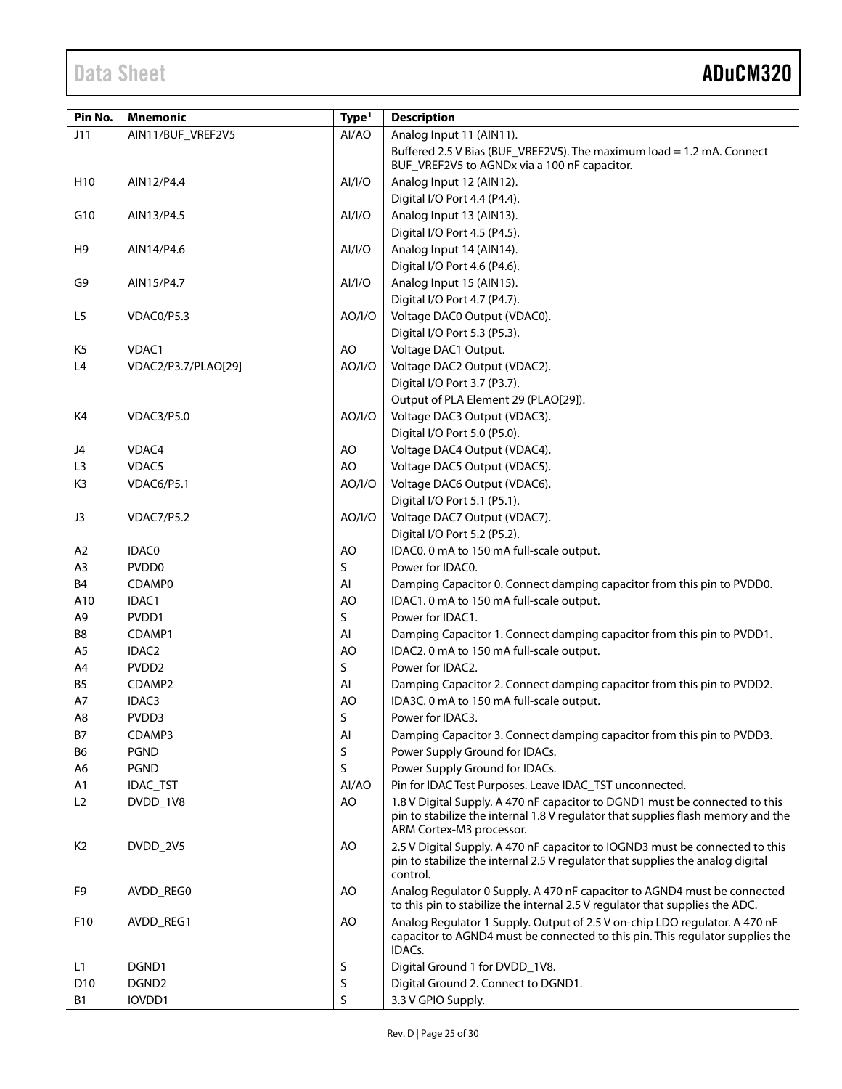| Pin No.         | <b>Mnemonic</b>     | Type <sup>1</sup> | <b>Description</b>                                                                                                                                                                          |
|-----------------|---------------------|-------------------|---------------------------------------------------------------------------------------------------------------------------------------------------------------------------------------------|
| J11             | AIN11/BUF_VREF2V5   | Al/AO             | Analog Input 11 (AIN11).                                                                                                                                                                    |
|                 |                     |                   | Buffered 2.5 V Bias (BUF_VREF2V5). The maximum load = 1.2 mA. Connect<br>BUF_VREF2V5 to AGNDx via a 100 nF capacitor.                                                                       |
| H <sub>10</sub> | AIN12/P4.4          | AI/I/O            | Analog Input 12 (AIN12).                                                                                                                                                                    |
|                 |                     |                   | Digital I/O Port 4.4 (P4.4).                                                                                                                                                                |
| G10             | AIN13/P4.5          | AI/I/O            | Analog Input 13 (AIN13).                                                                                                                                                                    |
|                 |                     |                   | Digital I/O Port 4.5 (P4.5).                                                                                                                                                                |
| H <sub>9</sub>  | AIN14/P4.6          | AI/I/O            | Analog Input 14 (AIN14).                                                                                                                                                                    |
|                 |                     |                   | Digital I/O Port 4.6 (P4.6).                                                                                                                                                                |
| G9              | AIN15/P4.7          | AI/I/O            | Analog Input 15 (AIN15).                                                                                                                                                                    |
|                 |                     |                   | Digital I/O Port 4.7 (P4.7).                                                                                                                                                                |
| L5              | VDAC0/P5.3          | AO/I/O            | Voltage DAC0 Output (VDAC0).                                                                                                                                                                |
|                 | VDAC1               | AO                | Digital I/O Port 5.3 (P5.3).<br>Voltage DAC1 Output.                                                                                                                                        |
| K5<br>L4        |                     | AO/I/O            | Voltage DAC2 Output (VDAC2).                                                                                                                                                                |
|                 | VDAC2/P3.7/PLAO[29] |                   | Digital I/O Port 3.7 (P3.7).                                                                                                                                                                |
|                 |                     |                   | Output of PLA Element 29 (PLAO[29]).                                                                                                                                                        |
| K4              | VDAC3/P5.0          | AO/I/O            | Voltage DAC3 Output (VDAC3).                                                                                                                                                                |
|                 |                     |                   | Digital I/O Port 5.0 (P5.0).                                                                                                                                                                |
| J4              | VDAC4               | AO                | Voltage DAC4 Output (VDAC4).                                                                                                                                                                |
| L <sub>3</sub>  | VDAC5               | AO                | Voltage DAC5 Output (VDAC5).                                                                                                                                                                |
| K <sub>3</sub>  | VDAC6/P5.1          | AO/I/O            | Voltage DAC6 Output (VDAC6).                                                                                                                                                                |
|                 |                     |                   | Digital I/O Port 5.1 (P5.1).                                                                                                                                                                |
| J3              | <b>VDAC7/P5.2</b>   | AO/I/O            | Voltage DAC7 Output (VDAC7).                                                                                                                                                                |
|                 |                     |                   | Digital I/O Port 5.2 (P5.2).                                                                                                                                                                |
| A <sub>2</sub>  | IDAC0               | AO                | IDAC0. 0 mA to 150 mA full-scale output.                                                                                                                                                    |
| A <sub>3</sub>  | PVDD <sub>0</sub>   | S                 | Power for IDAC0.                                                                                                                                                                            |
| B4              | CDAMP0              | AI                | Damping Capacitor 0. Connect damping capacitor from this pin to PVDD0.                                                                                                                      |
| A10             | IDAC1               | AO                | IDAC1. 0 mA to 150 mA full-scale output.                                                                                                                                                    |
| A9              | PVDD1               | S                 | Power for IDAC1.                                                                                                                                                                            |
| B8              | CDAMP1              | AI                | Damping Capacitor 1. Connect damping capacitor from this pin to PVDD1.                                                                                                                      |
| A <sub>5</sub>  | IDAC2               | AO                | IDAC2. 0 mA to 150 mA full-scale output.                                                                                                                                                    |
| A4              | PVDD <sub>2</sub>   | S                 | Power for IDAC2.                                                                                                                                                                            |
| B5              | CDAMP2              | AI                | Damping Capacitor 2. Connect damping capacitor from this pin to PVDD2.                                                                                                                      |
| A7              | IDAC3               | AO                | IDA3C. 0 mA to 150 mA full-scale output.                                                                                                                                                    |
| A8              | PVDD3               | S                 | Power for IDAC3                                                                                                                                                                             |
| B7              | CDAMP3              | Al                | Damping Capacitor 3. Connect damping capacitor from this pin to PVDD3.                                                                                                                      |
| <b>B6</b>       | <b>PGND</b>         | S                 | Power Supply Ground for IDACs.                                                                                                                                                              |
| A6              | <b>PGND</b>         | S                 | Power Supply Ground for IDACs.                                                                                                                                                              |
| A1              | IDAC_TST            | Al/AO             | Pin for IDAC Test Purposes. Leave IDAC_TST unconnected.                                                                                                                                     |
| L2              | DVDD_1V8            | AO                | 1.8 V Digital Supply. A 470 nF capacitor to DGND1 must be connected to this<br>pin to stabilize the internal 1.8 V regulator that supplies flash memory and the<br>ARM Cortex-M3 processor. |
| K <sub>2</sub>  | DVDD_2V5            | AO                | 2.5 V Digital Supply. A 470 nF capacitor to IOGND3 must be connected to this<br>pin to stabilize the internal 2.5 V regulator that supplies the analog digital<br>control.                  |
| F9              | AVDD_REG0           | AO                | Analog Regulator 0 Supply. A 470 nF capacitor to AGND4 must be connected<br>to this pin to stabilize the internal 2.5 V regulator that supplies the ADC.                                    |
| F <sub>10</sub> | AVDD_REG1           | AO                | Analog Regulator 1 Supply. Output of 2.5 V on-chip LDO regulator. A 470 nF<br>capacitor to AGND4 must be connected to this pin. This regulator supplies the<br>IDACs.                       |
| L1              | DGND1               | S                 | Digital Ground 1 for DVDD_1V8.                                                                                                                                                              |
| D <sub>10</sub> | DGND <sub>2</sub>   | S                 | Digital Ground 2. Connect to DGND1.                                                                                                                                                         |
| В1              | IOVDD1              | S                 | 3.3 V GPIO Supply.                                                                                                                                                                          |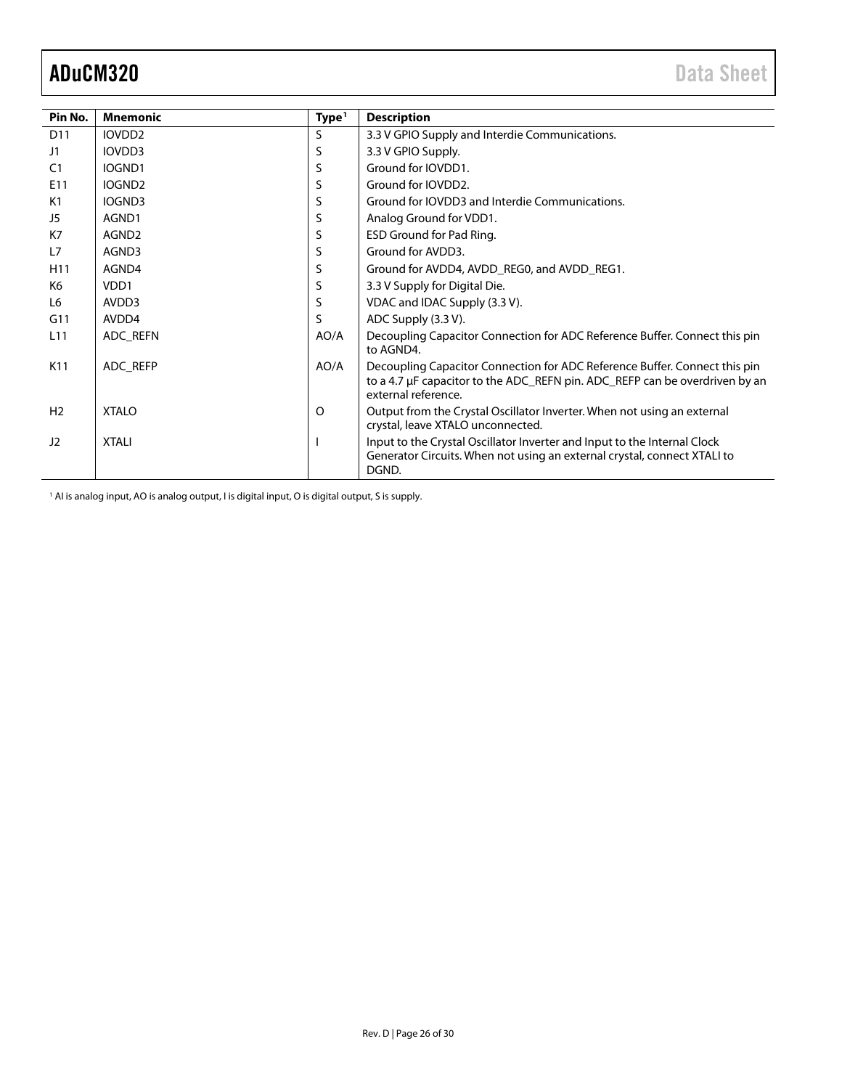<span id="page-25-0"></span>

| Pin No.         | <b>Mnemonic</b>    | Type <sup>1</sup> | <b>Description</b>                                                                                                                                                               |
|-----------------|--------------------|-------------------|----------------------------------------------------------------------------------------------------------------------------------------------------------------------------------|
| D11             | IOVDD <sub>2</sub> | S                 | 3.3 V GPIO Supply and Interdie Communications.                                                                                                                                   |
| J1              | IOVDD3             | S                 | 3.3 V GPIO Supply.                                                                                                                                                               |
| C <sub>1</sub>  | IOGND1             | S                 | Ground for IOVDD1.                                                                                                                                                               |
| E11             | IOGND <sub>2</sub> | S                 | Ground for IOVDD2.                                                                                                                                                               |
| K1              | IOGND3             | S                 | Ground for IOVDD3 and Interdie Communications.                                                                                                                                   |
| J5              | AGND1              | S                 | Analog Ground for VDD1.                                                                                                                                                          |
| K7              | AGND2              | S                 | ESD Ground for Pad Ring.                                                                                                                                                         |
| L7              | AGND3              | S                 | Ground for AVDD3.                                                                                                                                                                |
| H <sub>11</sub> | AGND4              | S                 | Ground for AVDD4, AVDD_REG0, and AVDD_REG1.                                                                                                                                      |
| K <sub>6</sub>  | VDD1               | S                 | 3.3 V Supply for Digital Die.                                                                                                                                                    |
| L6              | AVDD3              | S                 | VDAC and IDAC Supply (3.3 V).                                                                                                                                                    |
| G11             | AVDD4              | S                 | ADC Supply (3.3 V).                                                                                                                                                              |
| L <sub>11</sub> | ADC REFN           | AO/A              | Decoupling Capacitor Connection for ADC Reference Buffer. Connect this pin<br>to AGND4.                                                                                          |
| K11             | ADC REFP           | AO/A              | Decoupling Capacitor Connection for ADC Reference Buffer. Connect this pin<br>to a 4.7 µF capacitor to the ADC_REFN pin. ADC_REFP can be overdriven by an<br>external reference. |
| H <sub>2</sub>  | <b>XTALO</b>       | O                 | Output from the Crystal Oscillator Inverter. When not using an external<br>crystal, leave XTALO unconnected.                                                                     |
| 12              | <b>XTALI</b>       |                   | Input to the Crystal Oscillator Inverter and Input to the Internal Clock<br>Generator Circuits. When not using an external crystal, connect XTALI to<br>DGND.                    |

<sup>1</sup> AI is analog input, AO is analog output, I is digital input, O is digital output, S is supply.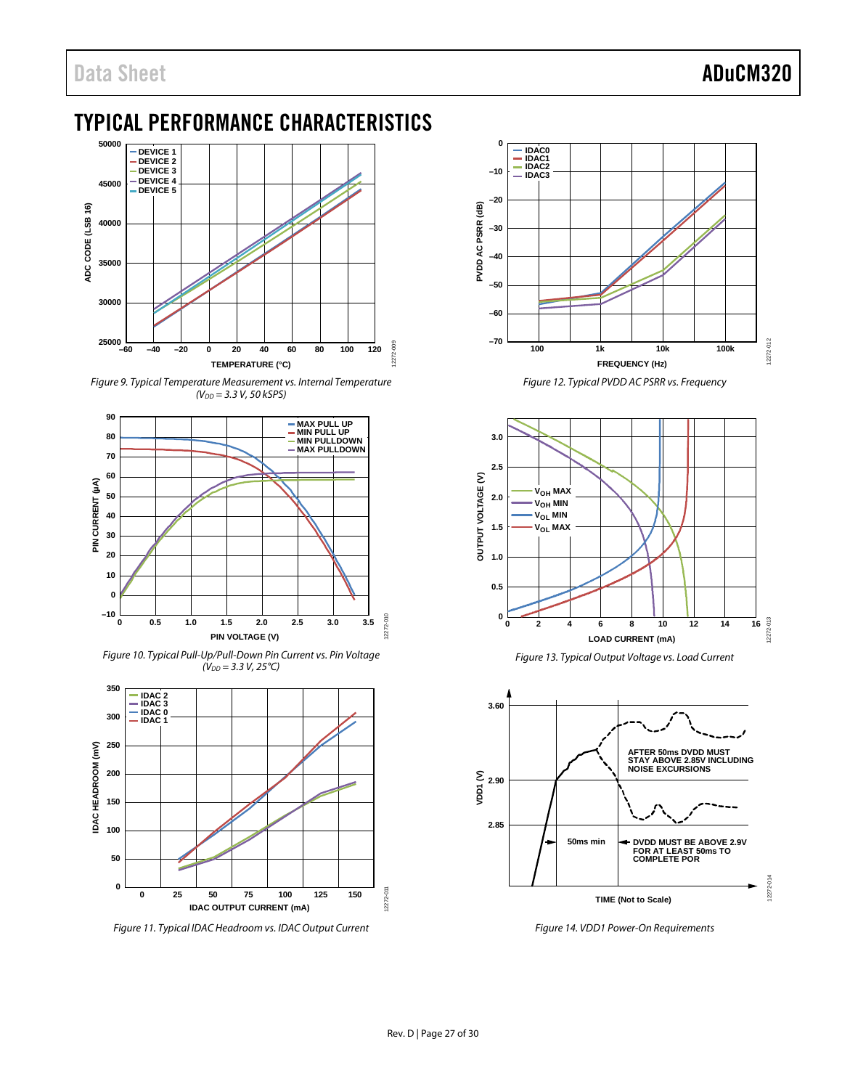## <span id="page-26-0"></span>TYPICAL PERFORMANCE CHARACTERISTICS



<span id="page-26-3"></span>*Figure 9. Typical Temperature Measurement vs. Internal Temperature (VDD = 3.3 V, 50 kSPS)*



<span id="page-26-4"></span>*Figure 10. Typical Pull-Up/Pull-Down Pin Current vs. Pin Voltage (VDD = 3.3 V, 25°C)*



<span id="page-26-2"></span>*Figure 11. Typical IDAC Headroom vs. IDAC Output Current* 



*Figure 12. Typical PVDD AC PSRR vs. Frequency*



*Figure 13. Typical Output Voltage vs. Load Current*

<span id="page-26-5"></span>

<span id="page-26-1"></span>*Figure 14. VDD1 Power-On Requirements*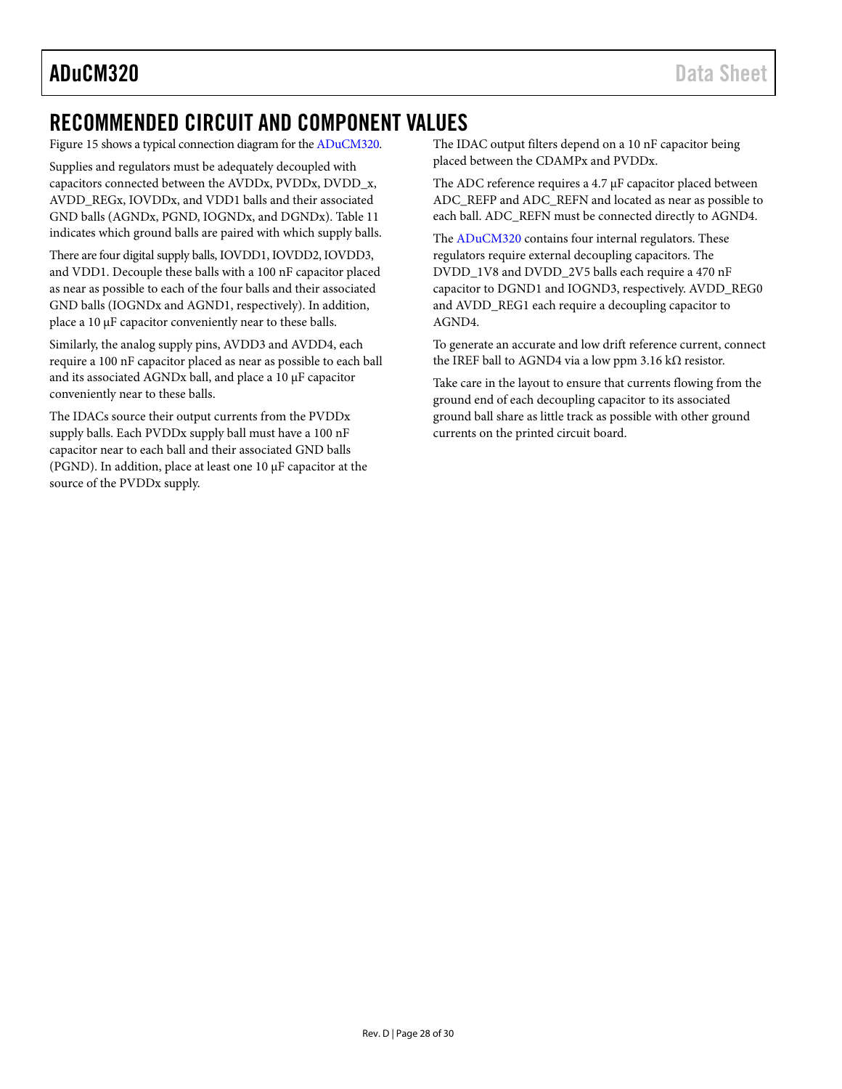### <span id="page-27-0"></span>RECOMMENDED CIRCUIT AND COMPONENT VALUES

[Figure 15](#page-28-0) shows a typical connection diagram for th[e ADuCM320.](http://www.analog.com/ADuCM320?doc=ADuCM320.pdf) 

Supplies and regulators must be adequately decoupled with capacitors connected between the AVDDx, PVDDx, DVDD\_x, AVDD\_REGx, IOVDDx, and VDD1 balls and their associated GND balls (AGNDx, PGND, IOGNDx, and DGNDx)[. Table 11](#page-21-1) indicates which ground balls are paired with which supply balls.

There are four digital supply balls, IOVDD1, IOVDD2, IOVDD3, and VDD1. Decouple these balls with a 100 nF capacitor placed as near as possible to each of the four balls and their associated GND balls (IOGNDx and AGND1, respectively). In addition, place a 10 μF capacitor conveniently near to these balls.

Similarly, the analog supply pins, AVDD3 and AVDD4, each require a 100 nF capacitor placed as near as possible to each ball and its associated AGNDx ball, and place a 10 μF capacitor conveniently near to these balls.

The IDACs source their output currents from the PVDDx supply balls. Each PVDDx supply ball must have a 100 nF capacitor near to each ball and their associated GND balls (PGND). In addition, place at least one 10 μF capacitor at the source of the PVDDx supply.

The IDAC output filters depend on a 10 nF capacitor being placed between the CDAMPx and PVDDx.

The ADC reference requires a 4.7 μF capacitor placed between ADC\_REFP and ADC\_REFN and located as near as possible to each ball. ADC\_REFN must be connected directly to AGND4.

The [ADuCM320](http://www.analog.com/ADuCM320?doc=ADuCM320.pdf) contains four internal regulators. These regulators require external decoupling capacitors. The DVDD\_1V8 and DVDD\_2V5 balls each require a 470 nF capacitor to DGND1 and IOGND3, respectively. AVDD\_REG0 and AVDD\_REG1 each require a decoupling capacitor to AGND4.

To generate an accurate and low drift reference current, connect the IREF ball to AGND4 via a low ppm 3.16 kΩ resistor.

Take care in the layout to ensure that currents flowing from the ground end of each decoupling capacitor to its associated ground ball share as little track as possible with other ground currents on the printed circuit board.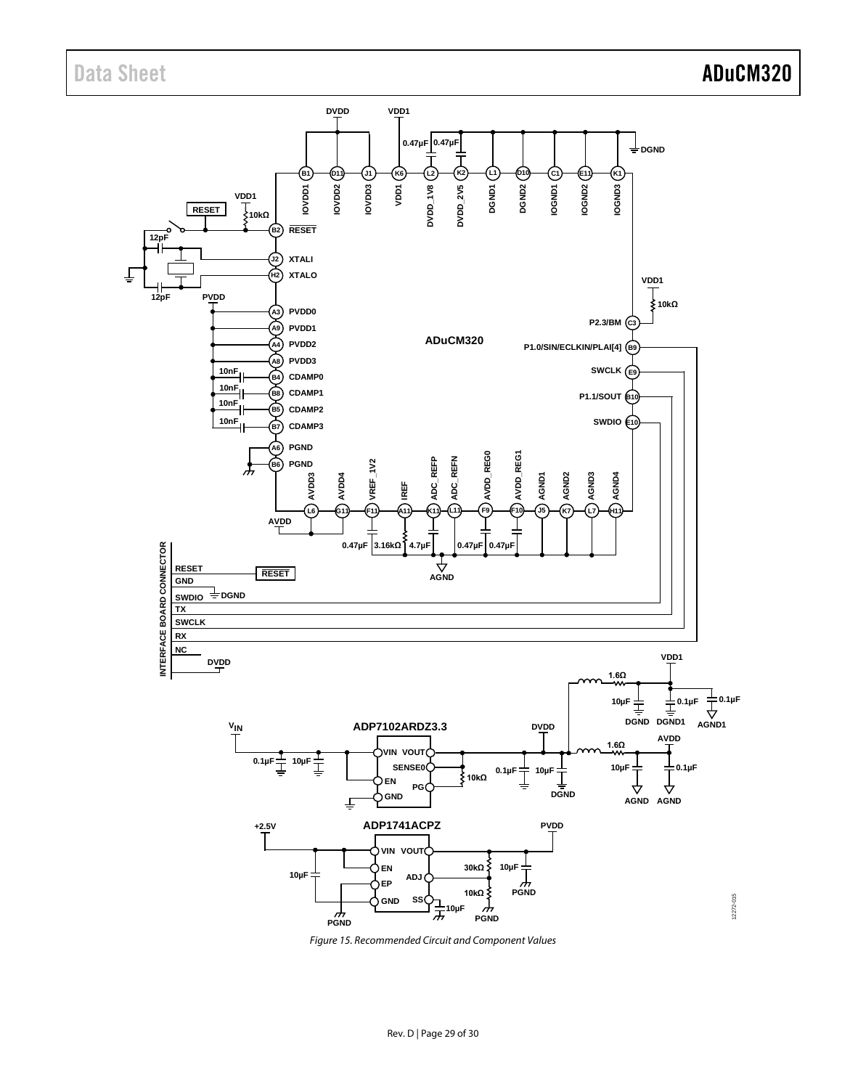

<span id="page-28-0"></span>*Figure 15. Recommended Circuit and Component Values*